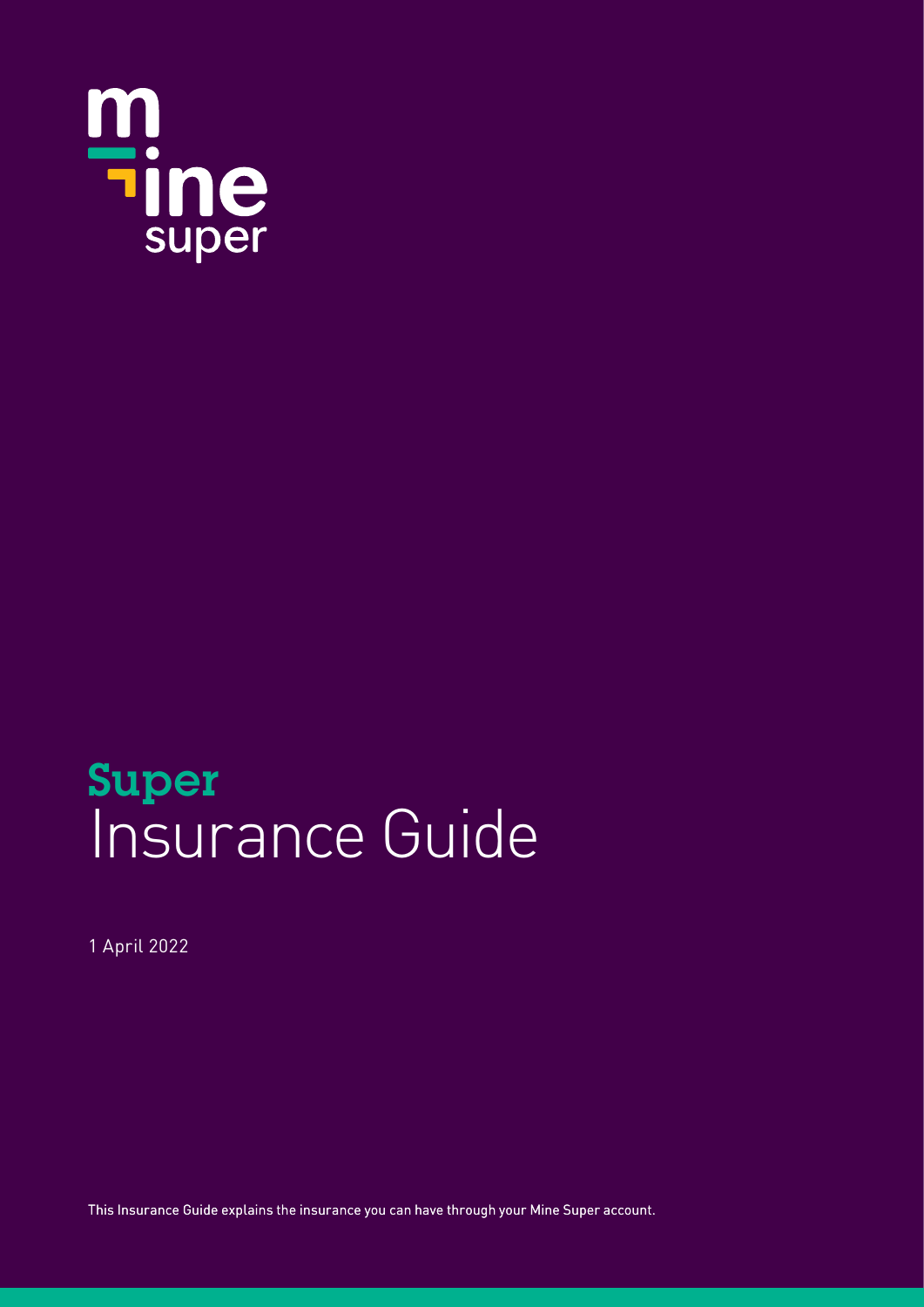

# Super Insurance Guide

1 April 2022

This Insurance Guide explains the insurance you can have through your Mine Super account.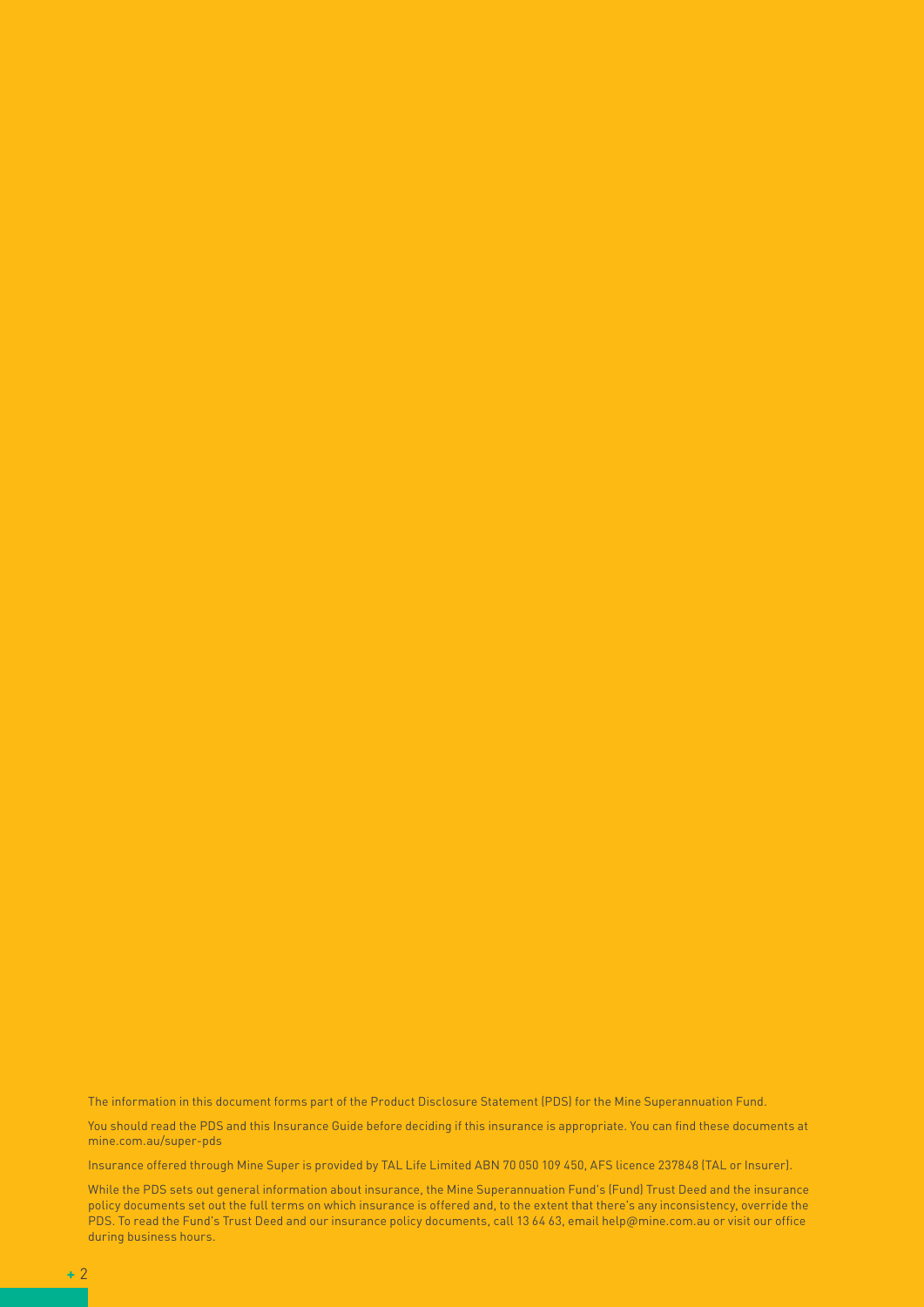The information in this document forms part of the Product Disclosure Statement (PDS) for the Mine Superannuation Fund.

You should read the PDS and this Insurance Guide before deciding if this insurance is appropriate. You can find these documents at mine.com.au/super-pds

Insurance offered through Mine Super is provided by TAL Life Limited ABN 70 050 109 450, AFS licence 237848 (TAL or Insurer).

While the PDS sets out general information about insurance, the Mine Superannuation Fund's (Fund) Trust Deed and the insurance policy documents set out the full terms on which insurance is offered and, to the extent that there's any inconsistency, override the PDS. To read the Fund's Trust Deed and our insurance policy documents, call 13 64 63, email help@mine.com.au or visit our office during business hours.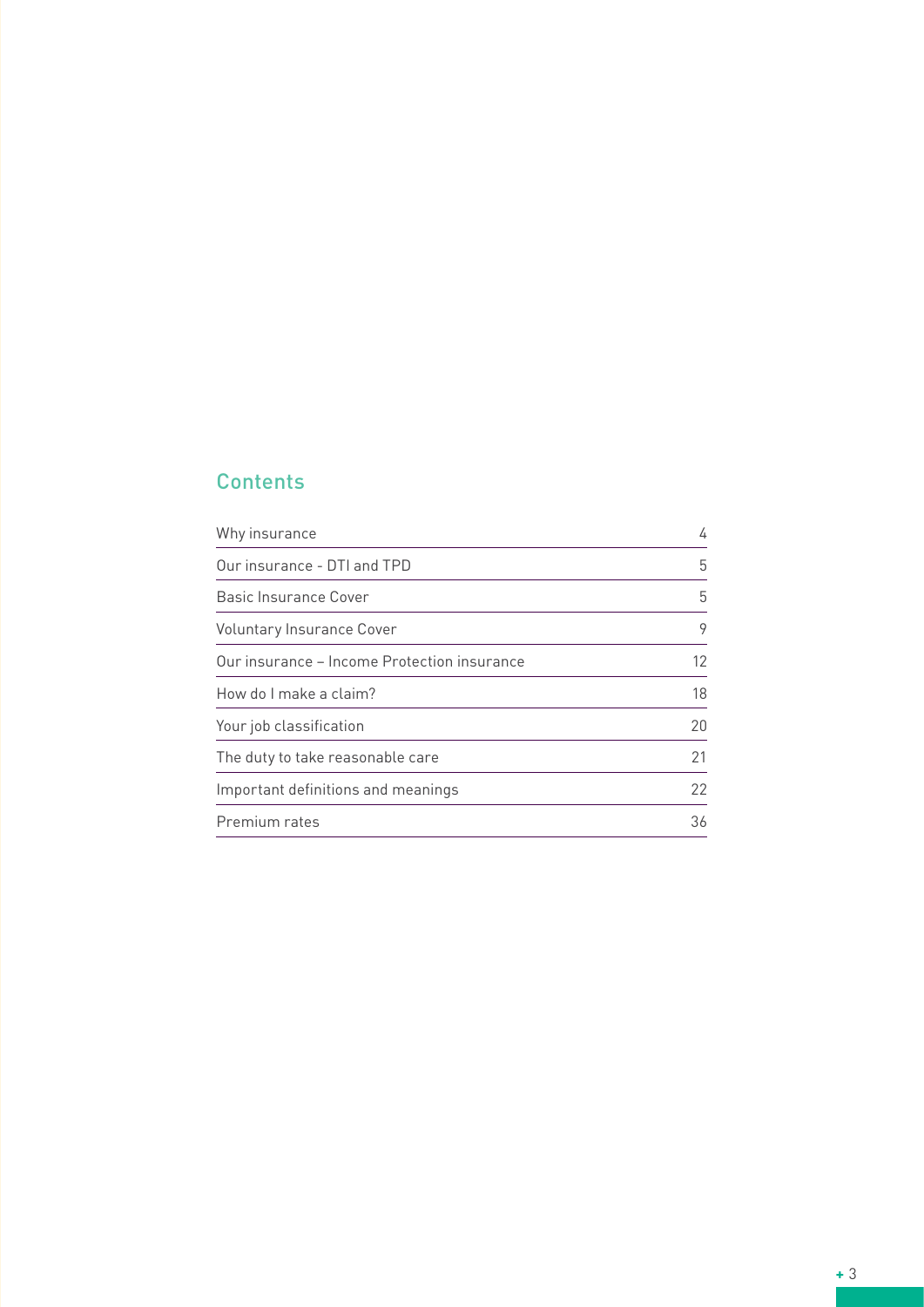# **Contents**

| Why insurance                               | 4  |
|---------------------------------------------|----|
| Our insurance - DTI and TPD                 | 5  |
| Basic Insurance Cover                       | 5  |
| Voluntary Insurance Cover                   | 9  |
| Our insurance - Income Protection insurance | 12 |
| How do I make a claim?                      | 18 |
| Your job classification                     | 20 |
| The duty to take reasonable care            | 21 |
| Important definitions and meanings          | 22 |
| Premium rates                               | 36 |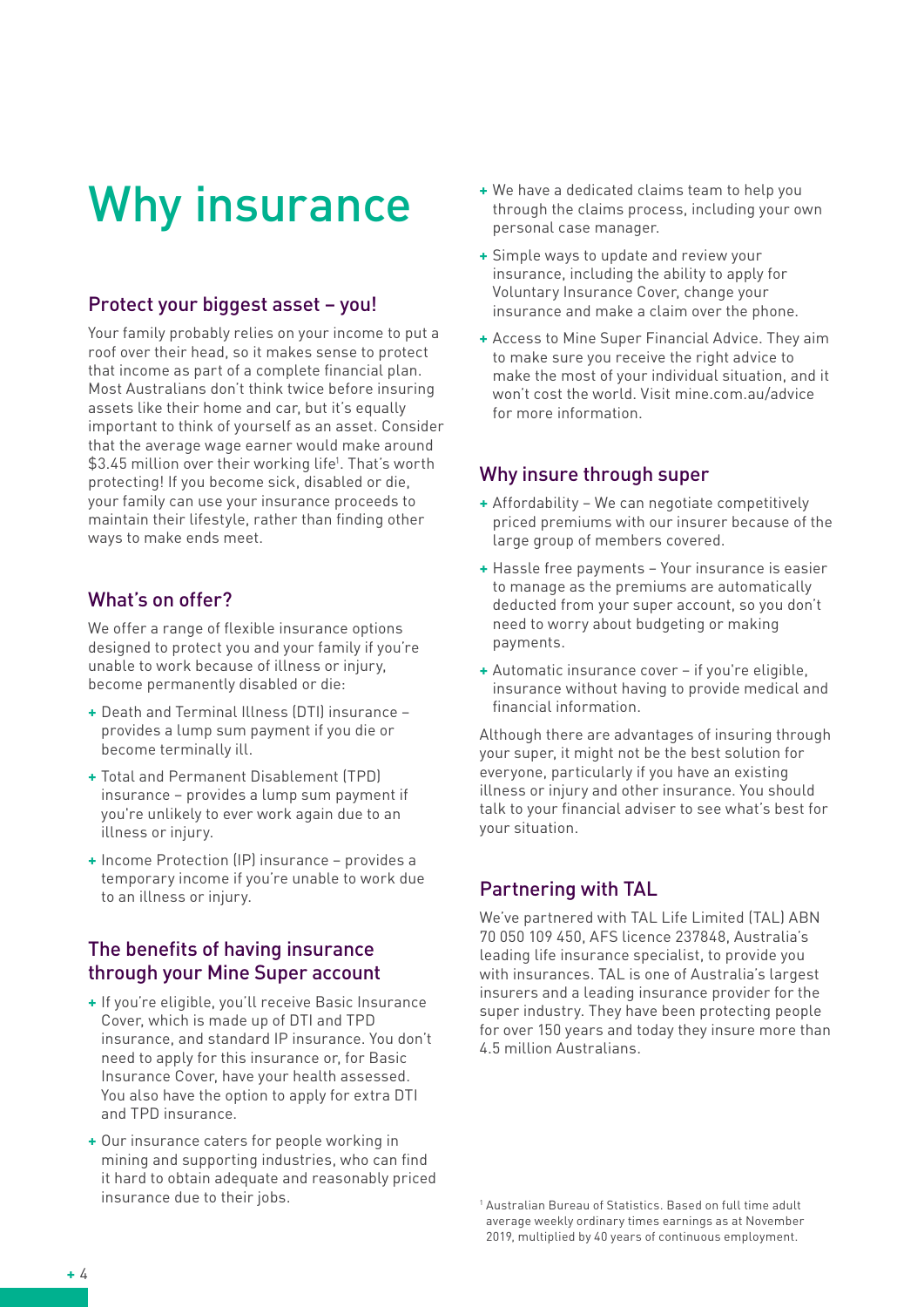# Why insurance

## Protect your biggest asset – you!

Your family probably relies on your income to put a roof over their head, so it makes sense to protect that income as part of a complete financial plan. Most Australians don't think twice before insuring assets like their home and car, but it's equally important to think of yourself as an asset. Consider that the average wage earner would make around \$3.45 million over their working life1 . That's worth protecting! If you become sick, disabled or die, your family can use your insurance proceeds to maintain their lifestyle, rather than finding other ways to make ends meet.

## What's on offer?

We offer a range of flexible insurance options designed to protect you and your family if you're unable to work because of illness or injury, become permanently disabled or die:

- **+** Death and Terminal Illness (DTI) insurance provides a lump sum payment if you die or become terminally ill.
- **+** Total and Permanent Disablement (TPD) insurance – provides a lump sum payment if you're unlikely to ever work again due to an illness or injury.
- **+** Income Protection (IP) insurance provides a temporary income if you're unable to work due to an illness or injury.

## The benefits of having insurance through your Mine Super account

- **+** If you're eligible, you'll receive Basic Insurance Cover, which is made up of DTI and TPD insurance, and standard IP insurance. You don't need to apply for this insurance or, for Basic Insurance Cover, have your health assessed. You also have the option to apply for extra DTI and TPD insurance.
- **+** Our insurance caters for people working in mining and supporting industries, who can find it hard to obtain adequate and reasonably priced insurance due to their jobs.
- **+** We have a dedicated claims team to help you through the claims process, including your own personal case manager.
- **+** Simple ways to update and review your insurance, including the ability to apply for Voluntary Insurance Cover, change your insurance and make a claim over the phone.
- **+** Access to Mine Super Financial Advice. They aim to make sure you receive the right advice to make the most of your individual situation, and it won't cost the world. Visit mine.com.au/advice for more information.

#### Why insure through super

- **+** Affordability We can negotiate competitively priced premiums with our insurer because of the large group of members covered.
- **+** Hassle free payments Your insurance is easier to manage as the premiums are automatically deducted from your super account, so you don't need to worry about budgeting or making payments.
- **+** Automatic insurance cover if you're eligible, insurance without having to provide medical and financial information.

Although there are advantages of insuring through your super, it might not be the best solution for everyone, particularly if you have an existing illness or injury and other insurance. You should talk to your financial adviser to see what's best for your situation.

# Partnering with TAL

We've partnered with TAL Life Limited (TAL) ABN 70 050 109 450, AFS licence 237848, Australia's leading life insurance specialist, to provide you with insurances. TAL is one of Australia's largest insurers and a leading insurance provider for the super industry. They have been protecting people for over 150 years and today they insure more than 4.5 million Australians.

<sup>1</sup> Australian Bureau of Statistics. Based on full time adult average weekly ordinary times earnings as at November 2019, multiplied by 40 years of continuous employment.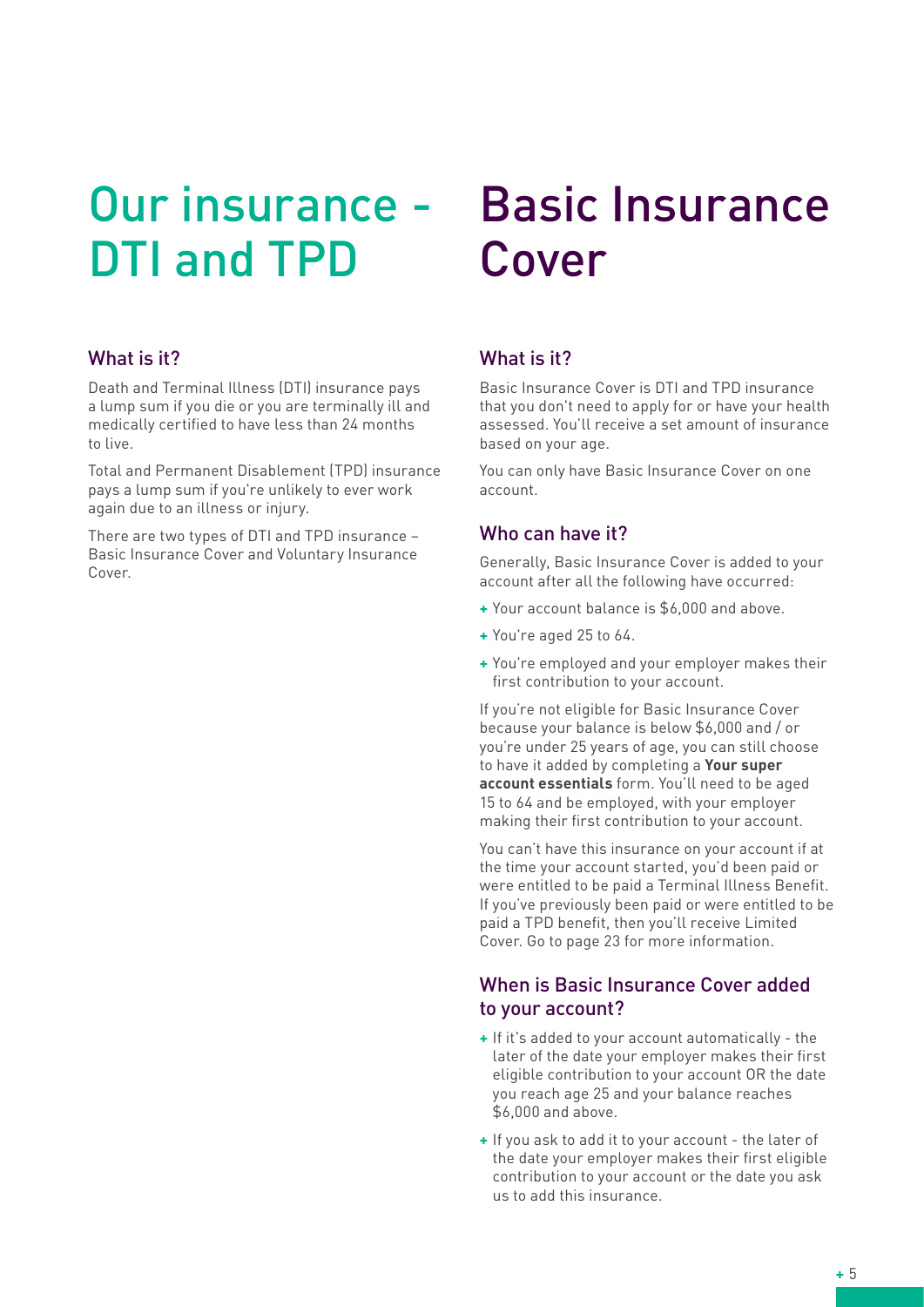# Our insurance - DTI and TPD

#### What is it?

Death and Terminal Illness (DTI) insurance pays a lump sum if you die or you are terminally ill and medically certified to have less than 24 months to live.

Total and Permanent Disablement (TPD) insurance pays a lump sum if you're unlikely to ever work again due to an illness or injury.

There are two types of DTI and TPD insurance – Basic Insurance Cover and Voluntary Insurance Cover

# Basic Insurance Cover

## What is it?

Basic Insurance Cover is DTI and TPD insurance that you don't need to apply for or have your health assessed. You'll receive a set amount of insurance based on your age.

You can only have Basic Insurance Cover on one account.

#### Who can have it?

Generally, Basic Insurance Cover is added to your account after all the following have occurred:

- **+** Your account balance is \$6,000 and above.
- **+** You're aged 25 to 64.
- **+** You're employed and your employer makes their first contribution to your account.

If you're not eligible for Basic Insurance Cover because your balance is below \$6,000 and / or you're under 25 years of age, you can still choose to have it added by completing a **Your super account essentials** form. You'll need to be aged 15 to 64 and be employed, with your employer making their first contribution to your account.

You can't have this insurance on your account if at the time your account started, you'd been paid or were entitled to be paid a Terminal Illness Benefit. If you've previously been paid or were entitled to be paid a TPD benefit, then you'll receive Limited Cover. Go to page 23 for more information.

#### When is Basic Insurance Cover added to your account?

- **+** If it's added to your account automatically the later of the date your employer makes their first eligible contribution to your account OR the date you reach age 25 and your balance reaches \$6,000 and above.
- **+** If you ask to add it to your account the later of the date your employer makes their first eligible contribution to your account or the date you ask us to add this insurance.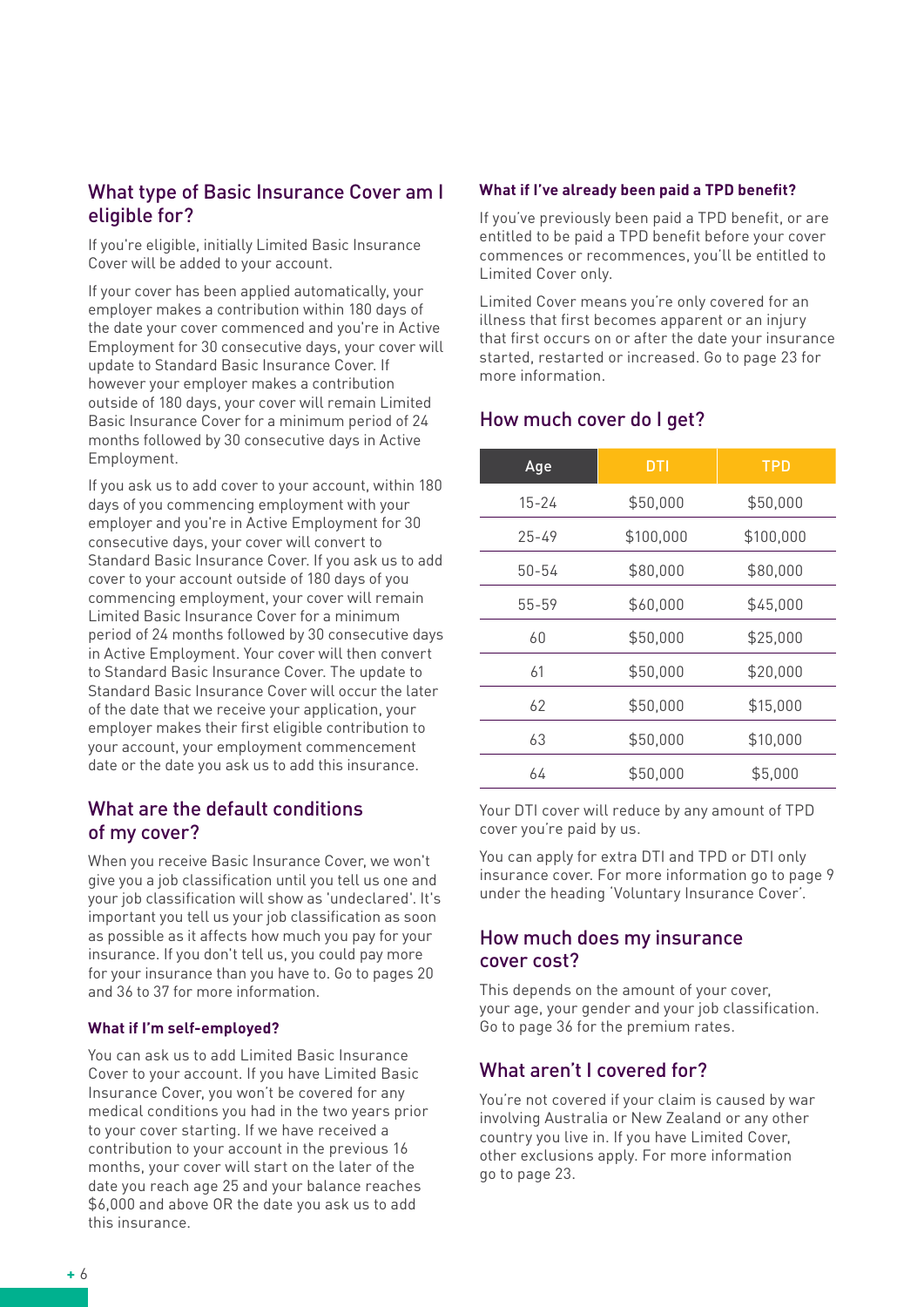#### What type of Basic Insurance Cover am I eligible for?

If you're eligible, initially Limited Basic Insurance Cover will be added to your account.

If your cover has been applied automatically, your employer makes a contribution within 180 days of the date your cover commenced and you're in Active Employment for 30 consecutive days, your cover will update to Standard Basic Insurance Cover. If however your employer makes a contribution outside of 180 days, your cover will remain Limited Basic Insurance Cover for a minimum period of 24 months followed by 30 consecutive days in Active Employment.

If you ask us to add cover to your account, within 180 days of you commencing employment with your employer and you're in Active Employment for 30 consecutive days, your cover will convert to Standard Basic Insurance Cover. If you ask us to add cover to your account outside of 180 days of you commencing employment, your cover will remain Limited Basic Insurance Cover for a minimum period of 24 months followed by 30 consecutive days in Active Employment. Your cover will then convert to Standard Basic Insurance Cover. The update to Standard Basic Insurance Cover will occur the later of the date that we receive your application, your employer makes their first eligible contribution to your account, your employment commencement date or the date you ask us to add this insurance.

#### What are the default conditions of my cover?

When you receive Basic Insurance Cover, we won't give you a job classification until you tell us one and your job classification will show as 'undeclared'. It's important you tell us your job classification as soon as possible as it affects how much you pay for your insurance. If you don't tell us, you could pay more for your insurance than you have to. Go to pages 20 and 36 to 37 for more information.

#### **What if I'm self-employed?**

You can ask us to add Limited Basic Insurance Cover to your account. If you have Limited Basic Insurance Cover, you won't be covered for any medical conditions you had in the two years prior to your cover starting. If we have received a contribution to your account in the previous 16 months, your cover will start on the later of the date you reach age 25 and your balance reaches \$6,000 and above OR the date you ask us to add this insurance.

#### **What if I've already been paid a TPD benefit?**

If you've previously been paid a TPD benefit, or are entitled to be paid a TPD benefit before your cover commences or recommences, you'll be entitled to Limited Cover only.

Limited Cover means you're only covered for an illness that first becomes apparent or an injury that first occurs on or after the date your insurance started, restarted or increased. Go to page 23 for more information.

#### How much cover do I get?

| Age       | <b>DTI</b> | <b>TPD</b> |
|-----------|------------|------------|
| $15 - 24$ | \$50,000   | \$50,000   |
| 25-49     | \$100,000  | \$100,000  |
| 50-54     | \$80,000   | \$80,000   |
| 55-59     | \$60,000   | \$45,000   |
| 60        | \$50,000   | \$25,000   |
| 61        | \$50,000   | \$20,000   |
| 62        | \$50,000   | \$15,000   |
| 63        | \$50,000   | \$10,000   |
| 64        | \$50,000   | \$5,000    |

Your DTI cover will reduce by any amount of TPD cover you're paid by us.

You can apply for extra DTI and TPD or DTI only insurance cover. For more information go to page 9 under the heading 'Voluntary Insurance Cover'.

#### How much does my insurance cover cost?

This depends on the amount of your cover, your age, your gender and your job classification. Go to page 36 for the premium rates.

#### What aren't I covered for?

You're not covered if your claim is caused by war involving Australia or New Zealand or any other country you live in. If you have Limited Cover, other exclusions apply. For more information go to page 23.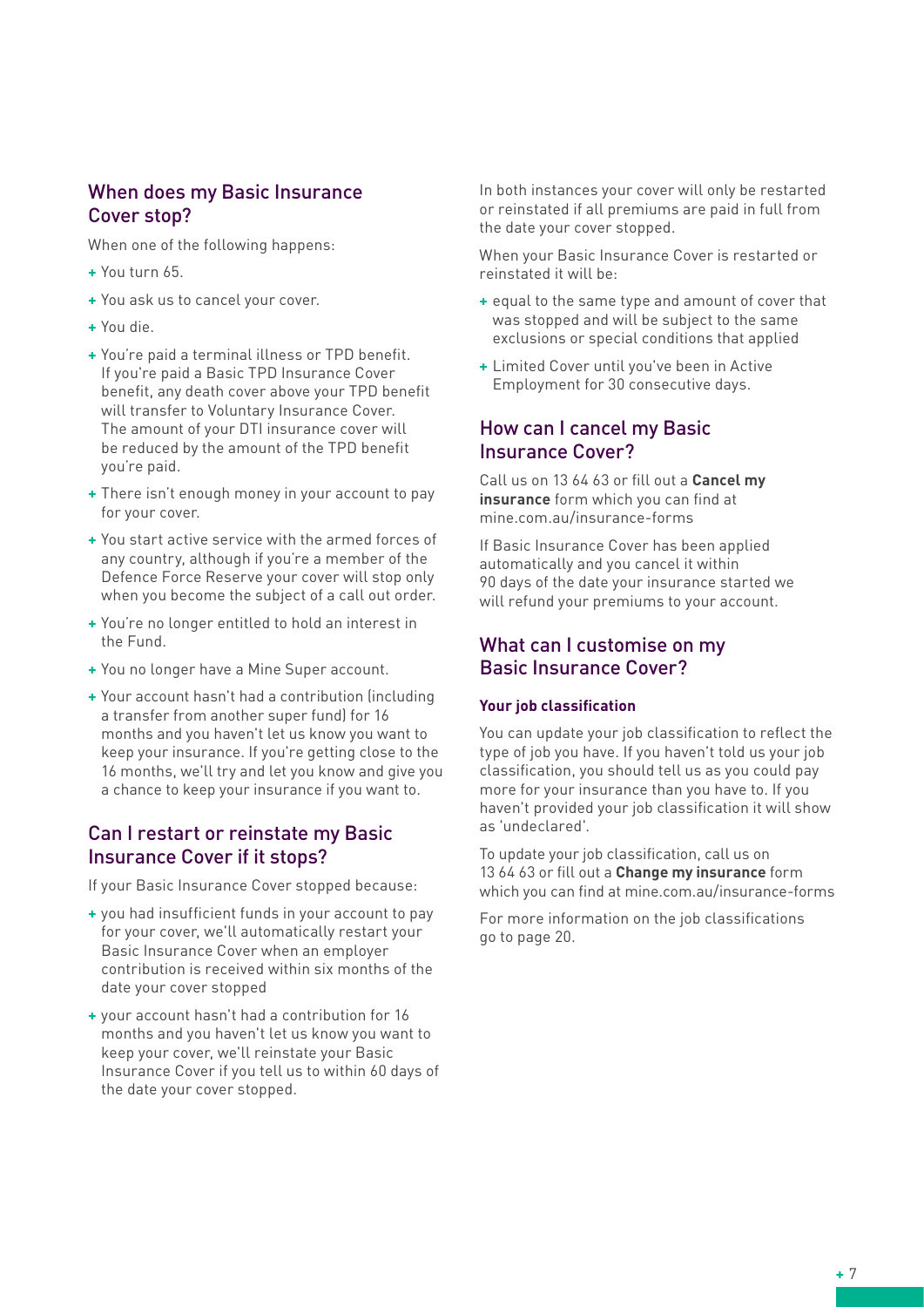## When does my Basic Insurance Cover stop?

When one of the following happens:

- **+** You turn 65.
- **+** You ask us to cancel your cover.
- **+** You die.
- **+** You're paid a terminal illness or TPD benefit. If you're paid a Basic TPD Insurance Cover benefit, any death cover above your TPD benefit will transfer to Voluntary Insurance Cover. The amount of your DTI insurance cover will be reduced by the amount of the TPD benefit you're paid.
- **+** There isn't enough money in your account to pay for your cover.
- **+** You start active service with the armed forces of any country, although if you're a member of the Defence Force Reserve your cover will stop only when you become the subject of a call out order.
- **+** You're no longer entitled to hold an interest in the Fund.
- **+** You no longer have a Mine Super account.
- **+** Your account hasn't had a contribution (including a transfer from another super fund) for 16 months and you haven't let us know you want to keep your insurance. If you're getting close to the 16 months, we'll try and let you know and give you a chance to keep your insurance if you want to.

## Can I restart or reinstate my Basic Insurance Cover if it stops?

If your Basic Insurance Cover stopped because:

- **+** you had insufficient funds in your account to pay for your cover, we'll automatically restart your Basic Insurance Cover when an employer contribution is received within six months of the date your cover stopped
- **+** your account hasn't had a contribution for 16 months and you haven't let us know you want to keep your cover, we'll reinstate your Basic Insurance Cover if you tell us to within 60 days of the date your cover stopped.

In both instances your cover will only be restarted or reinstated if all premiums are paid in full from the date your cover stopped.

When your Basic Insurance Cover is restarted or reinstated it will be:

- **+** equal to the same type and amount of cover that was stopped and will be subject to the same exclusions or special conditions that applied
- **+** Limited Cover until you've been in Active Employment for 30 consecutive days.

## How can I cancel my Basic Insurance Cover?

Call us on 13 64 63 or fill out a **Cancel my insurance** form which you can find at mine.com.au/insurance-forms

If Basic Insurance Cover has been applied automatically and you cancel it within 90 days of the date your insurance started we will refund your premiums to your account.

## What can I customise on my Basic Insurance Cover?

#### **Your job classification**

You can update your job classification to reflect the type of job you have. If you haven't told us your job classification, you should tell us as you could pay more for your insurance than you have to. If you haven't provided your job classification it will show as 'undeclared'.

To update your job classification, call us on 13 64 63 or fill out a **Change my insurance** form which you can find at mine.com.au/insurance-forms

For more information on the job classifications go to page 20.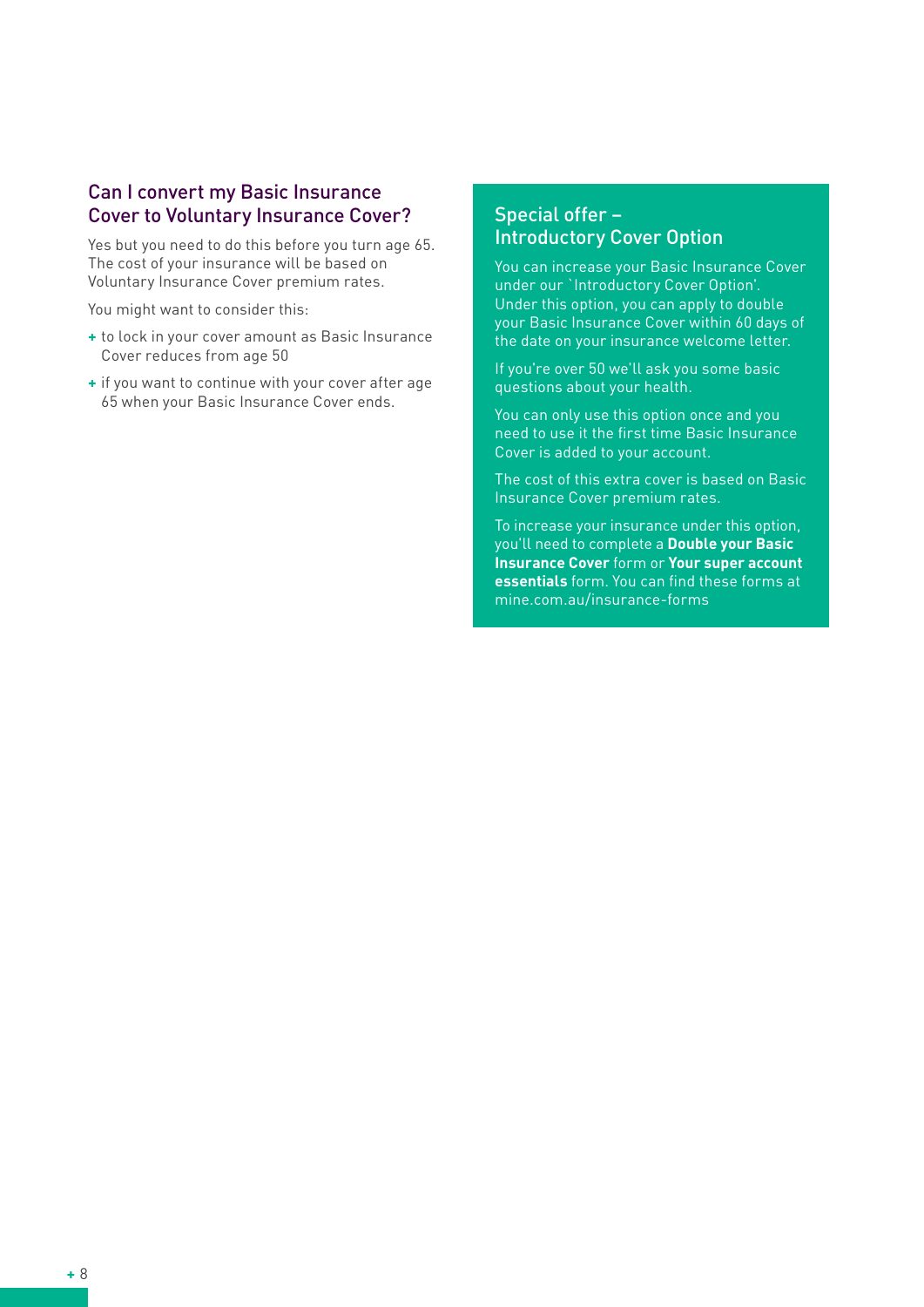#### Can I convert my Basic Insurance Cover to Voluntary Insurance Cover?

Yes but you need to do this before you turn age 65. The cost of your insurance will be based on Voluntary Insurance Cover premium rates.

You might want to consider this:

- **+** to lock in your cover amount as Basic Insurance Cover reduces from age 50
- **+** if you want to continue with your cover after age 65 when your Basic Insurance Cover ends.

#### Special offer – Introductory Cover Option

You can increase your Basic Insurance Cover under our `Introductory Cover Option'. Under this option, you can apply to double your Basic Insurance Cover within 60 days of the date on your insurance welcome letter.

If you're over 50 we'll ask you some basic questions about your health.

You can only use this option once and you need to use it the first time Basic Insurance Cover is added to your account.

The cost of this extra cover is based on Basic Insurance Cover premium rates.

To increase your insurance under this option, you'll need to complete a **Double your Basic Insurance Cover** form or **Your super account essentials** form. You can find these forms at mine.com.au/insurance-forms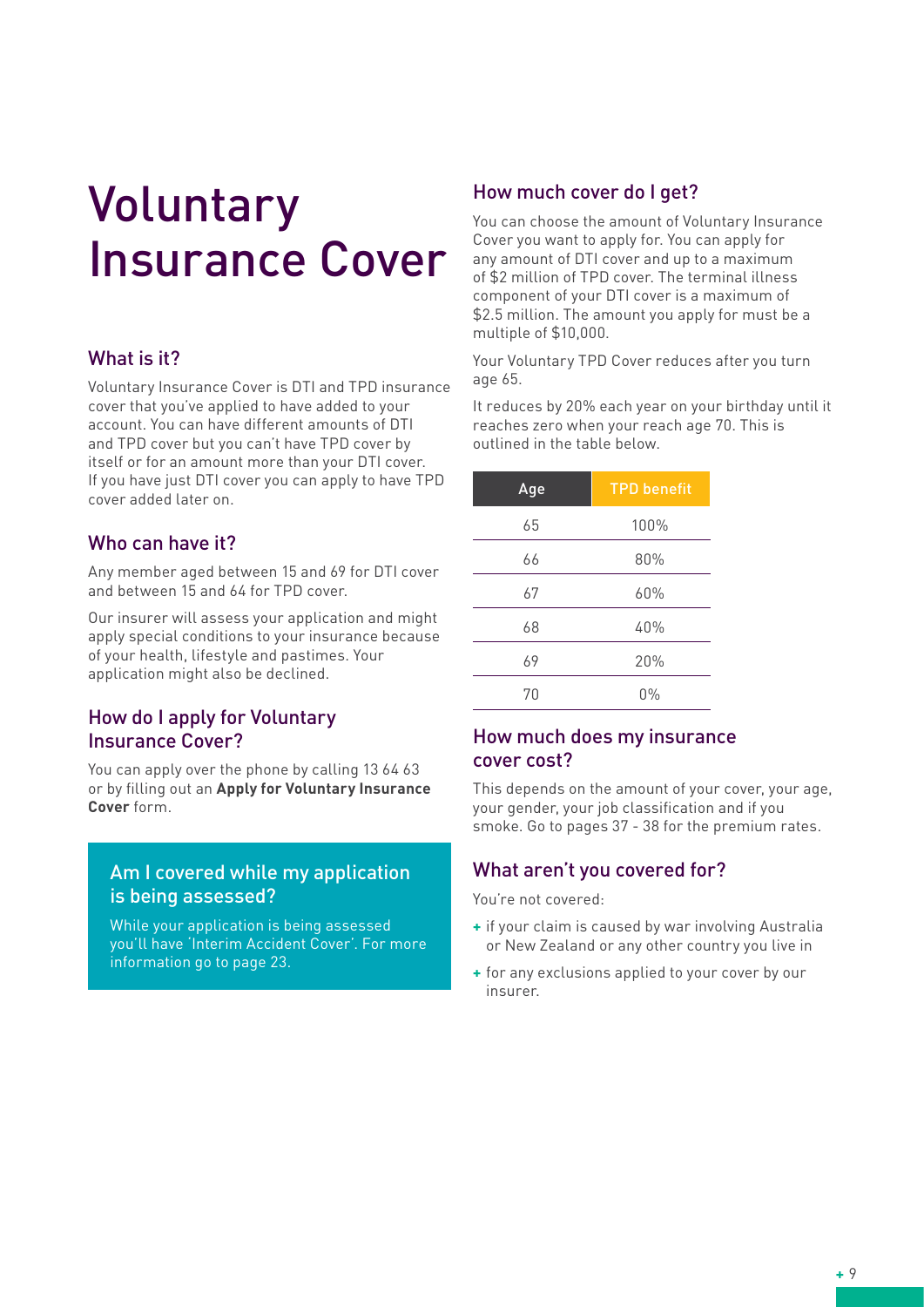# Voluntary Insurance Cover

## What is it?

Voluntary Insurance Cover is DTI and TPD insurance cover that you've applied to have added to your account. You can have different amounts of DTI and TPD cover but you can't have TPD cover by itself or for an amount more than your DTI cover. If you have just DTI cover you can apply to have TPD cover added later on.

## Who can have it?

Any member aged between 15 and 69 for DTI cover and between 15 and 64 for TPD cover.

Our insurer will assess your application and might apply special conditions to your insurance because of your health, lifestyle and pastimes. Your application might also be declined.

#### How do I apply for Voluntary Insurance Cover?

You can apply over the phone by calling 13 64 63 or by filling out an **Apply for Voluntary Insurance Cover** form.

#### Am I covered while my application is being assessed?

While your application is being assessed you'll have 'Interim Accident Cover'. For more information go to page 23.

#### How much cover do I get?

You can choose the amount of Voluntary Insurance Cover you want to apply for. You can apply for any amount of DTI cover and up to a maximum of \$2 million of TPD cover. The terminal illness component of your DTI cover is a maximum of \$2.5 million. The amount you apply for must be a multiple of \$10,000.

Your Voluntary TPD Cover reduces after you turn age 65.

It reduces by 20% each year on your birthday until it reaches zero when your reach age 70. This is outlined in the table below.

| Age | <b>TPD benefit</b> |
|-----|--------------------|
| 65  | 100%               |
| 66  | 80%                |
| 67  | 60%                |
| 68  | 40%                |
| 69  | 20%                |
| 70  | $0\%$              |

#### How much does my insurance cover cost?

This depends on the amount of your cover, your age, your gender, your job classification and if you smoke. Go to pages 37 - 38 for the premium rates.

#### What aren't you covered for?

You're not covered:

- **+** if your claim is caused by war involving Australia or New Zealand or any other country you live in
- **+** for any exclusions applied to your cover by our insurer.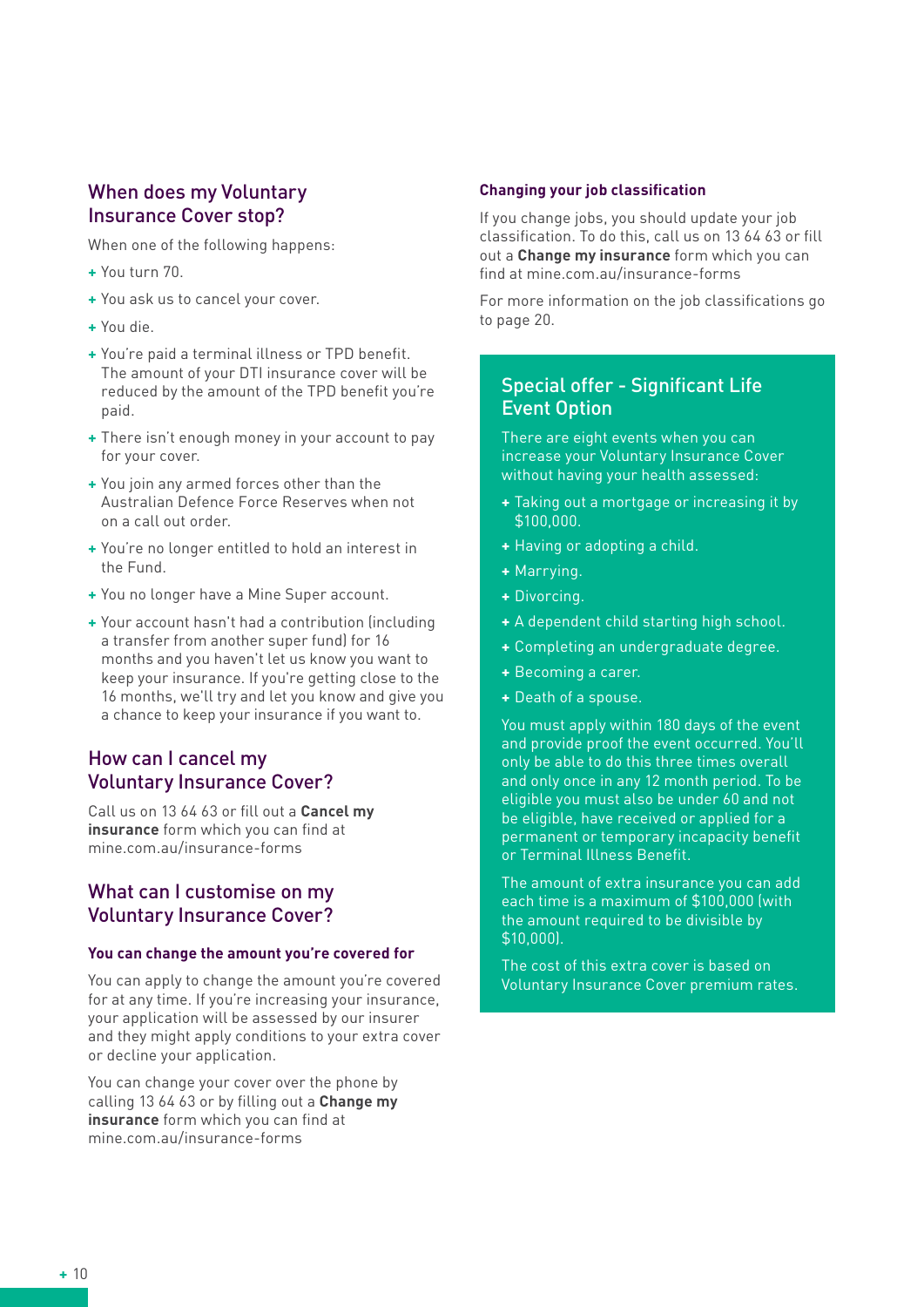## When does my Voluntary Insurance Cover stop?

When one of the following happens:

- **+** You turn 70.
- **+** You ask us to cancel your cover.
- **+** You die.
- **+** You're paid a terminal illness or TPD benefit. The amount of your DTI insurance cover will be reduced by the amount of the TPD benefit you're paid.
- **+** There isn't enough money in your account to pay for your cover.
- **+** You join any armed forces other than the Australian Defence Force Reserves when not on a call out order.
- **+** You're no longer entitled to hold an interest in the Fund.
- **+** You no longer have a Mine Super account.
- **+** Your account hasn't had a contribution (including a transfer from another super fund) for 16 months and you haven't let us know you want to keep your insurance. If you're getting close to the 16 months, we'll try and let you know and give you a chance to keep your insurance if you want to.

# How can I cancel my Voluntary Insurance Cover?

Call us on 13 64 63 or fill out a **Cancel my insurance** form which you can find at mine.com.au/insurance-forms

## What can I customise on my Voluntary Insurance Cover?

#### **You can change the amount you're covered for**

You can apply to change the amount you're covered for at any time. If you're increasing your insurance, your application will be assessed by our insurer and they might apply conditions to your extra cover or decline your application.

You can change your cover over the phone by calling 13 64 63 or by filling out a **Change my insurance** form which you can find at mine.com.au/insurance-forms

#### **Changing your job classification**

If you change jobs, you should update your job classification. To do this, call us on 13 64 63 or fill out a **Change my insurance** form which you can find at mine.com.au/insurance-forms

For more information on the job classifications go to page 20.

## Special offer - Significant Life Event Option

There are eight events when you can increase your Voluntary Insurance Cover without having your health assessed:

- **+** Taking out a mortgage or increasing it by \$100,000.
- **+** Having or adopting a child.
- **+** Marrying.
- **+** Divorcing.
- **+** A dependent child starting high school.
- **+** Completing an undergraduate degree.
- **+** Becoming a carer.
- **+** Death of a spouse.

You must apply within 180 days of the event and provide proof the event occurred. You'll only be able to do this three times overall and only once in any 12 month period. To be eligible you must also be under 60 and not be eligible, have received or applied for a permanent or temporary incapacity benefit or Terminal Illness Benefit.

The amount of extra insurance you can add each time is a maximum of \$100,000 (with the amount required to be divisible by \$10,000).

The cost of this extra cover is based on Voluntary Insurance Cover premium rates.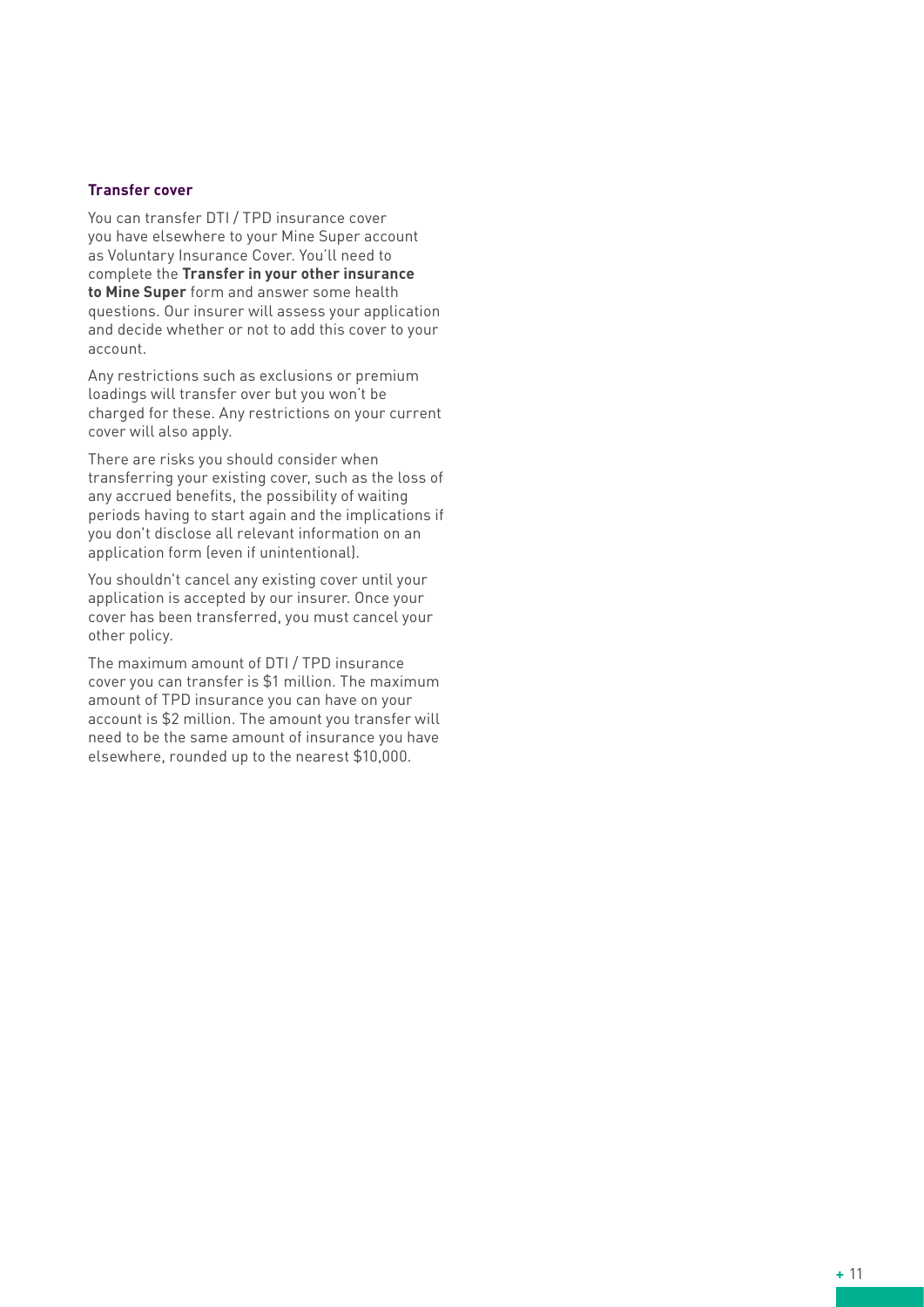#### **Transfer cover**

You can transfer DTI / TPD insurance cover you have elsewhere to your Mine Super account as Voluntary Insurance Cover. You'll need to complete the **Transfer in your other insurance to Mine Super** form and answer some health questions. Our insurer will assess your application and decide whether or not to add this cover to your account.

Any restrictions such as exclusions or premium loadings will transfer over but you won't be charged for these. Any restrictions on your current cover will also apply.

There are risks you should consider when transferring your existing cover, such as the loss of any accrued benefits, the possibility of waiting periods having to start again and the implications if you don't disclose all relevant information on an application form (even if unintentional).

You shouldn't cancel any existing cover until your application is accepted by our insurer. Once your cover has been transferred, you must cancel your other policy.

The maximum amount of DTI / TPD insurance cover you can transfer is \$1 million. The maximum amount of TPD insurance you can have on your account is \$2 million. The amount you transfer will need to be the same amount of insurance you have elsewhere, rounded up to the nearest \$10,000.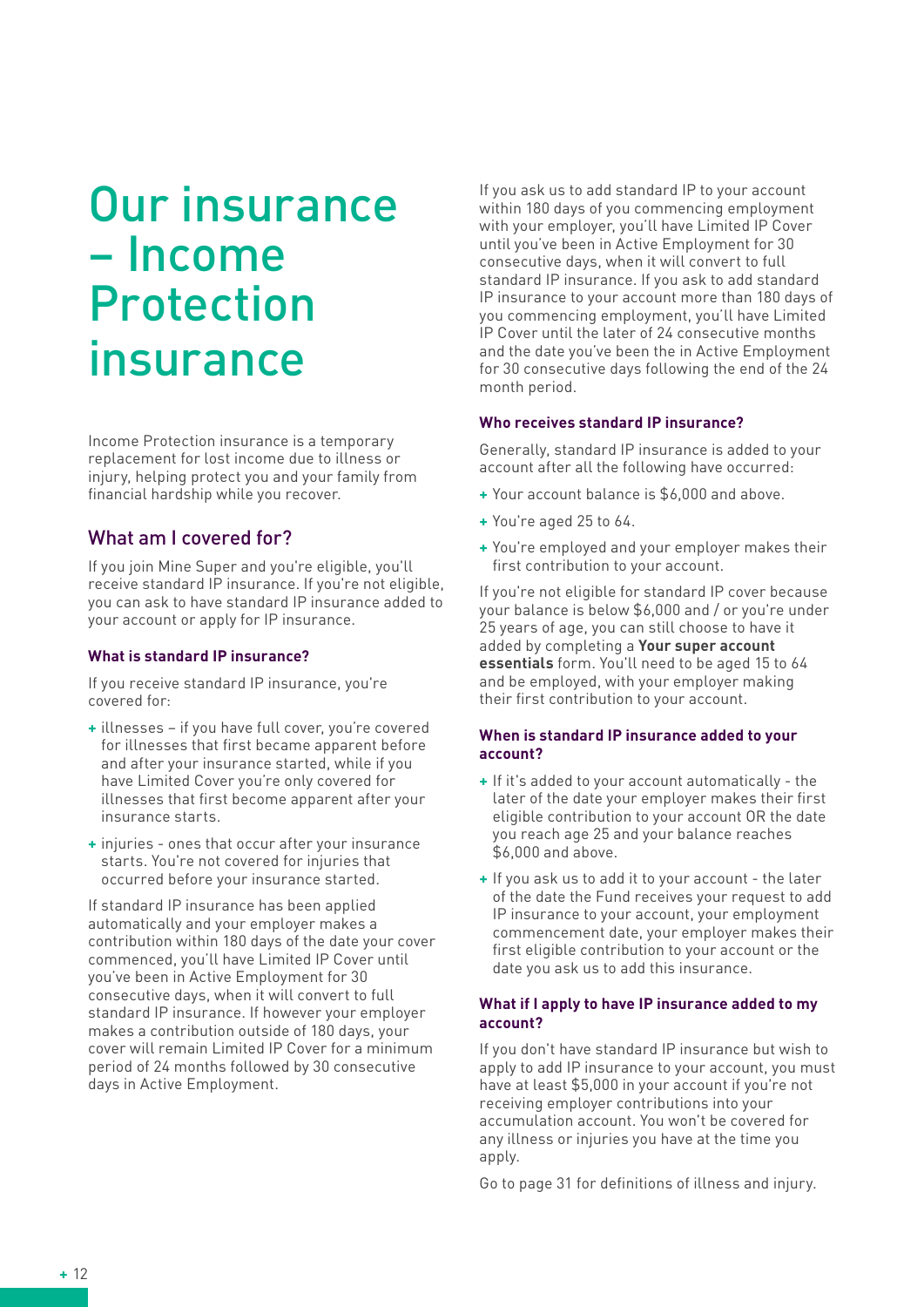# Our insurance – Income Protection insurance

Income Protection insurance is a temporary replacement for lost income due to illness or injury, helping protect you and your family from financial hardship while you recover.

## What am I covered for?

If you join Mine Super and you're eligible, you'll receive standard IP insurance. If you're not eligible, you can ask to have standard IP insurance added to your account or apply for IP insurance.

#### **What is standard IP insurance?**

If you receive standard IP insurance, you're covered for:

- **+** illnesses if you have full cover, you're covered for illnesses that first became apparent before and after your insurance started, while if you have Limited Cover you're only covered for illnesses that first become apparent after your insurance starts.
- **+** injuries ones that occur after your insurance starts. You're not covered for injuries that occurred before your insurance started.

If standard IP insurance has been applied automatically and your employer makes a contribution within 180 days of the date your cover commenced, you'll have Limited IP Cover until you've been in Active Employment for 30 consecutive days, when it will convert to full standard IP insurance. If however your employer makes a contribution outside of 180 days, your cover will remain Limited IP Cover for a minimum period of 24 months followed by 30 consecutive days in Active Employment.

If you ask us to add standard IP to your account within 180 days of you commencing employment with your employer, you'll have Limited IP Cover until you've been in Active Employment for 30 consecutive days, when it will convert to full standard IP insurance. If you ask to add standard IP insurance to your account more than 180 days of you commencing employment, you'll have Limited IP Cover until the later of 24 consecutive months and the date you've been the in Active Employment for 30 consecutive days following the end of the 24 month period.

#### **Who receives standard IP insurance?**

Generally, standard IP insurance is added to your account after all the following have occurred:

- **+** Your account balance is \$6,000 and above.
- **+** You're aged 25 to 64.
- **+** You're employed and your employer makes their first contribution to your account.

If you're not eligible for standard IP cover because your balance is below \$6,000 and / or you're under 25 years of age, you can still choose to have it added by completing a **Your super account essentials** form. You'll need to be aged 15 to 64 and be employed, with your employer making their first contribution to your account.

#### **When is standard IP insurance added to your account?**

- **+** If it's added to your account automatically the later of the date your employer makes their first eligible contribution to your account OR the date you reach age 25 and your balance reaches \$6,000 and above.
- **+** If you ask us to add it to your account the later of the date the Fund receives your request to add IP insurance to your account, your employment commencement date, your employer makes their first eligible contribution to your account or the date you ask us to add this insurance.

#### **What if I apply to have IP insurance added to my account?**

If you don't have standard IP insurance but wish to apply to add IP insurance to your account, you must have at least \$5,000 in your account if you're not receiving employer contributions into your accumulation account. You won't be covered for any illness or injuries you have at the time you apply.

Go to page 31 for definitions of illness and injury.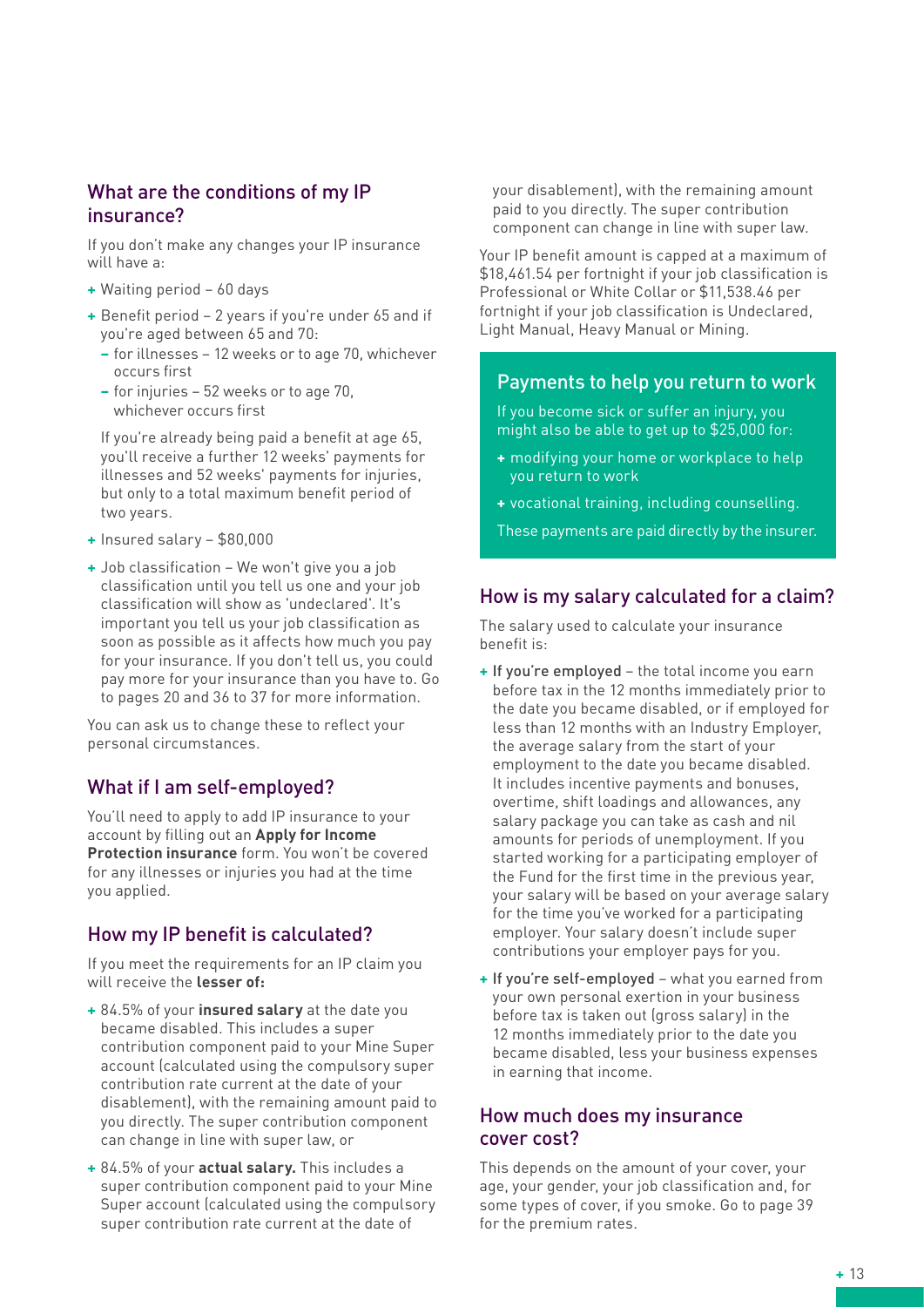#### What are the conditions of my IP insurance?

If you don't make any changes your IP insurance will have a:

- **+** Waiting period 60 days
- **+** Benefit period 2 years if you're under 65 and if you're aged between 65 and 70:
	- **–** for illnesses 12 weeks or to age 70, whichever occurs first
	- **–** for injuries 52 weeks or to age 70, whichever occurs first

If you're already being paid a benefit at age 65, you'll receive a further 12 weeks' payments for illnesses and 52 weeks' payments for injuries, but only to a total maximum benefit period of two years.

- **+** Insured salary \$80,000
- **+** Job classification We won't give you a job classification until you tell us one and your job classification will show as 'undeclared'. It's important you tell us your job classification as soon as possible as it affects how much you pay for your insurance. If you don't tell us, you could pay more for your insurance than you have to. Go to pages 20 and 36 to 37 for more information.

You can ask us to change these to reflect your personal circumstances.

## What if I am self-employed?

You'll need to apply to add IP insurance to your account by filling out an **Apply for Income Protection insurance** form. You won't be covered for any illnesses or injuries you had at the time you applied.

## How my IP benefit is calculated?

If you meet the requirements for an IP claim you will receive the **lesser of:**

- **+** 84.5% of your **insured salary** at the date you became disabled. This includes a super contribution component paid to your Mine Super account (calculated using the compulsory super contribution rate current at the date of your disablement), with the remaining amount paid to you directly. The super contribution component can change in line with super law, or
- **+** 84.5% of your **actual salary.** This includes a super contribution component paid to your Mine Super account (calculated using the compulsory super contribution rate current at the date of

your disablement), with the remaining amount paid to you directly. The super contribution component can change in line with super law.

Your IP benefit amount is capped at a maximum of \$18,461.54 per fortnight if your job classification is Professional or White Collar or \$11,538.46 per fortnight if your job classification is Undeclared, Light Manual, Heavy Manual or Mining.

#### Payments to help you return to work

If you become sick or suffer an injury, you might also be able to get up to \$25,000 for:

- **+** modifying your home or workplace to help you return to work
- **+** vocational training, including counselling.

These payments are paid directly by the insurer.

## How is my salary calculated for a claim?

The salary used to calculate your insurance benefit is:

- **+** If you're employed the total income you earn before tax in the 12 months immediately prior to the date you became disabled, or if employed for less than 12 months with an Industry Employer, the average salary from the start of your employment to the date you became disabled. It includes incentive payments and bonuses, overtime, shift loadings and allowances, any salary package you can take as cash and nil amounts for periods of unemployment. If you started working for a participating employer of the Fund for the first time in the previous year, your salary will be based on your average salary for the time you've worked for a participating employer. Your salary doesn't include super contributions your employer pays for you.
- **+** If you're self-employed what you earned from your own personal exertion in your business before tax is taken out laross salary) in the 12 months immediately prior to the date you became disabled, less your business expenses in earning that income.

#### How much does my insurance cover cost?

This depends on the amount of your cover, your age, your gender, your job classification and, for some types of cover, if you smoke. Go to page 39 for the premium rates.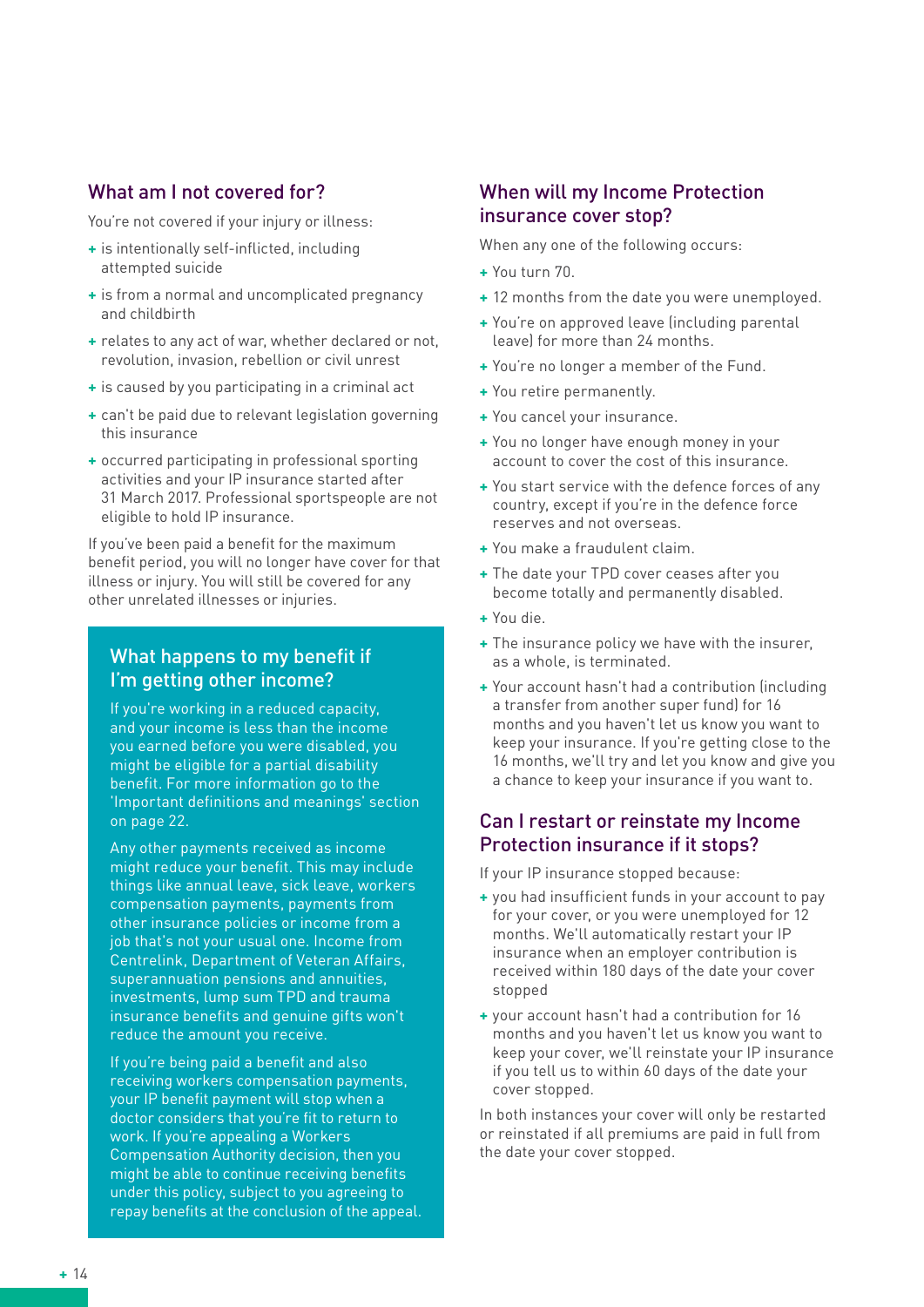#### What am I not covered for?

You're not covered if your injury or illness:

- **+** is intentionally self-inflicted, including attempted suicide
- **+** is from a normal and uncomplicated pregnancy and childbirth
- **+** relates to any act of war, whether declared or not, revolution, invasion, rebellion or civil unrest
- **+** is caused by you participating in a criminal act
- **+** can't be paid due to relevant legislation governing this insurance
- **+** occurred participating in professional sporting activities and your IP insurance started after 31 March 2017. Professional sportspeople are not eligible to hold IP insurance.

If you've been paid a benefit for the maximum benefit period, you will no longer have cover for that illness or injury. You will still be covered for any other unrelated illnesses or injuries.

#### What happens to my benefit if I'm getting other income?

If you're working in a reduced capacity, and your income is less than the income you earned before you were disabled, you might be eligible for a partial disability benefit. For more information go to the 'Important definitions and meanings' section on page 22.

Any other payments received as income might reduce your benefit. This may include things like annual leave, sick leave, workers compensation payments, payments from other insurance policies or income from a job that's not your usual one. Income from Centrelink, Department of Veteran Affairs, superannuation pensions and annuities, investments, lump sum TPD and trauma insurance benefits and genuine gifts won't reduce the amount you receive.

If you're being paid a benefit and also receiving workers compensation payments, your IP benefit payment will stop when a doctor considers that you're fit to return to work. If you're appealing a Workers Compensation Authority decision, then you might be able to continue receiving benefits under this policy, subject to you agreeing to repay benefits at the conclusion of the appeal.

## When will my Income Protection insurance cover stop?

When any one of the following occurs:

- **+** You turn 70.
- **+** 12 months from the date you were unemployed.
- **+** You're on approved leave (including parental leave) for more than 24 months.
- **+** You're no longer a member of the Fund.
- **+** You retire permanently.
- **+** You cancel your insurance.
- **+** You no longer have enough money in your account to cover the cost of this insurance.
- **+** You start service with the defence forces of any country, except if you're in the defence force reserves and not overseas.
- **+** You make a fraudulent claim.
- **+** The date your TPD cover ceases after you become totally and permanently disabled.
- **+** You die.
- **+** The insurance policy we have with the insurer, as a whole, is terminated.
- **+** Your account hasn't had a contribution (including a transfer from another super fund) for 16 months and you haven't let us know you want to keep your insurance. If you're getting close to the 16 months, we'll try and let you know and give you a chance to keep your insurance if you want to.

#### Can I restart or reinstate my Income Protection insurance if it stops?

If your IP insurance stopped because:

- **+** you had insufficient funds in your account to pay for your cover, or you were unemployed for 12 months. We'll automatically restart your IP insurance when an employer contribution is received within 180 days of the date your cover stopped
- **+** your account hasn't had a contribution for 16 months and you haven't let us know you want to keep your cover, we'll reinstate your IP insurance if you tell us to within 60 days of the date your cover stopped.

In both instances your cover will only be restarted or reinstated if all premiums are paid in full from the date your cover stopped.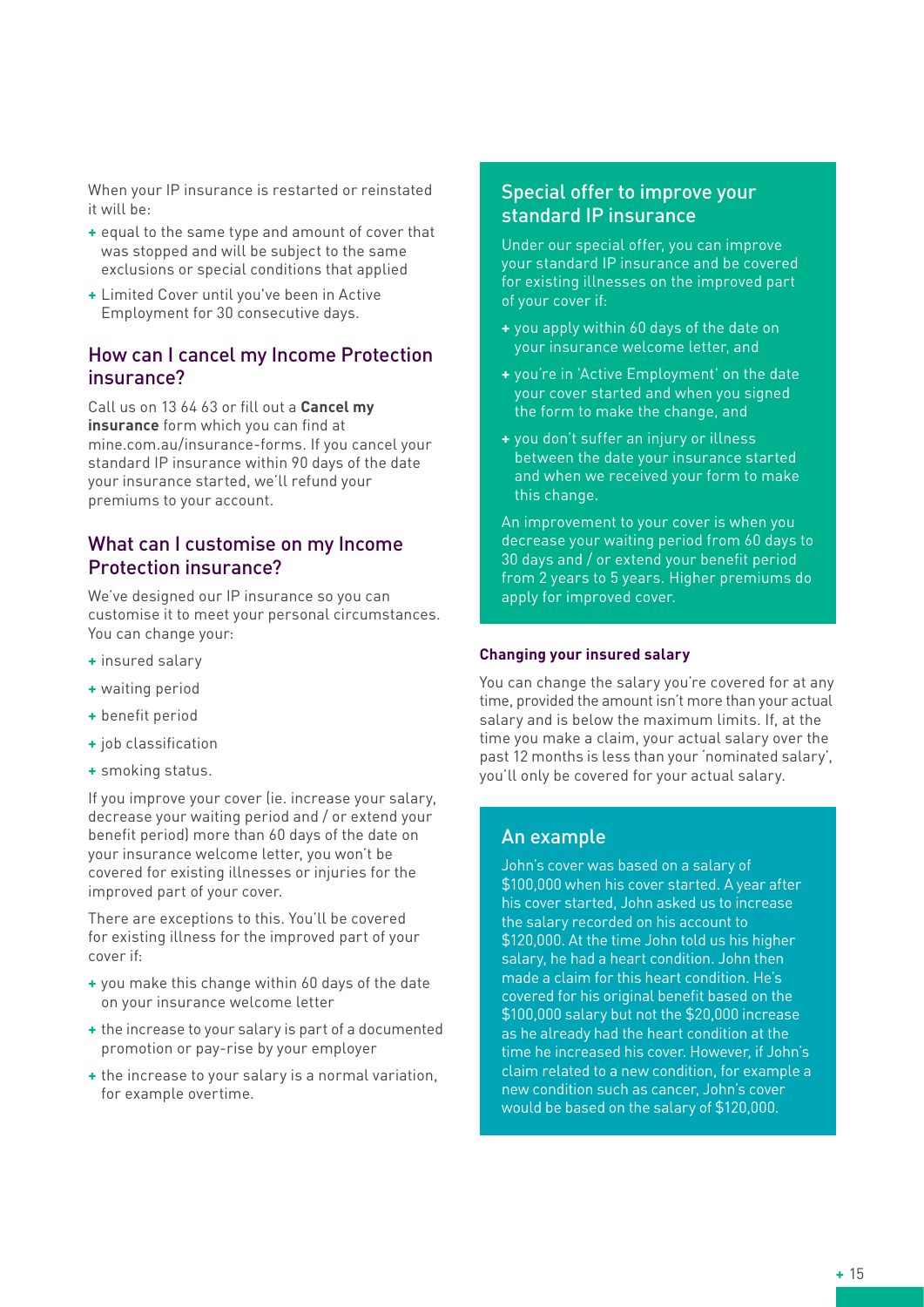When your IP insurance is restarted or reinstated it will be:

- **+** equal to the same type and amount of cover that was stopped and will be subject to the same exclusions or special conditions that applied
- **+** Limited Cover until you've been in Active Employment for 30 consecutive days.

#### How can I cancel my Income Protection insurance?

Call us on 13 64 63 or fill out a **Cancel my insurance** form which you can find at mine.com.au/insurance-forms. If you cancel your standard IP insurance within 90 days of the date your insurance started, we'll refund your premiums to your account.

#### What can I customise on my Income Protection insurance?

We've designed our IP insurance so you can customise it to meet your personal circumstances. You can change your:

- **+** insured salary
- **+** waiting period
- **+** benefit period
- **+** job classification
- **+** smoking status.

If you improve your cover (ie. increase your salary, decrease your waiting period and / or extend your benefit period) more than 60 days of the date on your insurance welcome letter, you won't be covered for existing illnesses or injuries for the improved part of your cover.

There are exceptions to this. You'll be covered for existing illness for the improved part of your cover if:

- **+** you make this change within 60 days of the date on your insurance welcome letter
- **+** the increase to your salary is part of a documented promotion or pay-rise by your employer
- **+** the increase to your salary is a normal variation, for example overtime.

#### Special offer to improve your standard IP insurance

Under our special offer, you can improve your standard IP insurance and be covered for existing illnesses on the improved part of your cover if:

- **+** you apply within 60 days of the date on your insurance welcome letter, and
- **+** you're in 'Active Employment' on the date your cover started and when you signed the form to make the change, and
- **+** you don't suffer an injury or illness between the date your insurance started and when we received your form to make this change.

An improvement to your cover is when you decrease your waiting period from 60 days to 30 days and / or extend your benefit period from 2 years to 5 years. Higher premiums do apply for improved cover.

#### **Changing your insured salary**

You can change the salary you're covered for at any time, provided the amount isn't more than your actual salary and is below the maximum limits. If, at the time you make a claim, your actual salary over the past 12 months is less than your 'nominated salary', you'll only be covered for your actual salary.

#### An example

John's cover was based on a salary of \$100,000 when his cover started. A year after his cover started, John asked us to increase the salary recorded on his account to \$120,000. At the time John told us his higher salary, he had a heart condition. John then made a claim for this heart condition. He's covered for his original benefit based on the \$100,000 salary but not the \$20,000 increase as he already had the heart condition at the time he increased his cover. However, if John's claim related to a new condition, for example a new condition such as cancer, John's cover would be based on the salary of \$120,000.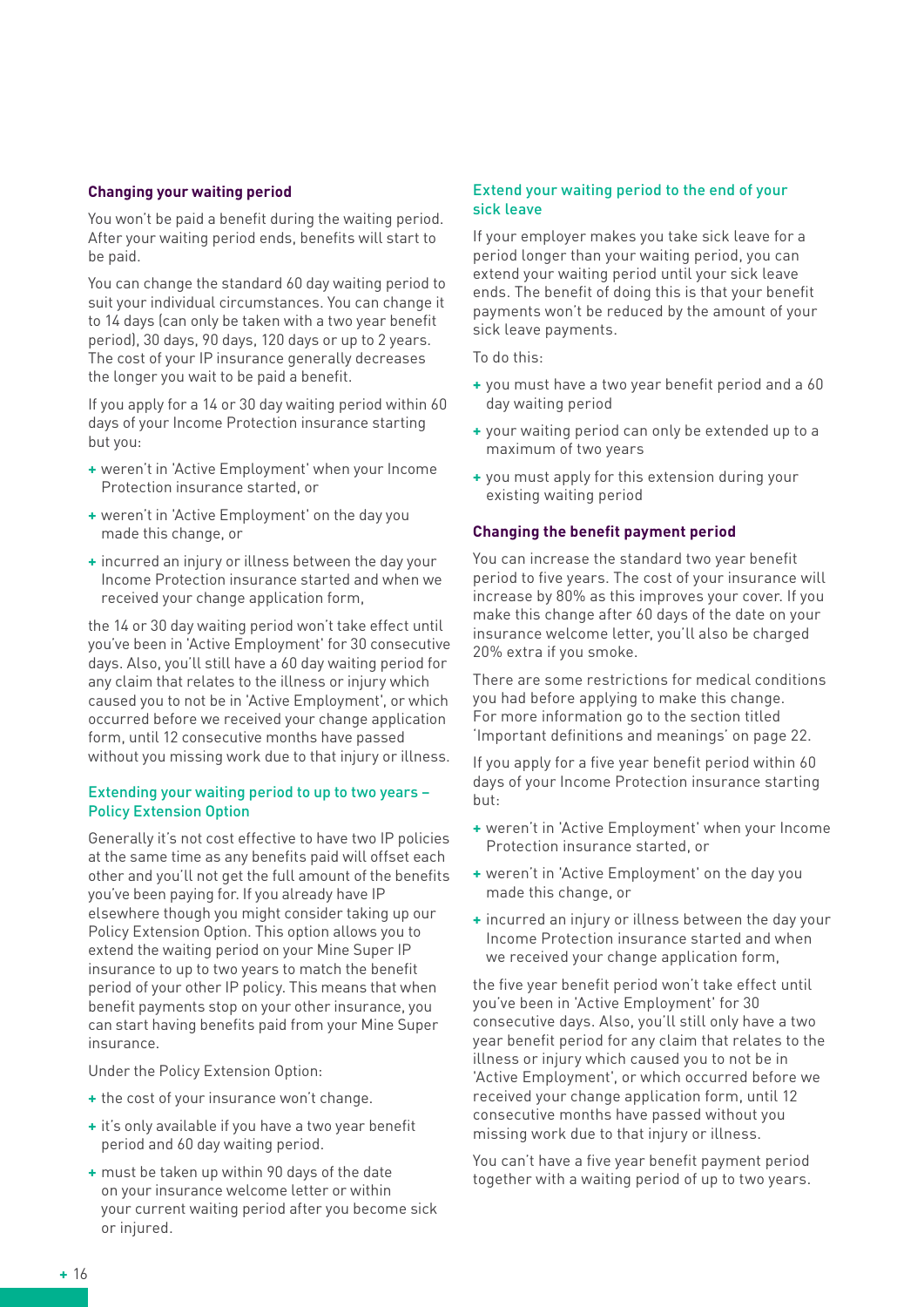#### **Changing your waiting period**

You won't be paid a benefit during the waiting period. After your waiting period ends, benefits will start to be paid.

You can change the standard 60 day waiting period to suit your individual circumstances. You can change it to 14 days (can only be taken with a two year benefit period), 30 days, 90 days, 120 days or up to 2 years. The cost of your IP insurance generally decreases the longer you wait to be paid a benefit.

If you apply for a 14 or 30 day waiting period within 60 days of your Income Protection insurance starting but you:

- **+** weren't in 'Active Employment' when your Income Protection insurance started, or
- **+** weren't in 'Active Employment' on the day you made this change, or
- **+** incurred an injury or illness between the day your Income Protection insurance started and when we received your change application form,

the 14 or 30 day waiting period won't take effect until you've been in 'Active Employment' for 30 consecutive days. Also, you'll still have a 60 day waiting period for any claim that relates to the illness or injury which caused you to not be in 'Active Employment', or which occurred before we received your change application form, until 12 consecutive months have passed without you missing work due to that injury or illness.

#### Extending your waiting period to up to two years – Policy Extension Option

Generally it's not cost effective to have two IP policies at the same time as any benefits paid will offset each other and you'll not get the full amount of the benefits you've been paying for. If you already have IP elsewhere though you might consider taking up our Policy Extension Option. This option allows you to extend the waiting period on your Mine Super IP insurance to up to two years to match the benefit period of your other IP policy. This means that when benefit payments stop on your other insurance, you can start having benefits paid from your Mine Super insurance.

Under the Policy Extension Option:

- **+** the cost of your insurance won't change.
- **+** it's only available if you have a two year benefit period and 60 day waiting period.
- **+** must be taken up within 90 days of the date on your insurance welcome letter or within your current waiting period after you become sick or injured.

#### Extend your waiting period to the end of your sick leave

If your employer makes you take sick leave for a period longer than your waiting period, you can extend your waiting period until your sick leave ends. The benefit of doing this is that your benefit payments won't be reduced by the amount of your sick leave payments.

#### To do this:

- **+** you must have a two year benefit period and a 60 day waiting period
- **+** your waiting period can only be extended up to a maximum of two years
- **+** you must apply for this extension during your existing waiting period

#### **Changing the benefit payment period**

You can increase the standard two year benefit period to five years. The cost of your insurance will increase by 80% as this improves your cover. If you make this change after 60 days of the date on your insurance welcome letter, you'll also be charged 20% extra if you smoke.

There are some restrictions for medical conditions you had before applying to make this change. For more information go to the section titled 'Important definitions and meanings' on page 22.

If you apply for a five year benefit period within 60 days of your Income Protection insurance starting but:

- **+** weren't in 'Active Employment' when your Income Protection insurance started, or
- **+** weren't in 'Active Employment' on the day you made this change, or
- **+** incurred an injury or illness between the day your Income Protection insurance started and when we received your change application form,

the five year benefit period won't take effect until you've been in 'Active Employment' for 30 consecutive days. Also, you'll still only have a two year benefit period for any claim that relates to the illness or injury which caused you to not be in 'Active Employment', or which occurred before we received your change application form, until 12 consecutive months have passed without you missing work due to that injury or illness.

You can't have a five year benefit payment period together with a waiting period of up to two years.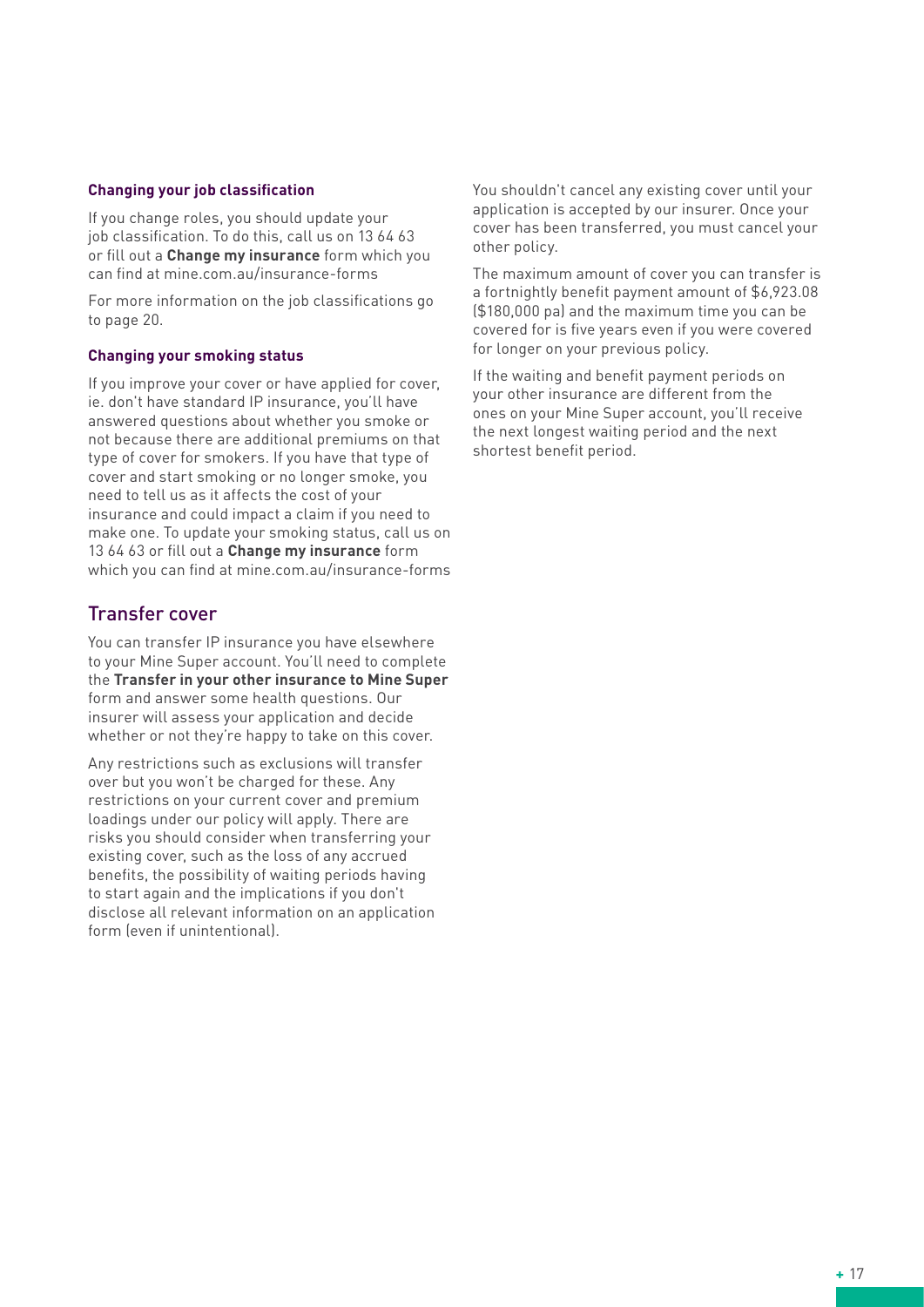#### **Changing your job classification**

If you change roles, you should update your iob classification. To do this, call us on 13 64 63 or fill out a **Change my insurance** form which you can find at mine.com.au/insurance-forms

For more information on the job classifications go to page 20.

#### **Changing your smoking status**

If you improve your cover or have applied for cover, ie. don't have standard IP insurance, you'll have answered questions about whether you smoke or not because there are additional premiums on that type of cover for smokers. If you have that type of cover and start smoking or no longer smoke, you need to tell us as it affects the cost of your insurance and could impact a claim if you need to make one. To update your smoking status, call us on 13 64 63 or fill out a **Change my insurance** form which you can find at mine.com.au/insurance-forms

#### Transfer cover

You can transfer IP insurance you have elsewhere to your Mine Super account. You'll need to complete the **Transfer in your other insurance to Mine Super** form and answer some health questions. Our insurer will assess your application and decide whether or not they're happy to take on this cover.

Any restrictions such as exclusions will transfer over but you won't be charged for these. Any restrictions on your current cover and premium loadings under our policy will apply. There are risks you should consider when transferring your existing cover, such as the loss of any accrued benefits, the possibility of waiting periods having to start again and the implications if you don't disclose all relevant information on an application form (even if unintentional).

You shouldn't cancel any existing cover until your application is accepted by our insurer. Once your cover has been transferred, you must cancel your other policy.

The maximum amount of cover you can transfer is a fortnightly benefit payment amount of \$6,923.08 (\$180,000 pa) and the maximum time you can be covered for is five years even if you were covered for longer on your previous policy.

If the waiting and benefit payment periods on your other insurance are different from the ones on your Mine Super account, you'll receive the next longest waiting period and the next shortest benefit period.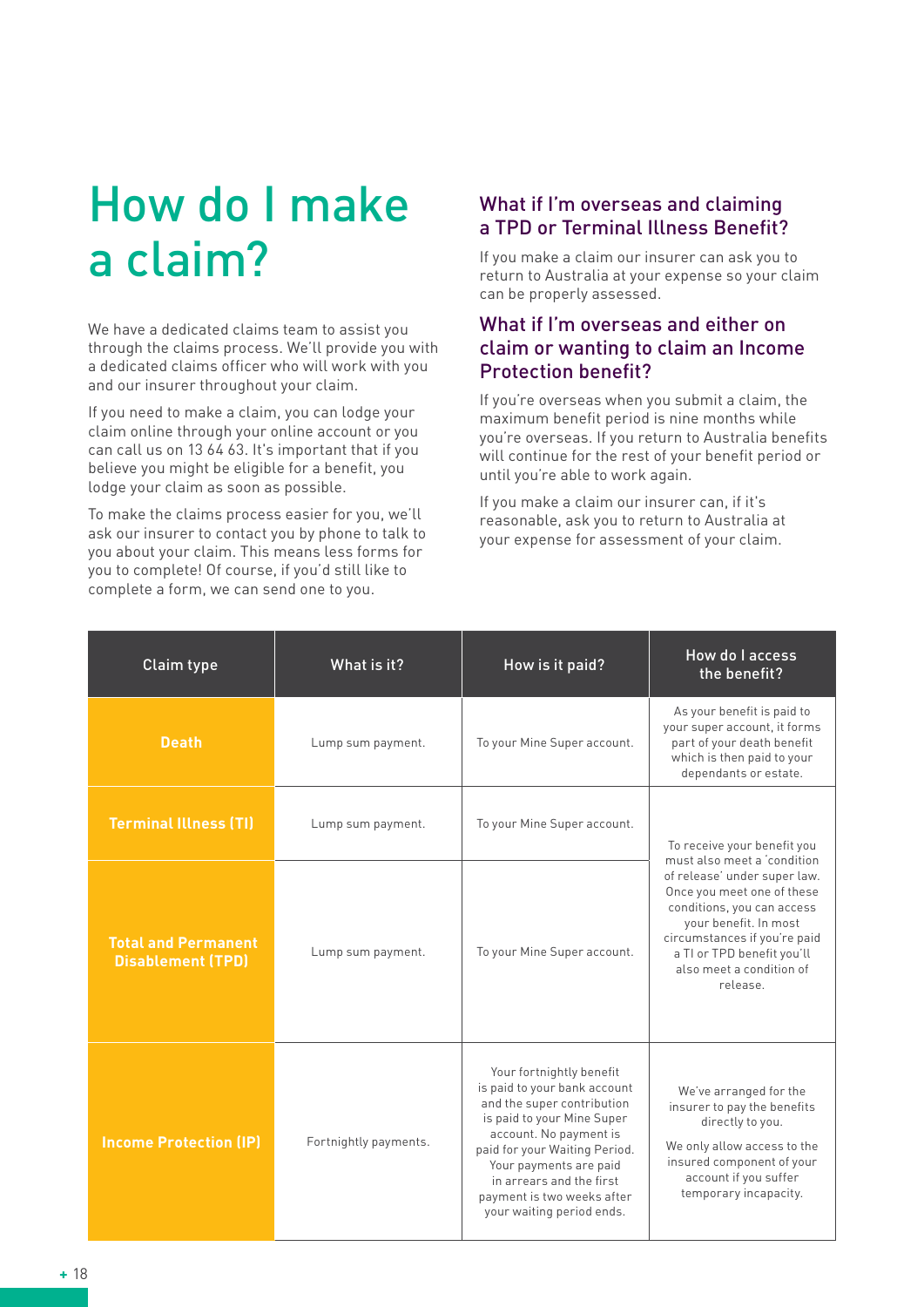# How do I make a claim?

We have a dedicated claims team to assist you through the claims process. We'll provide you with a dedicated claims officer who will work with you and our insurer throughout your claim.

If you need to make a claim, you can lodge your claim online through your online account or you can call us on 13 64 63. It's important that if you believe you might be eligible for a benefit, you lodge your claim as soon as possible.

To make the claims process easier for you, we'll ask our insurer to contact you by phone to talk to you about your claim. This means less forms for you to complete! Of course, if you'd still like to complete a form, we can send one to you.

## What if I'm overseas and claiming a TPD or Terminal Illness Benefit?

If you make a claim our insurer can ask you to return to Australia at your expense so your claim can be properly assessed.

#### What if I'm overseas and either on claim or wanting to claim an Income Protection benefit?

If you're overseas when you submit a claim, the maximum benefit period is nine months while you're overseas. If you return to Australia benefits will continue for the rest of your benefit period or until you're able to work again.

If you make a claim our insurer can, if it's reasonable, ask you to return to Australia at your expense for assessment of your claim.

| Claim type                                             | What is it?           | How is it paid?                                                                                                                                                                                                                                                                                  | How do I access<br>the benefit?                                                                                                                                                                                                                        |  |
|--------------------------------------------------------|-----------------------|--------------------------------------------------------------------------------------------------------------------------------------------------------------------------------------------------------------------------------------------------------------------------------------------------|--------------------------------------------------------------------------------------------------------------------------------------------------------------------------------------------------------------------------------------------------------|--|
| <b>Death</b>                                           | Lump sum payment.     | To your Mine Super account.                                                                                                                                                                                                                                                                      | As your benefit is paid to<br>your super account, it forms<br>part of your death benefit<br>which is then paid to your<br>dependants or estate.                                                                                                        |  |
| <b>Terminal Illness (TI)</b>                           | Lump sum payment.     | To your Mine Super account.                                                                                                                                                                                                                                                                      | To receive your benefit you                                                                                                                                                                                                                            |  |
| <b>Total and Permanent</b><br><b>Disablement (TPD)</b> | Lump sum payment.     | To your Mine Super account.                                                                                                                                                                                                                                                                      | must also meet a 'condition<br>of release' under super law.<br>Once you meet one of these<br>conditions, you can access<br>your benefit. In most<br>circumstances if you're paid<br>a TI or TPD benefit you'll<br>also meet a condition of<br>release. |  |
| <b>Income Protection (IP)</b>                          | Fortnightly payments. | Your fortnightly benefit<br>is paid to your bank account<br>and the super contribution<br>is paid to your Mine Super<br>account. No payment is<br>paid for your Waiting Period.<br>Your payments are paid<br>in arrears and the first<br>payment is two weeks after<br>your waiting period ends. | We've arranged for the<br>insurer to pay the benefits<br>directly to you.<br>We only allow access to the<br>insured component of your<br>account if you suffer<br>temporary incapacity.                                                                |  |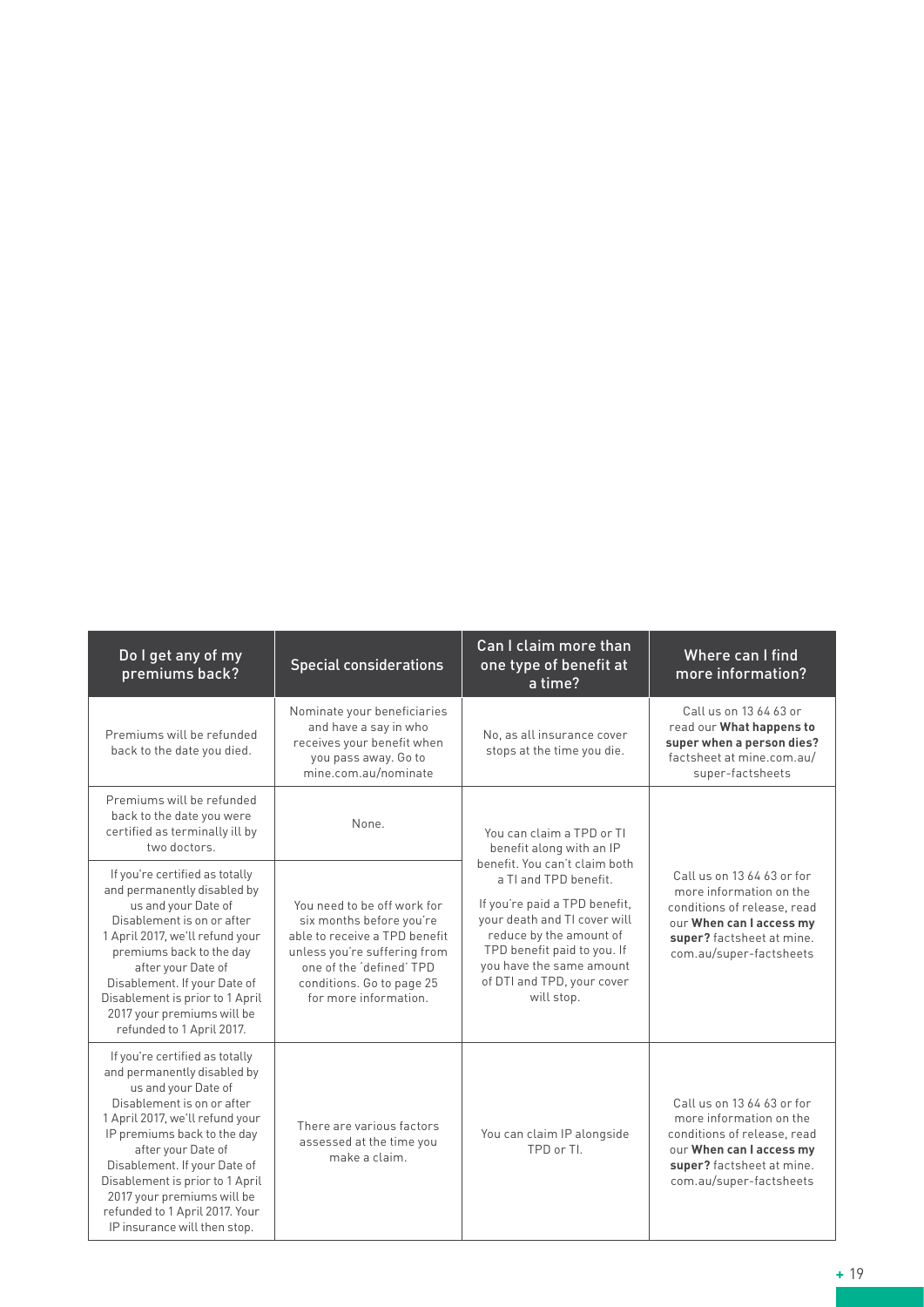| Do I get any of my<br>premiums back?                                                                                                                                                                                                                                                                                                                                          | Can I claim more than<br><b>Special considerations</b><br>one type of benefit at<br>a time?                                                                                                                |                                                                                                                                                                                                                                                           | Where can I find<br>more information?                                                                                                                                    |
|-------------------------------------------------------------------------------------------------------------------------------------------------------------------------------------------------------------------------------------------------------------------------------------------------------------------------------------------------------------------------------|------------------------------------------------------------------------------------------------------------------------------------------------------------------------------------------------------------|-----------------------------------------------------------------------------------------------------------------------------------------------------------------------------------------------------------------------------------------------------------|--------------------------------------------------------------------------------------------------------------------------------------------------------------------------|
| Premiums will be refunded<br>back to the date you died.                                                                                                                                                                                                                                                                                                                       | Nominate your beneficiaries<br>and have a say in who<br>receives your benefit when<br>you pass away. Go to<br>mine.com.au/nominate                                                                         | No, as all insurance cover<br>stops at the time you die.                                                                                                                                                                                                  | Call us on 13 64 63 or<br>read our What happens to<br>super when a person dies?<br>factsheet at mine.com.au/<br>super-factsheets                                         |
| Premiums will be refunded<br>back to the date you were<br>certified as terminally ill by<br>two doctors.                                                                                                                                                                                                                                                                      | None.                                                                                                                                                                                                      | You can claim a TPD or TI<br>benefit along with an IP                                                                                                                                                                                                     |                                                                                                                                                                          |
| If you're certified as totally<br>and permanently disabled by<br>us and your Date of<br>Disablement is on or after<br>1 April 2017, we'll refund your<br>premiums back to the day<br>after your Date of<br>Disablement. If your Date of<br>Disablement is prior to 1 April<br>2017 your premiums will be<br>refunded to 1 April 2017.                                         | You need to be off work for<br>six months before you're<br>able to receive a TPD benefit<br>unless you're suffering from<br>one of the 'defined' TPD<br>conditions. Go to page 25<br>for more information. | benefit. You can't claim both<br>a TI and TPD benefit.<br>If you're paid a TPD benefit,<br>your death and TI cover will<br>reduce by the amount of<br>TPD benefit paid to you. If<br>you have the same amount<br>of DTI and TPD, your cover<br>will stop. | Call us on 13 64 63 or for<br>more information on the<br>conditions of release, read<br>our When can I access my<br>super? factsheet at mine.<br>com.au/super-factsheets |
| If you're certified as totally<br>and permanently disabled by<br>us and your Date of<br>Disablement is on or after<br>1 April 2017, we'll refund your<br>IP premiums back to the day<br>after your Date of<br>Disablement. If your Date of<br>Disablement is prior to 1 April<br>2017 your premiums will be<br>refunded to 1 April 2017. Your<br>IP insurance will then stop. | There are various factors<br>assessed at the time you<br>make a claim.                                                                                                                                     | You can claim IP alongside<br>TPD or TI.                                                                                                                                                                                                                  | Call us on 13 64 63 or for<br>more information on the<br>conditions of release, read<br>our When can I access my<br>super? factsheet at mine.<br>com.au/super-factsheets |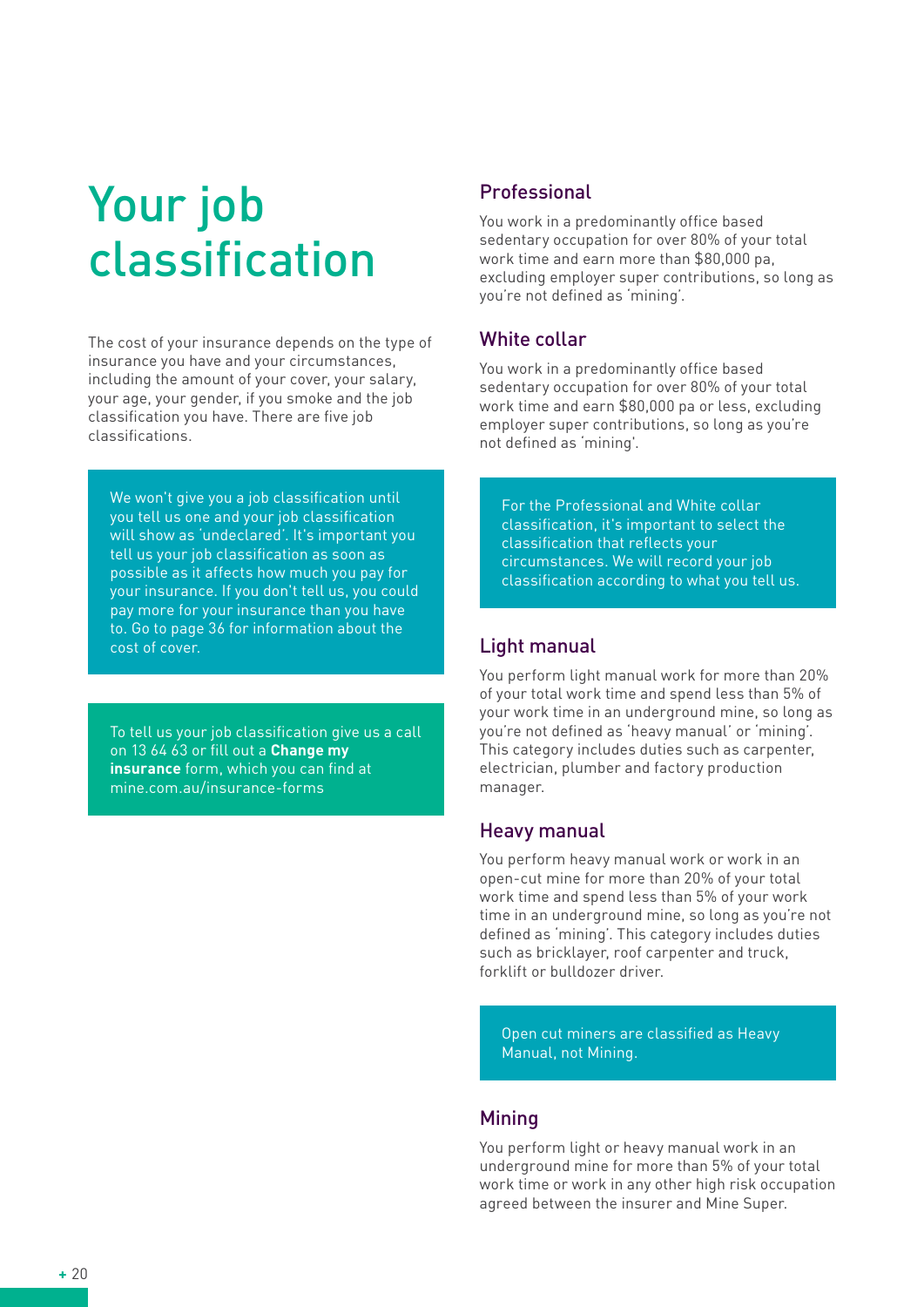# Your job classification

The cost of your insurance depends on the type of insurance you have and your circumstances, including the amount of your cover, your salary, your age, your gender, if you smoke and the job classification you have. There are five job classifications.

We won't give you a job classification until you tell us one and your job classification will show as 'undeclared'. It's important you tell us your job classification as soon as possible as it affects how much you pay for your insurance. If you don't tell us, you could pay more for your insurance than you have to. Go to page 36 for information about the cost of cover.

To tell us your job classification give us a call on 13 64 63 or fill out a **Change my insurance** form, which you can find at mine.com.au/insurance-forms

## Professional

You work in a predominantly office based sedentary occupation for over 80% of your total work time and earn more than \$80,000 pa, excluding employer super contributions, so long as you're not defined as 'mining'.

## White collar

You work in a predominantly office based sedentary occupation for over 80% of your total work time and earn \$80,000 pa or less, excluding employer super contributions, so long as you're not defined as 'mining'.

For the Professional and White collar classification, it's important to select the classification that reflects your circumstances. We will record your job classification according to what you tell us.

## Light manual

You perform light manual work for more than 20% of your total work time and spend less than 5% of your work time in an underground mine, so long as you're not defined as 'heavy manual' or 'mining'. This category includes duties such as carpenter, electrician, plumber and factory production manager.

## Heavy manual

You perform heavy manual work or work in an open-cut mine for more than 20% of your total work time and spend less than 5% of your work time in an underground mine, so long as you're not defined as 'mining'. This category includes duties such as bricklayer, roof carpenter and truck, forklift or bulldozer driver.

Open cut miners are classified as Heavy Manual, not Mining.

## **Mining**

You perform light or heavy manual work in an underground mine for more than 5% of your total work time or work in any other high risk occupation agreed between the insurer and Mine Super.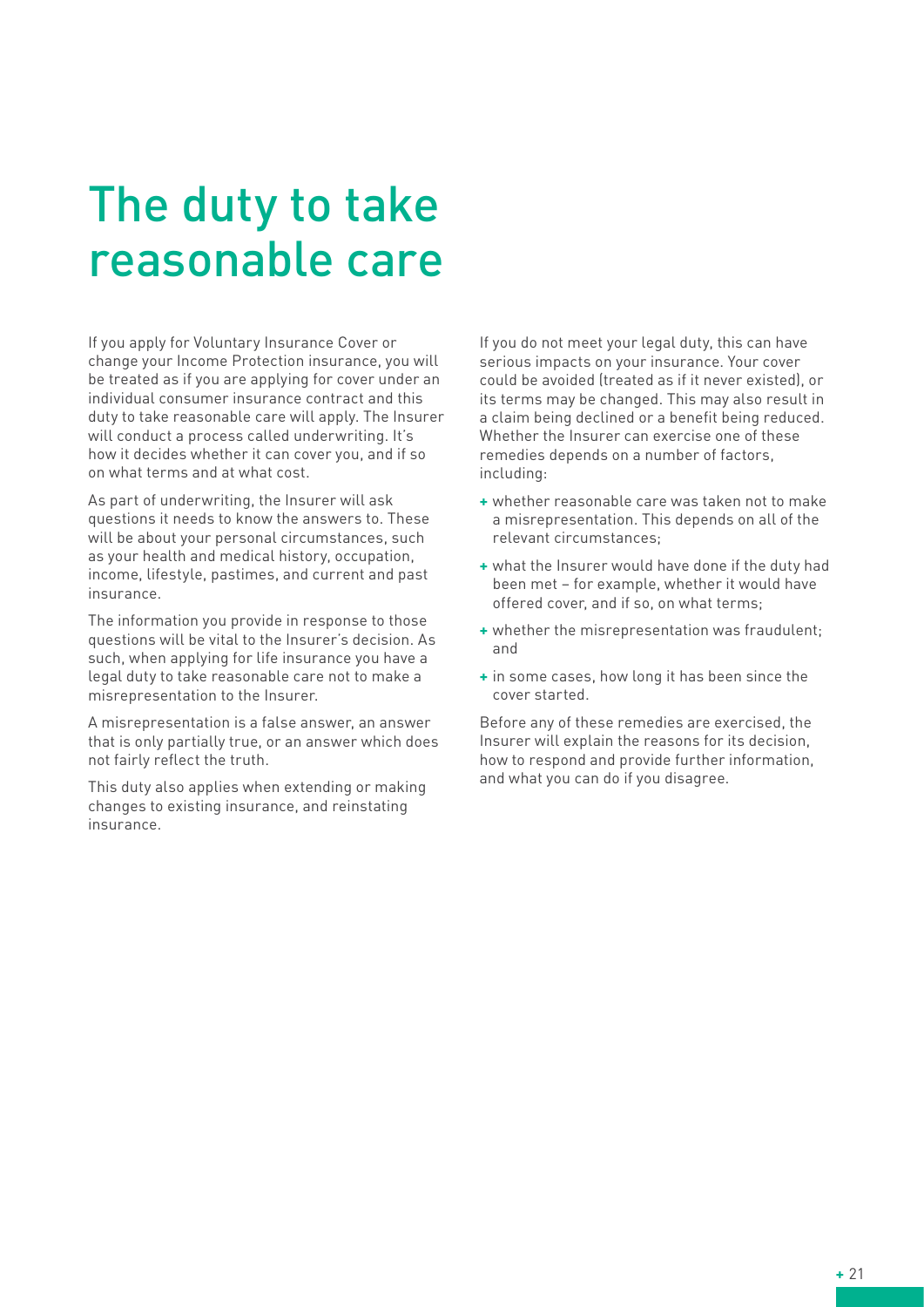# The duty to take reasonable care

If you apply for Voluntary Insurance Cover or change your Income Protection insurance, you will be treated as if you are applying for cover under an individual consumer insurance contract and this duty to take reasonable care will apply. The Insurer will conduct a process called underwriting. It's how it decides whether it can cover you, and if so on what terms and at what cost.

As part of underwriting, the Insurer will ask questions it needs to know the answers to. These will be about your personal circumstances, such as your health and medical history, occupation, income, lifestyle, pastimes, and current and past insurance.

The information you provide in response to those questions will be vital to the Insurer's decision. As such, when applying for life insurance you have a legal duty to take reasonable care not to make a misrepresentation to the Insurer.

A misrepresentation is a false answer, an answer that is only partially true, or an answer which does not fairly reflect the truth.

This duty also applies when extending or making changes to existing insurance, and reinstating insurance.

If you do not meet your legal duty, this can have serious impacts on your insurance. Your cover could be avoided (treated as if it never existed), or its terms may be changed. This may also result in a claim being declined or a benefit being reduced. Whether the Insurer can exercise one of these remedies depends on a number of factors, including:

- **+** whether reasonable care was taken not to make a misrepresentation. This depends on all of the relevant circumstances;
- **+** what the Insurer would have done if the duty had been met – for example, whether it would have offered cover, and if so, on what terms;
- **+** whether the misrepresentation was fraudulent; and
- **+** in some cases, how long it has been since the cover started.

Before any of these remedies are exercised, the Insurer will explain the reasons for its decision, how to respond and provide further information, and what you can do if you disagree.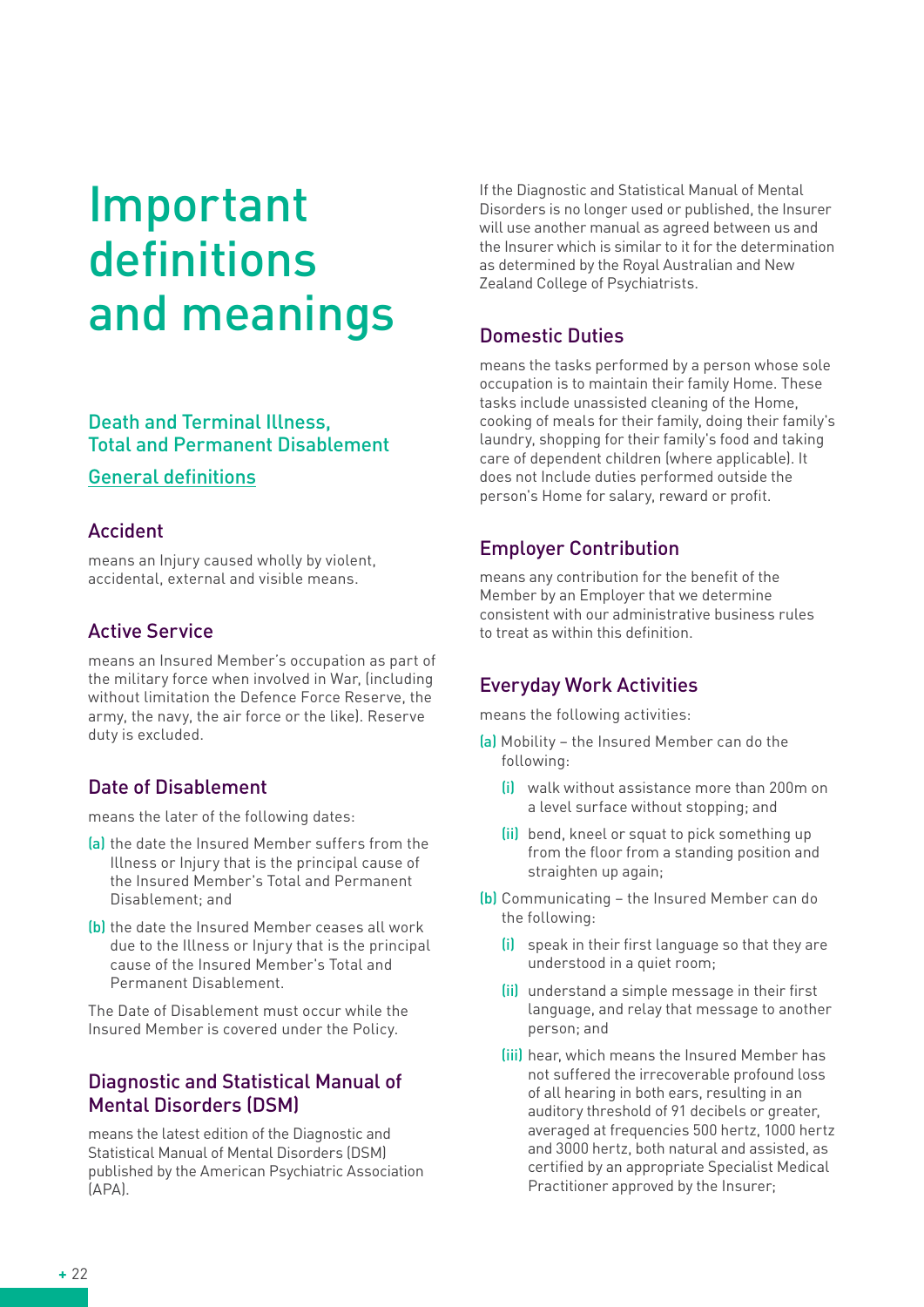# Important definitions and meanings

## Death and Terminal Illness, Total and Permanent Disablement

#### General definitions

#### Accident

means an Injury caused wholly by violent, accidental, external and visible means.

#### Active Service

means an Insured Member's occupation as part of the military force when involved in War, (including without limitation the Defence Force Reserve, the army, the navy, the air force or the like). Reserve duty is excluded.

## Date of Disablement

means the later of the following dates:

- (a) the date the Insured Member suffers from the Illness or Injury that is the principal cause of the Insured Member's Total and Permanent Disablement; and
- (b) the date the Insured Member ceases all work due to the Illness or Injury that is the principal cause of the Insured Member's Total and Permanent Disablement.

The Date of Disablement must occur while the Insured Member is covered under the Policy.

## Diagnostic and Statistical Manual of Mental Disorders (DSM)

means the latest edition of the Diagnostic and Statistical Manual of Mental Disorders (DSM) published by the American Psychiatric Association (APA).

If the Diagnostic and Statistical Manual of Mental Disorders is no longer used or published, the Insurer will use another manual as agreed between us and the Insurer which is similar to it for the determination as determined by the Royal Australian and New Zealand College of Psychiatrists.

# Domestic Duties

means the tasks performed by a person whose sole occupation is to maintain their family Home. These tasks include unassisted cleaning of the Home, cooking of meals for their family, doing their family's laundry, shopping for their family's food and taking care of dependent children (where applicable). It does not Include duties performed outside the person's Home for salary, reward or profit.

## Employer Contribution

means any contribution for the benefit of the Member by an Employer that we determine consistent with our administrative business rules to treat as within this definition.

## Everyday Work Activities

means the following activities:

- (a) Mobility the Insured Member can do the following:
	- (i) walk without assistance more than 200m on a level surface without stopping; and
	- (ii) bend, kneel or squat to pick something up from the floor from a standing position and straighten up again;
- (b) Communicating the Insured Member can do the following:
	- (i) speak in their first language so that they are understood in a quiet room;
	- (ii) understand a simple message in their first language, and relay that message to another person; and
	- (iii) hear, which means the Insured Member has not suffered the irrecoverable profound loss of all hearing in both ears, resulting in an auditory threshold of 91 decibels or greater, averaged at frequencies 500 hertz, 1000 hertz and 3000 hertz, both natural and assisted, as certified by an appropriate Specialist Medical Practitioner approved by the Insurer;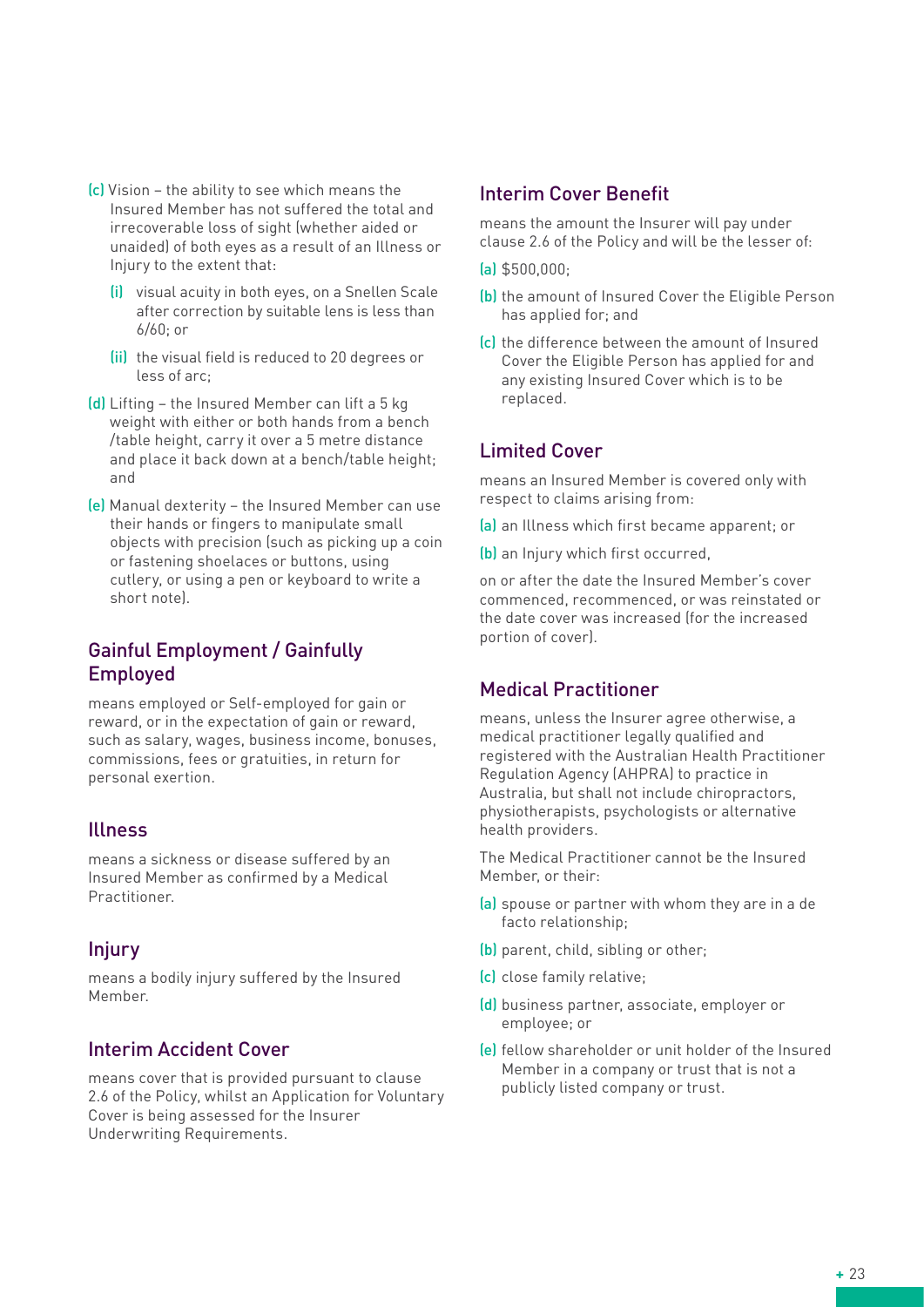- (c) Vision the ability to see which means the Insured Member has not suffered the total and irrecoverable loss of sight (whether aided or unaided) of both eyes as a result of an Illness or Injury to the extent that:
	- (i) visual acuity in both eyes, on a Snellen Scale after correction by suitable lens is less than 6/60; or
	- (ii) the visual field is reduced to 20 degrees or less of arc;
- (d) Lifting the Insured Member can lift a 5 kg weight with either or both hands from a bench /table height, carry it over a 5 metre distance and place it back down at a bench/table height; and
- (e) Manual dexterity the Insured Member can use their hands or fingers to manipulate small objects with precision (such as picking up a coin or fastening shoelaces or buttons, using cutlery, or using a pen or keyboard to write a short note).

## Gainful Employment / Gainfully Employed

means employed or Self-employed for gain or reward, or in the expectation of gain or reward, such as salary, wages, business income, bonuses, commissions, fees or gratuities, in return for personal exertion.

## Illness

means a sickness or disease suffered by an Insured Member as confirmed by a Medical Practitioner.

## Injury

means a bodily injury suffered by the Insured Member.

#### Interim Accident Cover

means cover that is provided pursuant to clause 2.6 of the Policy, whilst an Application for Voluntary Cover is being assessed for the Insurer Underwriting Requirements.

#### Interim Cover Benefit

means the amount the Insurer will pay under clause 2.6 of the Policy and will be the lesser of:

- (a) \$500,000;
- (b) the amount of Insured Cover the Eligible Person has applied for; and
- (c) the difference between the amount of Insured Cover the Eligible Person has applied for and any existing Insured Cover which is to be replaced.

## Limited Cover

means an Insured Member is covered only with respect to claims arising from:

- (a) an Illness which first became apparent; or
- (b) an Injury which first occurred,

on or after the date the Insured Member's cover commenced, recommenced, or was reinstated or the date cover was increased (for the increased portion of cover).

## Medical Practitioner

means, unless the Insurer agree otherwise, a medical practitioner legally qualified and registered with the Australian Health Practitioner Regulation Agency (AHPRA) to practice in Australia, but shall not include chiropractors, physiotherapists, psychologists or alternative health providers.

The Medical Practitioner cannot be the Insured Member, or their:

- (a) spouse or partner with whom they are in a de facto relationship;
- (b) parent, child, sibling or other;
- (c) close family relative;
- (d) business partner, associate, employer or employee; or
- (e) fellow shareholder or unit holder of the Insured Member in a company or trust that is not a publicly listed company or trust.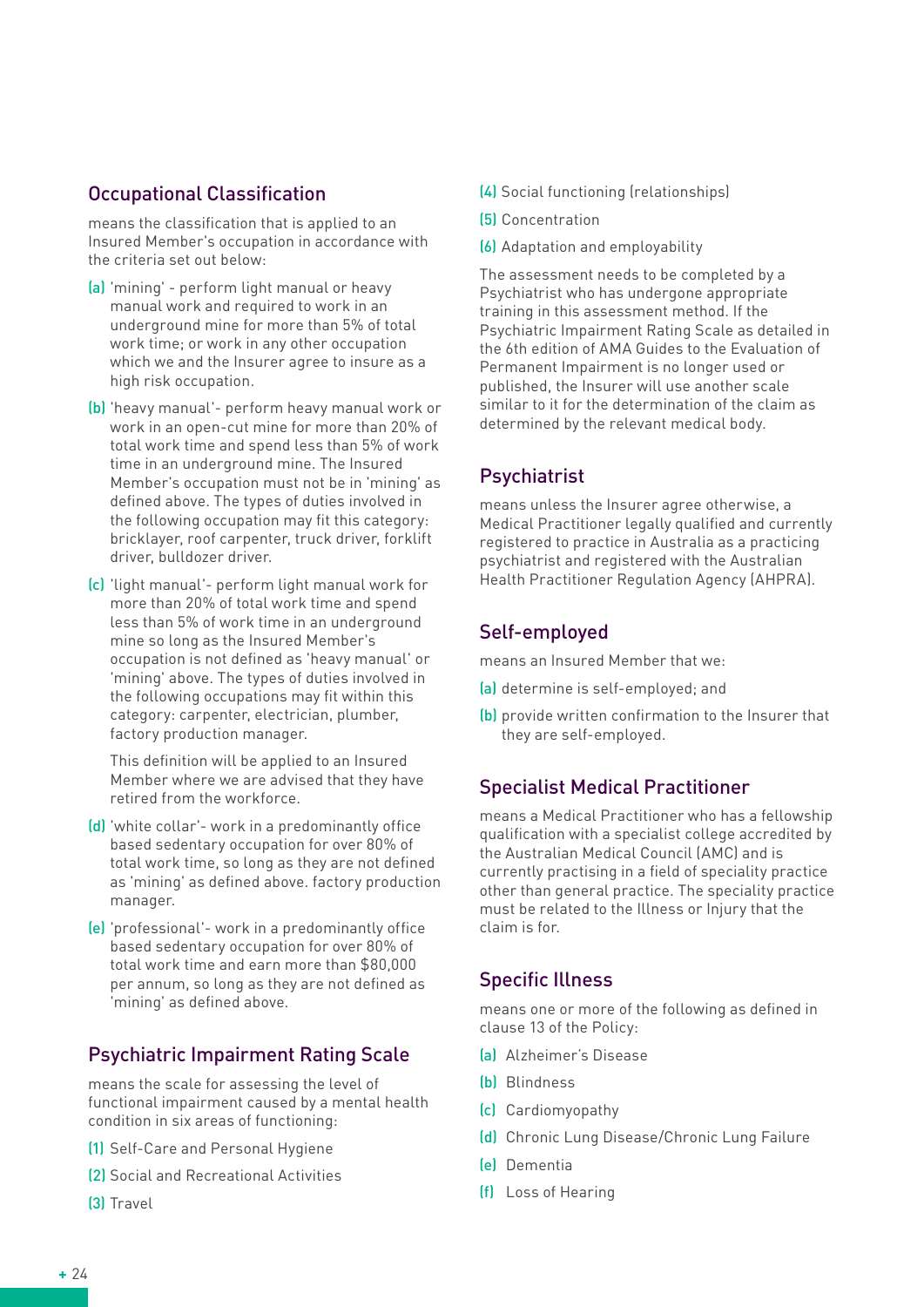## Occupational Classification

means the classification that is applied to an Insured Member's occupation in accordance with the criteria set out below:

- (a) 'mining' perform light manual or heavy manual work and required to work in an underground mine for more than 5% of total work time; or work in any other occupation which we and the Insurer agree to insure as a high risk occupation.
- (b) 'heavy manual'- perform heavy manual work or work in an open-cut mine for more than 20% of total work time and spend less than 5% of work time in an underground mine. The Insured Member's occupation must not be in 'mining' as defined above. The types of duties involved in the following occupation may fit this category: bricklayer, roof carpenter, truck driver, forklift driver, bulldozer driver.
- (c) 'light manual'- perform light manual work for more than 20% of total work time and spend less than 5% of work time in an underground mine so long as the Insured Member's occupation is not defined as 'heavy manual' or 'mining' above. The types of duties involved in the following occupations may fit within this category: carpenter, electrician, plumber, factory production manager.

This definition will be applied to an Insured Member where we are advised that they have retired from the workforce.

- (d) 'white collar'- work in a predominantly office based sedentary occupation for over 80% of total work time, so long as they are not defined as 'mining' as defined above. factory production manager.
- (e) 'professional'- work in a predominantly office based sedentary occupation for over 80% of total work time and earn more than \$80,000 per annum, so long as they are not defined as 'mining' as defined above.

# Psychiatric Impairment Rating Scale

means the scale for assessing the level of functional impairment caused by a mental health condition in six areas of functioning:

- (1) Self-Care and Personal Hygiene
- (2) Social and Recreational Activities
- (3) Travel
- (4) Social functioning (relationships)
- (5) Concentration
- (6) Adaptation and employability

The assessment needs to be completed by a Psychiatrist who has undergone appropriate training in this assessment method. If the Psychiatric Impairment Rating Scale as detailed in the 6th edition of AMA Guides to the Evaluation of Permanent Impairment is no longer used or published, the Insurer will use another scale similar to it for the determination of the claim as determined by the relevant medical body.

## Psychiatrist

means unless the Insurer agree otherwise, a Medical Practitioner legally qualified and currently registered to practice in Australia as a practicing psychiatrist and registered with the Australian Health Practitioner Regulation Agency (AHPRA).

## Self-employed

means an Insured Member that we:

- (a) determine is self-employed; and
- (b) provide written confirmation to the Insurer that they are self-employed.

## Specialist Medical Practitioner

means a Medical Practitioner who has a fellowship qualification with a specialist college accredited by the Australian Medical Council (AMC) and is currently practising in a field of speciality practice other than general practice. The speciality practice must be related to the Illness or Injury that the claim is for.

## Specific Illness

means one or more of the following as defined in clause 13 of the Policy:

- (a) Alzheimer's Disease
- (b) Blindness
- (c) Cardiomyopathy
- (d) Chronic Lung Disease/Chronic Lung Failure
- (e) Dementia
- (f) Loss of Hearing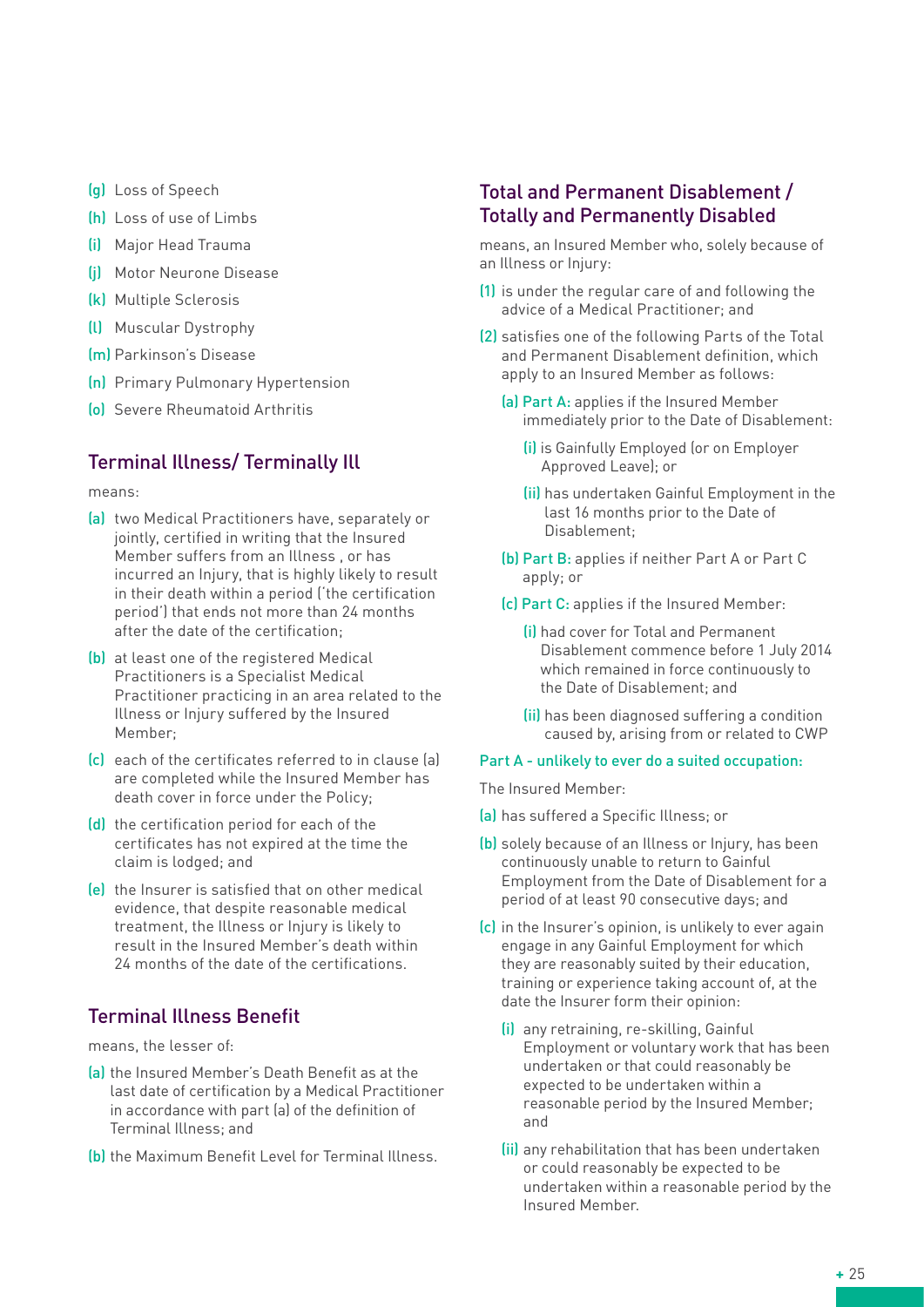- (g) Loss of Speech
- (h) Loss of use of Limbs
- (i) Major Head Trauma
- (j) Motor Neurone Disease
- (k) Multiple Sclerosis
- (l) Muscular Dystrophy
- (m) Parkinson's Disease
- (n) Primary Pulmonary Hypertension
- (o) Severe Rheumatoid Arthritis

## Terminal Illness/ Terminally Ill

means:

- (a) two Medical Practitioners have, separately or jointly, certified in writing that the Insured Member suffers from an Illness , or has incurred an Injury, that is highly likely to result in their death within a period ('the certification period') that ends not more than 24 months after the date of the certification;
- (b) at least one of the registered Medical Practitioners is a Specialist Medical Practitioner practicing in an area related to the Illness or Injury suffered by the Insured Member;
- (c) each of the certificates referred to in clause (a) are completed while the Insured Member has death cover in force under the Policy;
- (d) the certification period for each of the certificates has not expired at the time the claim is lodged; and
- (e) the Insurer is satisfied that on other medical evidence, that despite reasonable medical treatment, the Illness or Injury is likely to result in the Insured Member's death within 24 months of the date of the certifications.

## Terminal Illness Benefit

means, the lesser of:

- (a) the Insured Member's Death Benefit as at the last date of certification by a Medical Practitioner in accordance with part (a) of the definition of Terminal Illness; and
- (b) the Maximum Benefit Level for Terminal Illness.

## Total and Permanent Disablement / Totally and Permanently Disabled

means, an Insured Member who, solely because of an Illness or Injury:

- (1) is under the regular care of and following the advice of a Medical Practitioner; and
- (2) satisfies one of the following Parts of the Total and Permanent Disablement definition, which apply to an Insured Member as follows:
	- (a) Part A: applies if the Insured Member immediately prior to the Date of Disablement:
		- (i) is Gainfully Employed (or on Employer Approved Leave); or
		- (ii) has undertaken Gainful Employment in the last 16 months prior to the Date of Disablement;
	- (b) Part B: applies if neither Part A or Part C apply; or
	- (c) Part C: applies if the Insured Member:
		- (i) had cover for Total and Permanent Disablement commence before 1 July 2014 which remained in force continuously to the Date of Disablement; and
		- (ii) has been diagnosed suffering a condition caused by, arising from or related to CWP

#### Part A - unlikely to ever do a suited occupation:

The Insured Member:

- (a) has suffered a Specific Illness; or
- (b) solely because of an Illness or Injury, has been continuously unable to return to Gainful Employment from the Date of Disablement for a period of at least 90 consecutive days; and
- (c) in the Insurer's opinion, is unlikely to ever again engage in any Gainful Employment for which they are reasonably suited by their education, training or experience taking account of, at the date the Insurer form their opinion:
	- (i) any retraining, re-skilling, Gainful Employment or voluntary work that has been undertaken or that could reasonably be expected to be undertaken within a reasonable period by the Insured Member; and
	- (ii) any rehabilitation that has been undertaken or could reasonably be expected to be undertaken within a reasonable period by the Insured Member.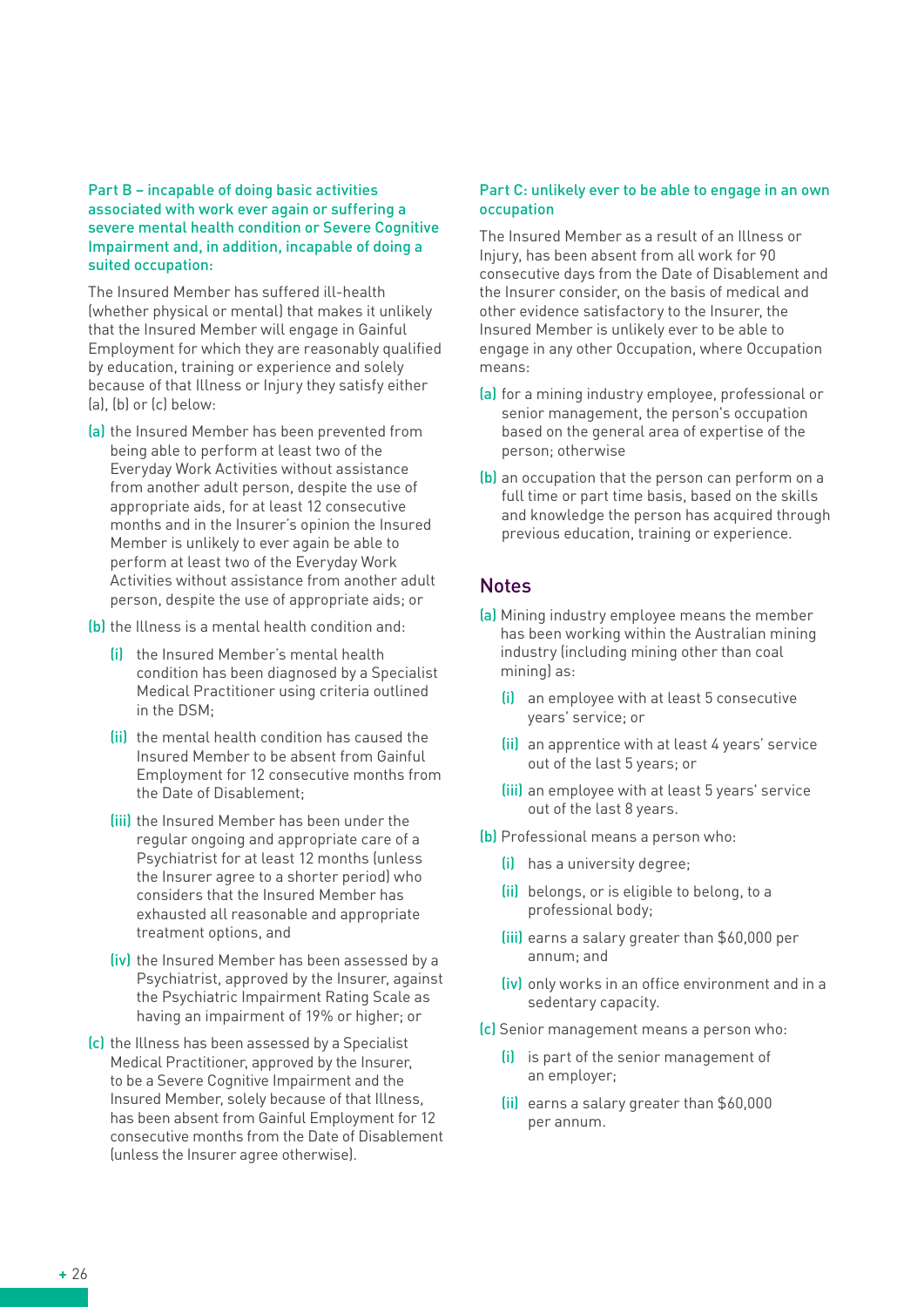#### Part B – incapable of doing basic activities associated with work ever again or suffering a severe mental health condition or Severe Cognitive Impairment and, in addition, incapable of doing a suited occupation:

The Insured Member has suffered ill-health (whether physical or mental) that makes it unlikely that the Insured Member will engage in Gainful Employment for which they are reasonably qualified by education, training or experience and solely because of that Illness or Injury they satisfy either (a), (b) or (c) below:

- (a) the Insured Member has been prevented from being able to perform at least two of the Everyday Work Activities without assistance from another adult person, despite the use of appropriate aids, for at least 12 consecutive months and in the Insurer's opinion the Insured Member is unlikely to ever again be able to perform at least two of the Everyday Work Activities without assistance from another adult person, despite the use of appropriate aids; or
- (b) the Illness is a mental health condition and:
	- (i) the Insured Member's mental health condition has been diagnosed by a Specialist Medical Practitioner using criteria outlined in the DSM;
	- (ii) the mental health condition has caused the Insured Member to be absent from Gainful Employment for 12 consecutive months from the Date of Disablement;
	- (iii) the Insured Member has been under the regular ongoing and appropriate care of a Psychiatrist for at least 12 months (unless the Insurer agree to a shorter period) who considers that the Insured Member has exhausted all reasonable and appropriate treatment options, and
	- (iv) the Insured Member has been assessed by a Psychiatrist, approved by the Insurer, against the Psychiatric Impairment Rating Scale as having an impairment of 19% or higher; or
- (c) the Illness has been assessed by a Specialist Medical Practitioner, approved by the Insurer, to be a Severe Cognitive Impairment and the Insured Member, solely because of that Illness, has been absent from Gainful Employment for 12 consecutive months from the Date of Disablement (unless the Insurer agree otherwise).

#### Part C: unlikely ever to be able to engage in an own occupation

The Insured Member as a result of an Illness or Injury, has been absent from all work for 90 consecutive days from the Date of Disablement and the Insurer consider, on the basis of medical and other evidence satisfactory to the Insurer, the Insured Member is unlikely ever to be able to engage in any other Occupation, where Occupation means:

- (a) for a mining industry employee, professional or senior management, the person's occupation based on the general area of expertise of the person; otherwise
- (b) an occupation that the person can perform on a full time or part time basis, based on the skills and knowledge the person has acquired through previous education, training or experience.

#### **Notes**

- (a) Mining industry employee means the member has been working within the Australian mining industry (including mining other than coal mining) as:
	- (i) an employee with at least 5 consecutive years' service; or
	- (ii) an apprentice with at least 4 years' service out of the last 5 years; or
	- (iii) an employee with at least 5 years' service out of the last 8 years.
- (b) Professional means a person who:
	- (i) has a university degree;
	- (ii) belongs, or is eligible to belong, to a professional body;
	- (iii) earns a salary greater than \$60,000 per annum; and
	- (iv) only works in an office environment and in a sedentary capacity.
- (c) Senior management means a person who:
	- (i) is part of the senior management of an employer;
	- (ii) earns a salary greater than \$60,000 per annum.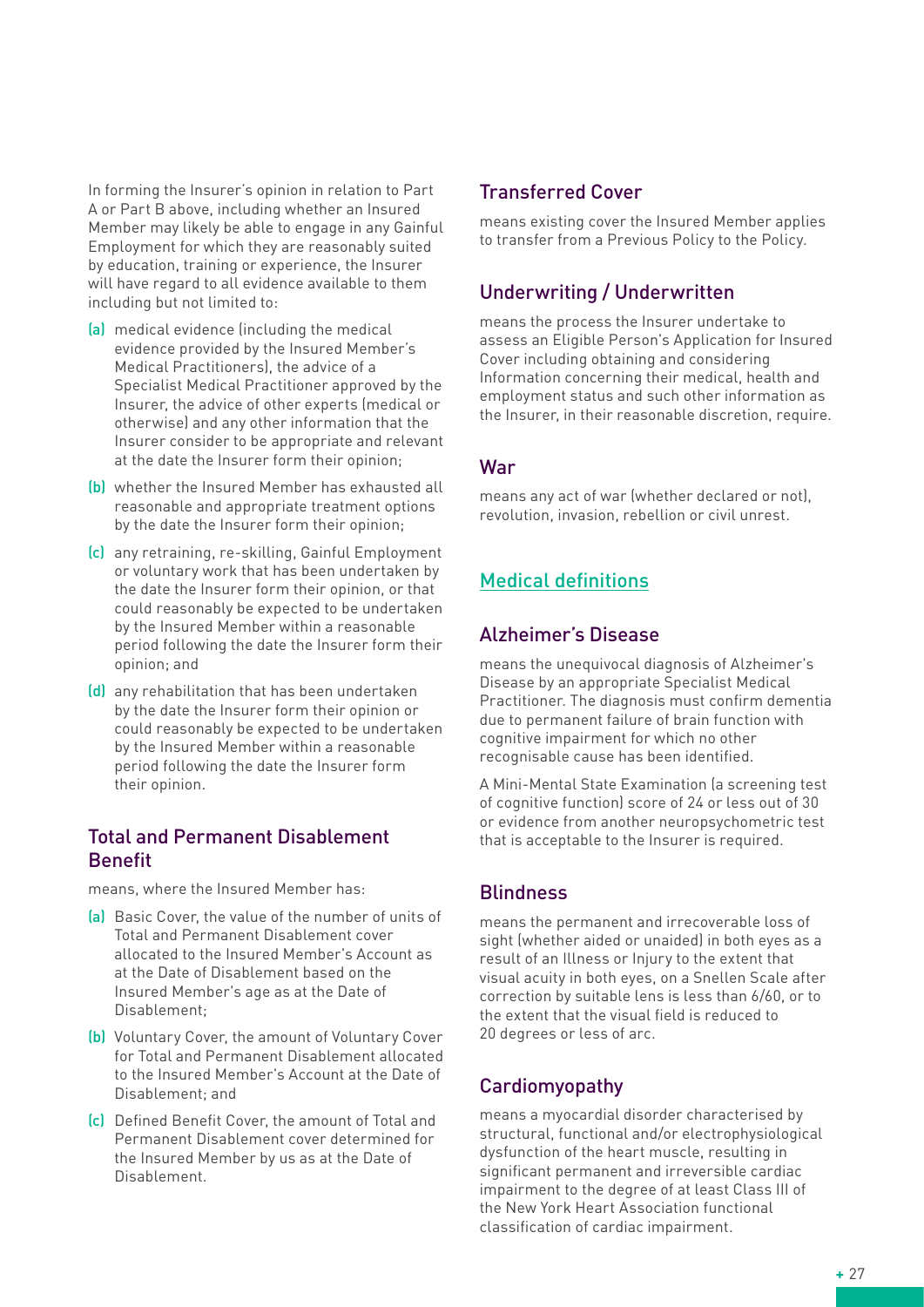In forming the Insurer's opinion in relation to Part A or Part B above, including whether an Insured Member may likely be able to engage in any Gainful Employment for which they are reasonably suited by education, training or experience, the Insurer will have regard to all evidence available to them including but not limited to:

- (a) medical evidence (including the medical evidence provided by the Insured Member's Medical Practitioners), the advice of a Specialist Medical Practitioner approved by the Insurer, the advice of other experts (medical or otherwise) and any other information that the Insurer consider to be appropriate and relevant at the date the Insurer form their opinion;
- (b) whether the Insured Member has exhausted all reasonable and appropriate treatment options by the date the Insurer form their opinion;
- (c) any retraining, re-skilling, Gainful Employment or voluntary work that has been undertaken by the date the Insurer form their opinion, or that could reasonably be expected to be undertaken by the Insured Member within a reasonable period following the date the Insurer form their opinion; and
- (d) any rehabilitation that has been undertaken by the date the Insurer form their opinion or could reasonably be expected to be undertaken by the Insured Member within a reasonable period following the date the Insurer form their opinion.

## Total and Permanent Disablement Benefit

means, where the Insured Member has:

- (a) Basic Cover, the value of the number of units of Total and Permanent Disablement cover allocated to the Insured Member's Account as at the Date of Disablement based on the Insured Member's age as at the Date of Disablement;
- (b) Voluntary Cover, the amount of Voluntary Cover for Total and Permanent Disablement allocated to the Insured Member's Account at the Date of Disablement; and
- (c) Defined Benefit Cover, the amount of Total and Permanent Disablement cover determined for the Insured Member by us as at the Date of Disablement.

## Transferred Cover

means existing cover the Insured Member applies to transfer from a Previous Policy to the Policy.

# Underwriting / Underwritten

means the process the Insurer undertake to assess an Eligible Person's Application for Insured Cover including obtaining and considering Information concerning their medical, health and employment status and such other information as the Insurer, in their reasonable discretion, require.

#### War

means any act of war (whether declared or not), revolution, invasion, rebellion or civil unrest.

# Medical definitions

## Alzheimer's Disease

means the unequivocal diagnosis of Alzheimer's Disease by an appropriate Specialist Medical Practitioner. The diagnosis must confirm dementia due to permanent failure of brain function with cognitive impairment for which no other recognisable cause has been identified.

A Mini-Mental State Examination (a screening test of cognitive function) score of 24 or less out of 30 or evidence from another neuropsychometric test that is acceptable to the Insurer is required.

## **Blindness**

means the permanent and irrecoverable loss of sight (whether aided or unaided) in both eyes as a result of an Illness or Injury to the extent that visual acuity in both eyes, on a Snellen Scale after correction by suitable lens is less than 6/60, or to the extent that the visual field is reduced to 20 degrees or less of arc.

# Cardiomyopathy

means a myocardial disorder characterised by structural, functional and/or electrophysiological dysfunction of the heart muscle, resulting in significant permanent and irreversible cardiac impairment to the degree of at least Class III of the New York Heart Association functional classification of cardiac impairment.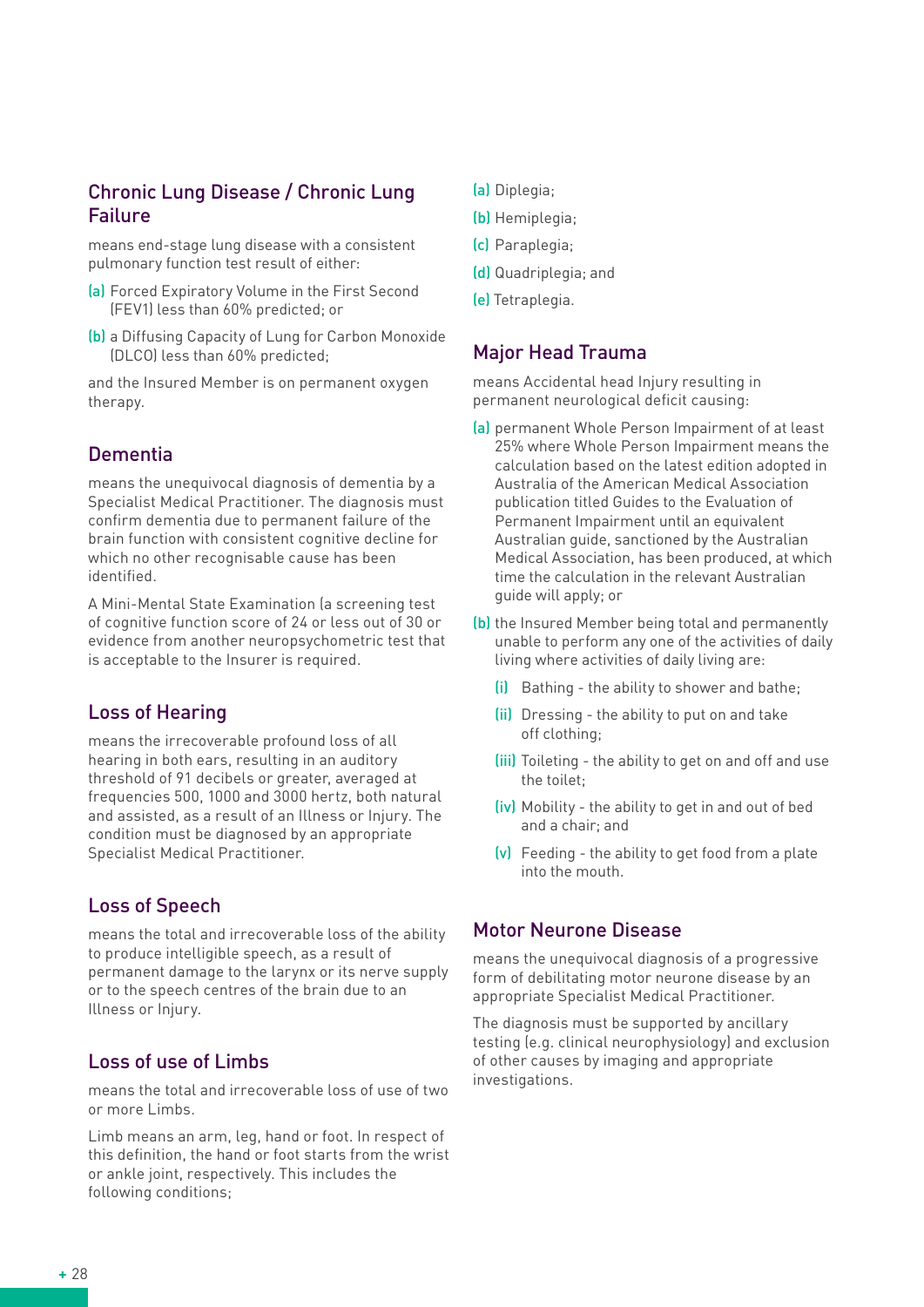### Chronic Lung Disease / Chronic Lung Failure

means end-stage lung disease with a consistent pulmonary function test result of either:

- (a) Forced Expiratory Volume in the First Second (FEV1) less than 60% predicted; or
- (b) a Diffusing Capacity of Lung for Carbon Monoxide (DLCO) less than 60% predicted;

and the Insured Member is on permanent oxygen therapy.

## Dementia

means the unequivocal diagnosis of dementia by a Specialist Medical Practitioner. The diagnosis must confirm dementia due to permanent failure of the brain function with consistent cognitive decline for which no other recognisable cause has been identified.

A Mini-Mental State Examination (a screening test of cognitive function score of 24 or less out of 30 or evidence from another neuropsychometric test that is acceptable to the Insurer is required.

## Loss of Hearing

means the irrecoverable profound loss of all hearing in both ears, resulting in an auditory threshold of 91 decibels or greater, averaged at frequencies 500, 1000 and 3000 hertz, both natural and assisted, as a result of an Illness or Injury. The condition must be diagnosed by an appropriate Specialist Medical Practitioner.

## Loss of Speech

means the total and irrecoverable loss of the ability to produce intelligible speech, as a result of permanent damage to the larynx or its nerve supply or to the speech centres of the brain due to an Illness or Injury.

## Loss of use of Limbs

means the total and irrecoverable loss of use of two or more Limbs.

Limb means an arm, leg, hand or foot. In respect of this definition, the hand or foot starts from the wrist or ankle joint, respectively. This includes the following conditions;

- (a) Diplegia;
- (b) Hemiplegia;
- (c) Paraplegia;
- (d) Quadriplegia; and
- (e) Tetraplegia.

#### Major Head Trauma

means Accidental head Injury resulting in permanent neurological deficit causing:

- (a) permanent Whole Person Impairment of at least 25% where Whole Person Impairment means the calculation based on the latest edition adopted in Australia of the American Medical Association publication titled Guides to the Evaluation of Permanent Impairment until an equivalent Australian guide, sanctioned by the Australian Medical Association, has been produced, at which time the calculation in the relevant Australian guide will apply; or
- (b) the Insured Member being total and permanently unable to perform any one of the activities of daily living where activities of daily living are:
	- (i) Bathing the ability to shower and bathe;
	- (ii) Dressing the ability to put on and take off clothing;
	- (iii) Toileting the ability to get on and off and use the toilet;
	- (iv) Mobility the ability to get in and out of bed and a chair; and
	- (v) Feeding the ability to get food from a plate into the mouth.

#### Motor Neurone Disease

means the unequivocal diagnosis of a progressive form of debilitating motor neurone disease by an appropriate Specialist Medical Practitioner.

The diagnosis must be supported by ancillary testing (e.g. clinical neurophysiology) and exclusion of other causes by imaging and appropriate investigations.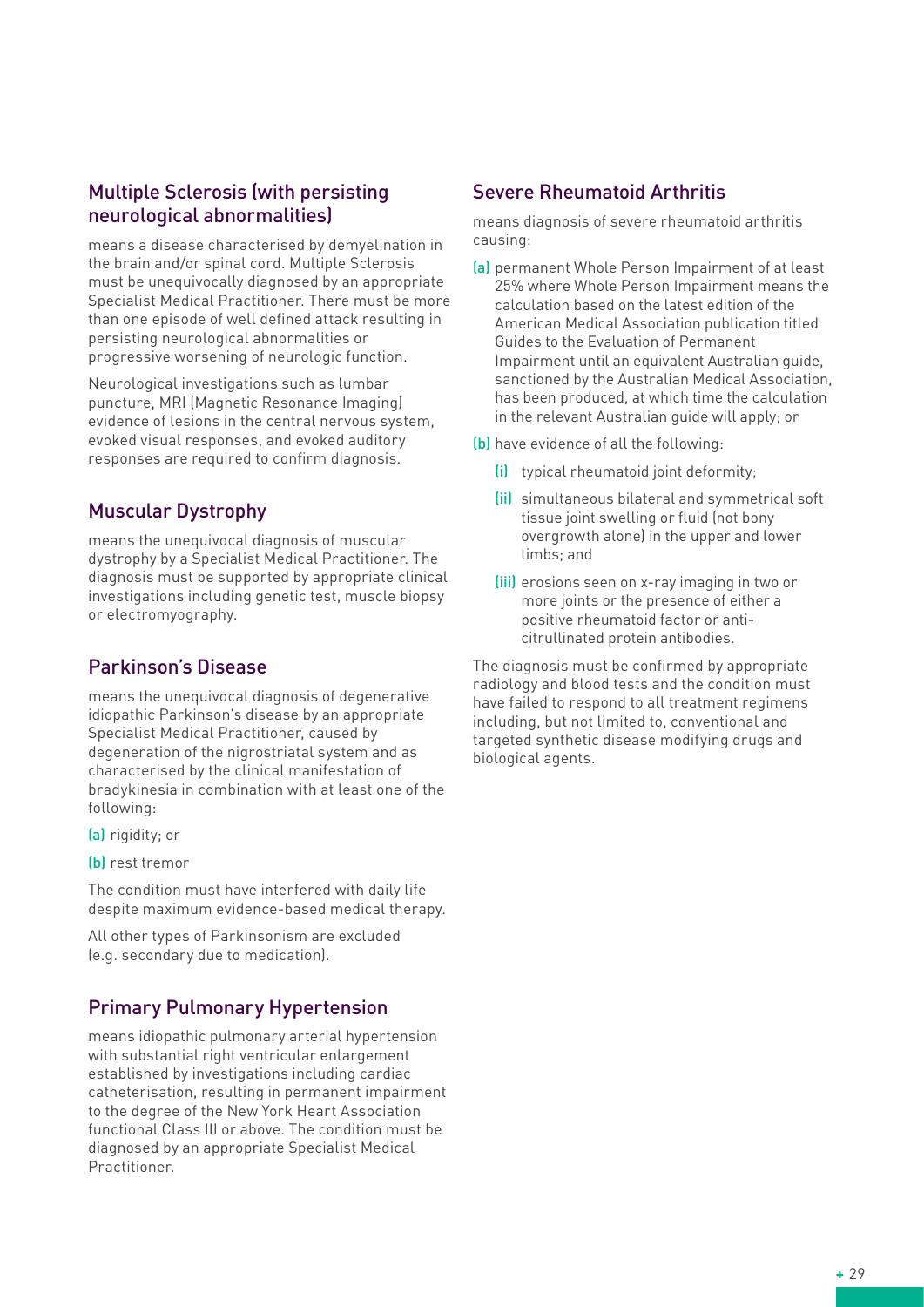## Multiple Sclerosis (with persisting neurological abnormalities)

means a disease characterised by demyelination in the brain and/or spinal cord. Multiple Sclerosis must be unequivocally diagnosed by an appropriate Specialist Medical Practitioner. There must be more than one episode of well defined attack resulting in persisting neurological abnormalities or progressive worsening of neurologic function.

Neurological investigations such as lumbar puncture, MRI (Magnetic Resonance Imaging) evidence of lesions in the central nervous system, evoked visual responses, and evoked auditory responses are required to confirm diagnosis.

# Muscular Dystrophy

means the unequivocal diagnosis of muscular dystrophy by a Specialist Medical Practitioner. The diagnosis must be supported by appropriate clinical investigations including genetic test, muscle biopsy or electromyography.

# Parkinson's Disease

means the unequivocal diagnosis of degenerative idiopathic Parkinson's disease by an appropriate Specialist Medical Practitioner, caused by degeneration of the nigrostriatal system and as characterised by the clinical manifestation of bradykinesia in combination with at least one of the following:

- (a) rigidity; or
- (b) rest tremor

The condition must have interfered with daily life despite maximum evidence-based medical therapy.

All other types of Parkinsonism are excluded (e.g. secondary due to medication).

## Primary Pulmonary Hypertension

means idiopathic pulmonary arterial hypertension with substantial right ventricular enlargement established by investigations including cardiac catheterisation, resulting in permanent impairment to the degree of the New York Heart Association functional Class III or above. The condition must be diagnosed by an appropriate Specialist Medical Practitioner.

#### Severe Rheumatoid Arthritis

means diagnosis of severe rheumatoid arthritis causing:

- (a) permanent Whole Person Impairment of at least 25% where Whole Person Impairment means the calculation based on the latest edition of the American Medical Association publication titled Guides to the Evaluation of Permanent Impairment until an equivalent Australian guide, sanctioned by the Australian Medical Association, has been produced, at which time the calculation in the relevant Australian guide will apply; or
- (b) have evidence of all the following:
	- (i) typical rheumatoid joint deformity;
	- (ii) simultaneous bilateral and symmetrical soft tissue joint swelling or fluid (not bony overgrowth alone) in the upper and lower limbs; and
	- (iii) erosions seen on x-ray imaging in two or more joints or the presence of either a positive rheumatoid factor or anticitrullinated protein antibodies.

The diagnosis must be confirmed by appropriate radiology and blood tests and the condition must have failed to respond to all treatment regimens including, but not limited to, conventional and targeted synthetic disease modifying drugs and biological agents.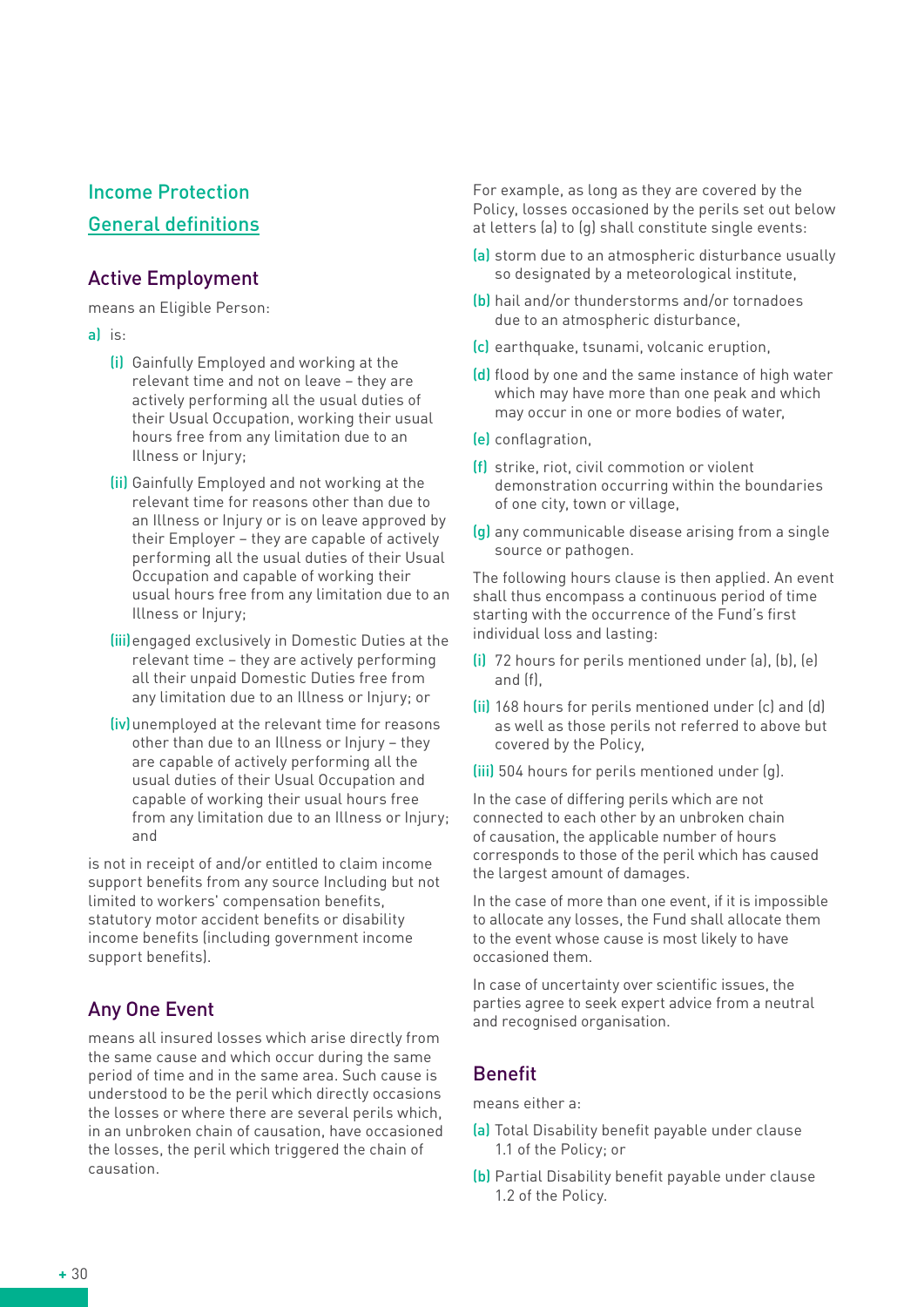# Income Protection General definitions

# Active Employment

means an Eligible Person:

- a) is:
	- (i) Gainfully Employed and working at the relevant time and not on leave – they are actively performing all the usual duties of their Usual Occupation, working their usual hours free from any limitation due to an Illness or Injury;
	- (ii) Gainfully Employed and not working at the relevant time for reasons other than due to an Illness or Injury or is on leave approved by their Employer – they are capable of actively performing all the usual duties of their Usual Occupation and capable of working their usual hours free from any limitation due to an Illness or Injury;
	- (iii) engaged exclusively in Domestic Duties at the relevant time – they are actively performing all their unpaid Domestic Duties free from any limitation due to an Illness or Injury; or
	- (iv) unemployed at the relevant time for reasons other than due to an Illness or Injury – they are capable of actively performing all the usual duties of their Usual Occupation and capable of working their usual hours free from any limitation due to an Illness or Injury; and

is not in receipt of and/or entitled to claim income support benefits from any source Including but not limited to workers' compensation benefits, statutory motor accident benefits or disability income benefits (including government income support benefits).

# Any One Event

means all insured losses which arise directly from the same cause and which occur during the same period of time and in the same area. Such cause is understood to be the peril which directly occasions the losses or where there are several perils which, in an unbroken chain of causation, have occasioned the losses, the peril which triggered the chain of causation.

For example, as long as they are covered by the Policy, losses occasioned by the perils set out below at letters (a) to (g) shall constitute single events:

- (a) storm due to an atmospheric disturbance usually so designated by a meteorological institute,
- (b) hail and/or thunderstorms and/or tornadoes due to an atmospheric disturbance,
- (c) earthquake, tsunami, volcanic eruption,
- (d) flood by one and the same instance of high water which may have more than one peak and which may occur in one or more bodies of water,
- (e) conflagration,
- (f) strike, riot, civil commotion or violent demonstration occurring within the boundaries of one city, town or village,
- (g) any communicable disease arising from a single source or pathogen.

The following hours clause is then applied. An event shall thus encompass a continuous period of time starting with the occurrence of the Fund's first individual loss and lasting:

- (i) 72 hours for perils mentioned under (a), (b), (e) and (f),
- (ii) 168 hours for perils mentioned under (c) and (d) as well as those perils not referred to above but covered by the Policy,
- (iii) 504 hours for perils mentioned under (g).

In the case of differing perils which are not connected to each other by an unbroken chain of causation, the applicable number of hours corresponds to those of the peril which has caused the largest amount of damages.

In the case of more than one event, if it is impossible to allocate any losses, the Fund shall allocate them to the event whose cause is most likely to have occasioned them.

In case of uncertainty over scientific issues, the parties agree to seek expert advice from a neutral and recognised organisation.

# Benefit

means either a:

- (a) Total Disability benefit payable under clause 1.1 of the Policy; or
- (b) Partial Disability benefit payable under clause 1.2 of the Policy.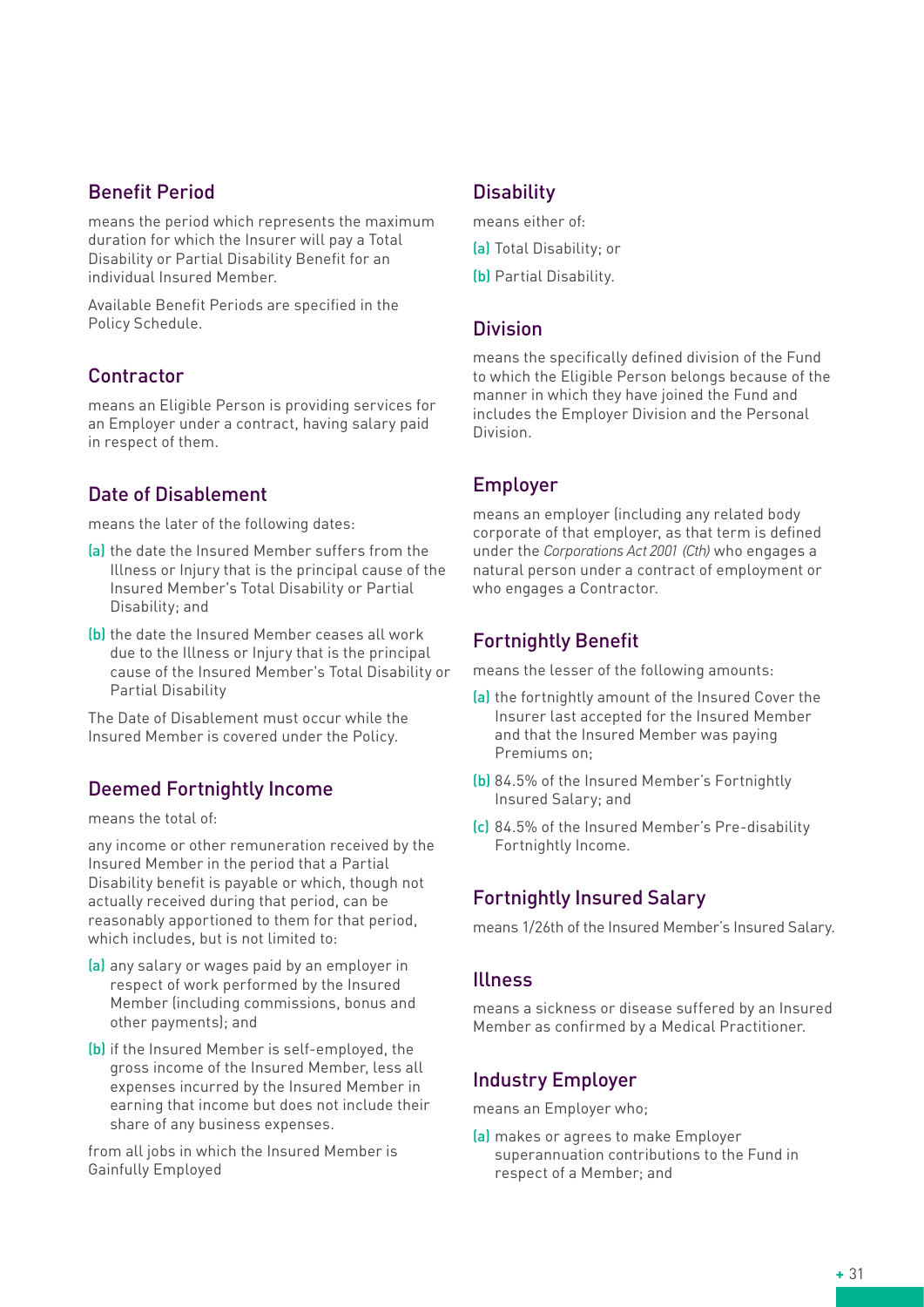# Benefit Period

means the period which represents the maximum duration for which the Insurer will pay a Total Disability or Partial Disability Benefit for an individual Insured Member.

Available Benefit Periods are specified in the Policy Schedule.

## **Contractor**

means an Eligible Person is providing services for an Employer under a contract, having salary paid in respect of them.

# Date of Disablement

means the later of the following dates:

- (a) the date the Insured Member suffers from the Illness or Injury that is the principal cause of the Insured Member's Total Disability or Partial Disability; and
- (b) the date the Insured Member ceases all work due to the Illness or Injury that is the principal cause of the Insured Member's Total Disability or Partial Disability

The Date of Disablement must occur while the Insured Member is covered under the Policy.

# Deemed Fortnightly Income

means the total of:

any income or other remuneration received by the Insured Member in the period that a Partial Disability benefit is payable or which, though not actually received during that period, can be reasonably apportioned to them for that period, which includes, but is not limited to:

- (a) any salary or wages paid by an employer in respect of work performed by the Insured Member (including commissions, bonus and other payments); and
- (b) if the Insured Member is self-employed, the gross income of the Insured Member, less all expenses incurred by the Insured Member in earning that income but does not include their share of any business expenses.

from all jobs in which the Insured Member is Gainfully Employed

## **Disability**

means either of:

- (a) Total Disability; or
- (b) Partial Disability.

#### **Division**

means the specifically defined division of the Fund to which the Eligible Person belongs because of the manner in which they have joined the Fund and includes the Employer Division and the Personal Division.

## Employer

means an employer (including any related body corporate of that employer, as that term is defined under the *Corporations Act 2001 (Cth)* who engages a natural person under a contract of employment or who engages a Contractor.

# Fortnightly Benefit

means the lesser of the following amounts:

- (a) the fortnightly amount of the Insured Cover the Insurer last accepted for the Insured Member and that the Insured Member was paying Premiums on;
- (b) 84.5% of the Insured Member's Fortnightly Insured Salary; and
- (c) 84.5% of the Insured Member's Pre-disability Fortnightly Income.

# Fortnightly Insured Salary

means 1/26th of the Insured Member's Insured Salary.

#### Illness

means a sickness or disease suffered by an Insured Member as confirmed by a Medical Practitioner.

# Industry Employer

means an Employer who;

(a) makes or agrees to make Employer superannuation contributions to the Fund in respect of a Member; and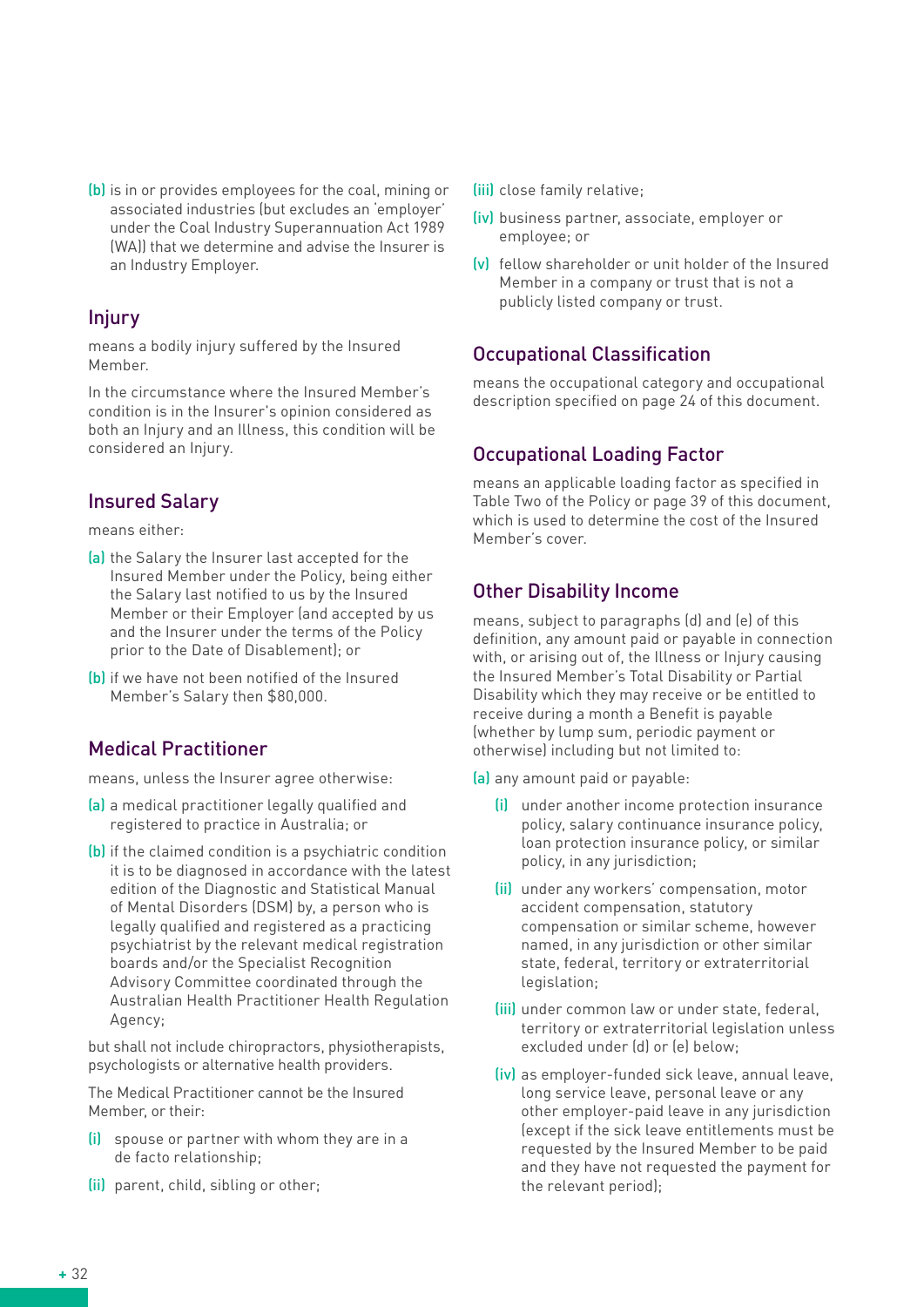(b) is in or provides employees for the coal, mining or associated industries (but excludes an 'employer' under the Coal Industry Superannuation Act 1989 (WA)) that we determine and advise the Insurer is an Industry Employer.

## Injury

means a bodily injury suffered by the Insured Member.

In the circumstance where the Insured Member's condition is in the Insurer's opinion considered as both an Injury and an Illness, this condition will be considered an Injury.

# Insured Salary

means either:

- (a) the Salary the Insurer last accepted for the Insured Member under the Policy, being either the Salary last notified to us by the Insured Member or their Employer (and accepted by us and the Insurer under the terms of the Policy prior to the Date of Disablement); or
- (b) if we have not been notified of the Insured Member's Salary then \$80,000.

# Medical Practitioner

means, unless the Insurer agree otherwise:

- (a) a medical practitioner legally qualified and registered to practice in Australia; or
- (b) if the claimed condition is a psychiatric condition it is to be diagnosed in accordance with the latest edition of the Diagnostic and Statistical Manual of Mental Disorders (DSM) by, a person who is legally qualified and registered as a practicing psychiatrist by the relevant medical registration boards and/or the Specialist Recognition Advisory Committee coordinated through the Australian Health Practitioner Health Regulation Agency;

but shall not include chiropractors, physiotherapists, psychologists or alternative health providers.

The Medical Practitioner cannot be the Insured Member, or their:

- (i) spouse or partner with whom they are in a de facto relationship;
- (ii) parent, child, sibling or other;
- (iii) close family relative;
- (iv) business partner, associate, employer or employee; or
- (v) fellow shareholder or unit holder of the Insured Member in a company or trust that is not a publicly listed company or trust.

# Occupational Classification

means the occupational category and occupational description specified on page 24 of this document.

# Occupational Loading Factor

means an applicable loading factor as specified in Table Two of the Policy or page 39 of this document, which is used to determine the cost of the Insured Member's cover.

# Other Disability Income

means, subject to paragraphs (d) and (e) of this definition, any amount paid or payable in connection with, or arising out of, the Illness or Injury causing the Insured Member's Total Disability or Partial Disability which they may receive or be entitled to receive during a month a Benefit is payable (whether by lump sum, periodic payment or otherwise) including but not limited to:

- (a) any amount paid or payable:
	- (i) under another income protection insurance policy, salary continuance insurance policy, loan protection insurance policy, or similar policy, in any jurisdiction;
	- (ii) under any workers' compensation, motor accident compensation, statutory compensation or similar scheme, however named, in any jurisdiction or other similar state, federal, territory or extraterritorial legislation;
	- (iii) under common law or under state, federal, territory or extraterritorial legislation unless excluded under (d) or (e) below;
	- (iv) as employer-funded sick leave, annual leave, long service leave, personal leave or any other employer-paid leave in any jurisdiction (except if the sick leave entitlements must be requested by the Insured Member to be paid and they have not requested the payment for the relevant period);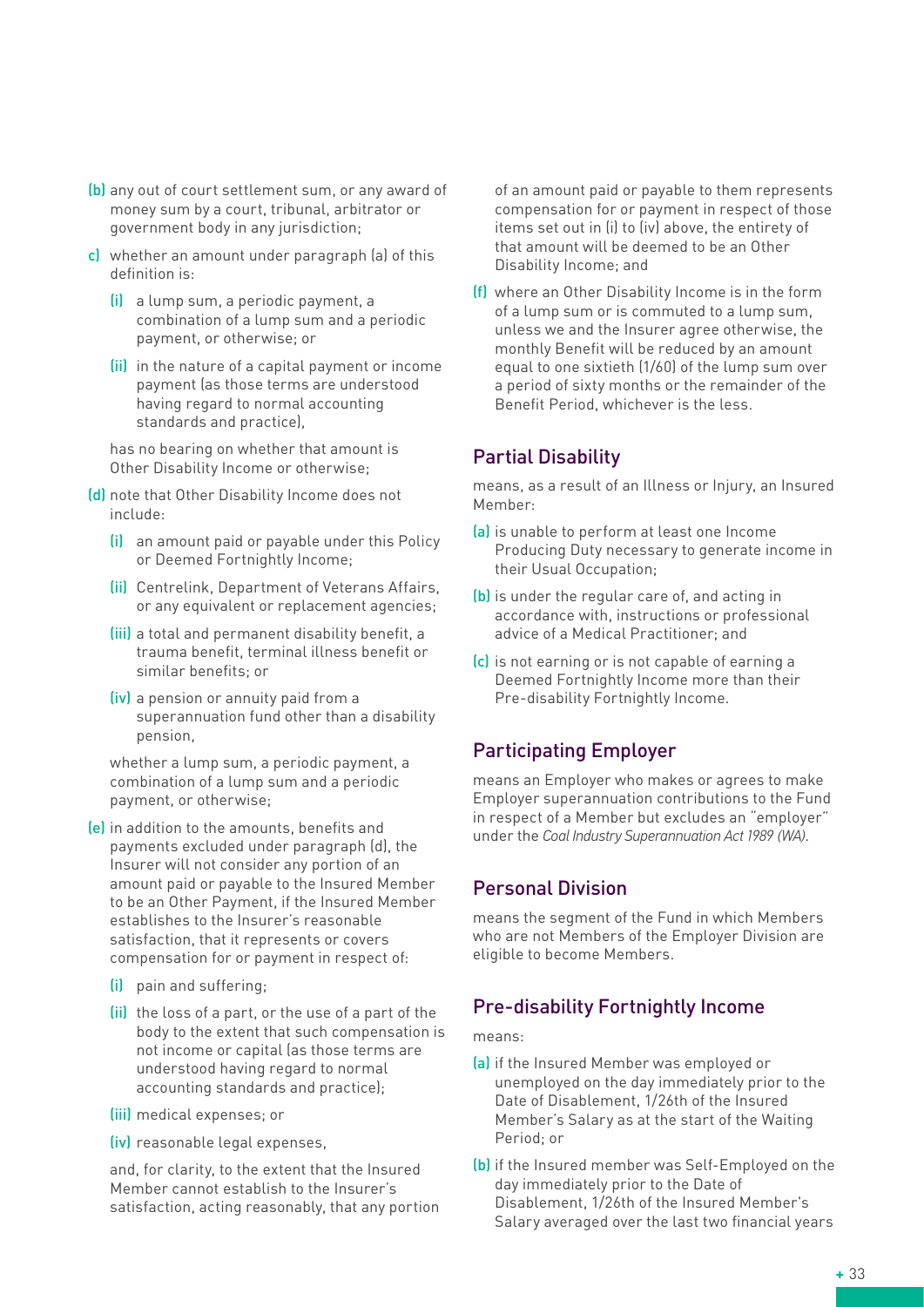- (b) any out of court settlement sum, or any award of money sum by a court, tribunal, arbitrator or government body in any jurisdiction;
- c) whether an amount under paragraph (a) of this definition is:
	- (i) a lump sum, a periodic payment, a combination of a lump sum and a periodic payment, or otherwise; or
	- (ii) in the nature of a capital payment or income payment (as those terms are understood having regard to normal accounting standards and practice),

has no bearing on whether that amount is Other Disability Income or otherwise;

- (d) note that Other Disability Income does not include:
	- (i) an amount paid or payable under this Policy or Deemed Fortnightly Income;
	- (ii) Centrelink, Department of Veterans Affairs, or any equivalent or replacement agencies;
	- (iii) a total and permanent disability benefit, a trauma benefit, terminal illness benefit or similar benefits; or
	- (iv) a pension or annuity paid from a superannuation fund other than a disability pension,

whether a lump sum, a periodic payment, a combination of a lump sum and a periodic payment, or otherwise;

(e) in addition to the amounts, benefits and payments excluded under paragraph (d), the Insurer will not consider any portion of an amount paid or payable to the Insured Member to be an Other Payment, if the Insured Member establishes to the Insurer's reasonable satisfaction, that it represents or covers compensation for or payment in respect of:

- (i) pain and suffering;
- (ii) the loss of a part, or the use of a part of the body to the extent that such compensation is not income or capital (as those terms are understood having regard to normal accounting standards and practice);
- (iii) medical expenses; or
- (iv) reasonable legal expenses,

and, for clarity, to the extent that the Insured Member cannot establish to the Insurer's satisfaction, acting reasonably, that any portion of an amount paid or payable to them represents compensation for or payment in respect of those items set out in (i) to (iv) above, the entirety of that amount will be deemed to be an Other Disability Income; and

(f) where an Other Disability Income is in the form of a lump sum or is commuted to a lump sum, unless we and the Insurer agree otherwise, the monthly Benefit will be reduced by an amount equal to one sixtieth (1/60) of the lump sum over a period of sixty months or the remainder of the Benefit Period, whichever is the less.

#### Partial Disability

means, as a result of an Illness or Injury, an Insured Member:

- (a) is unable to perform at least one Income Producing Duty necessary to generate income in their Usual Occupation;
- (b) is under the regular care of, and acting in accordance with, instructions or professional advice of a Medical Practitioner; and
- (c) is not earning or is not capable of earning a Deemed Fortnightly Income more than their Pre-disability Fortnightly Income.

#### Participating Employer

means an Employer who makes or agrees to make Employer superannuation contributions to the Fund in respect of a Member but excludes an "employer" under the *Coal Industry Superannuation Act 1989 (WA)*.

#### Personal Division

means the segment of the Fund in which Members who are not Members of the Employer Division are eligible to become Members.

#### Pre-disability Fortnightly Income

#### means:

- (a) if the Insured Member was employed or unemployed on the day immediately prior to the Date of Disablement, 1/26th of the Insured Member's Salary as at the start of the Waiting Period; or
- (b) if the Insured member was Self-Employed on the day immediately prior to the Date of Disablement, 1/26th of the Insured Member's Salary averaged over the last two financial years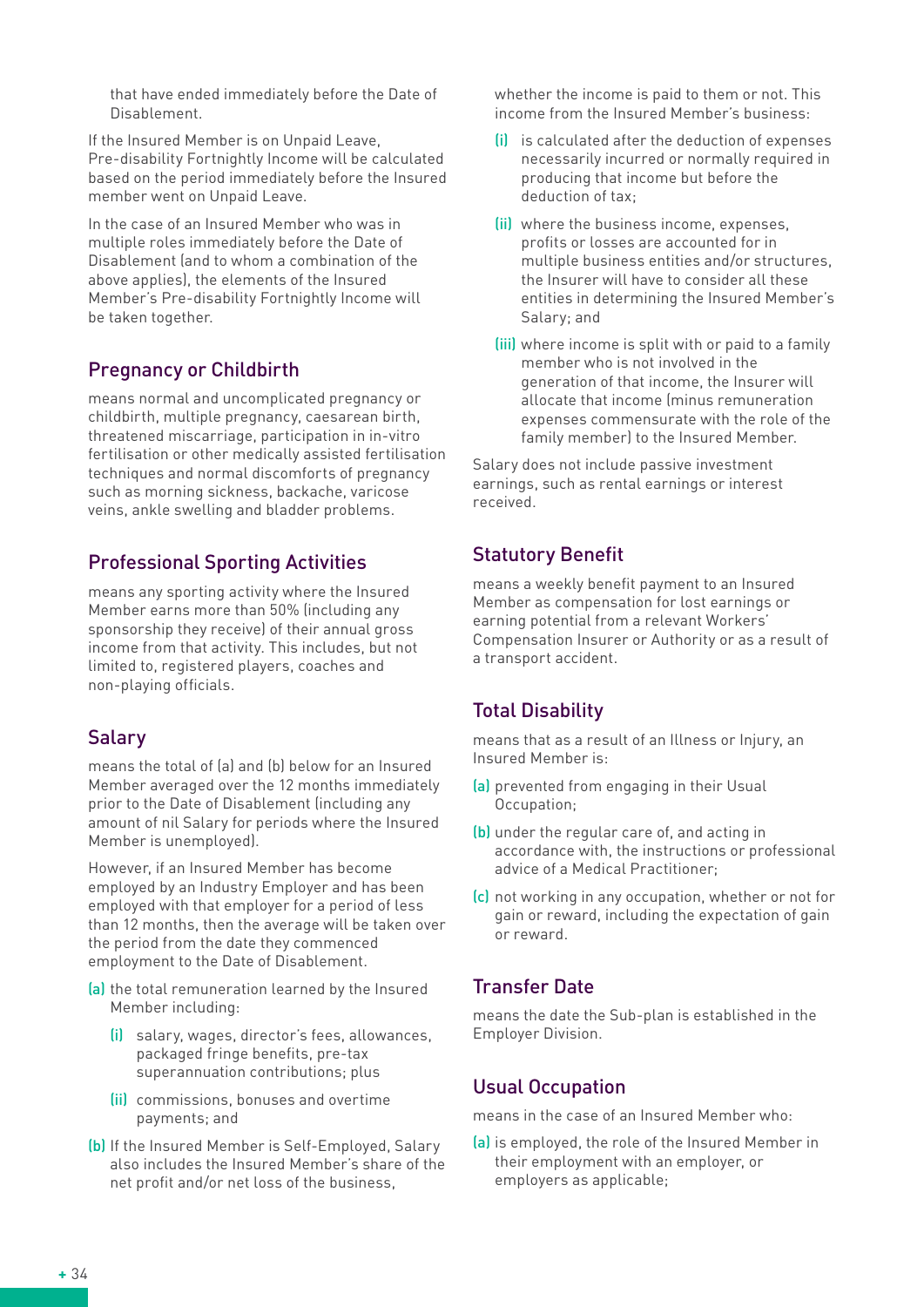that have ended immediately before the Date of Disablement.

If the Insured Member is on Unpaid Leave, Pre-disability Fortnightly Income will be calculated based on the period immediately before the Insured member went on Unpaid Leave.

In the case of an Insured Member who was in multiple roles immediately before the Date of Disablement (and to whom a combination of the above applies), the elements of the Insured Member's Pre-disability Fortnightly Income will be taken together.

# Pregnancy or Childbirth

means normal and uncomplicated pregnancy or childbirth, multiple pregnancy, caesarean birth, threatened miscarriage, participation in in-vitro fertilisation or other medically assisted fertilisation techniques and normal discomforts of pregnancy such as morning sickness, backache, varicose veins, ankle swelling and bladder problems.

# Professional Sporting Activities

means any sporting activity where the Insured Member earns more than 50% (including any sponsorship they receive) of their annual gross income from that activity. This includes, but not limited to, registered players, coaches and non-playing officials.

# Salary

means the total of (a) and (b) below for an Insured Member averaged over the 12 months immediately prior to the Date of Disablement (including any amount of nil Salary for periods where the Insured Member is unemployed).

However, if an Insured Member has become employed by an Industry Employer and has been employed with that employer for a period of less than 12 months, then the average will be taken over the period from the date they commenced employment to the Date of Disablement.

- (a) the total remuneration learned by the Insured Member including:
	- (i) salary, wages, director's fees, allowances, packaged fringe benefits, pre-tax superannuation contributions; plus
	- (ii) commissions, bonuses and overtime payments; and
- (b) If the Insured Member is Self-Employed, Salary also includes the Insured Member's share of the net profit and/or net loss of the business,

whether the income is paid to them or not. This income from the Insured Member's business:

- (i) is calculated after the deduction of expenses necessarily incurred or normally required in producing that income but before the deduction of tax;
- (ii) where the business income, expenses, profits or losses are accounted for in multiple business entities and/or structures, the Insurer will have to consider all these entities in determining the Insured Member's Salary; and
- (iii) where income is split with or paid to a family member who is not involved in the generation of that income, the Insurer will allocate that income (minus remuneration expenses commensurate with the role of the family member) to the Insured Member.

Salary does not include passive investment earnings, such as rental earnings or interest received.

# Statutory Benefit

means a weekly benefit payment to an Insured Member as compensation for lost earnings or earning potential from a relevant Workers' Compensation Insurer or Authority or as a result of a transport accident.

# Total Disability

means that as a result of an Illness or Injury, an Insured Member is:

- (a) prevented from engaging in their Usual Occupation;
- (b) under the regular care of, and acting in accordance with, the instructions or professional advice of a Medical Practitioner;
- (c) not working in any occupation, whether or not for gain or reward, including the expectation of gain or reward.

# Transfer Date

means the date the Sub-plan is established in the Employer Division.

# Usual Occupation

means in the case of an Insured Member who:

(a) is employed, the role of the Insured Member in their employment with an employer, or employers as applicable;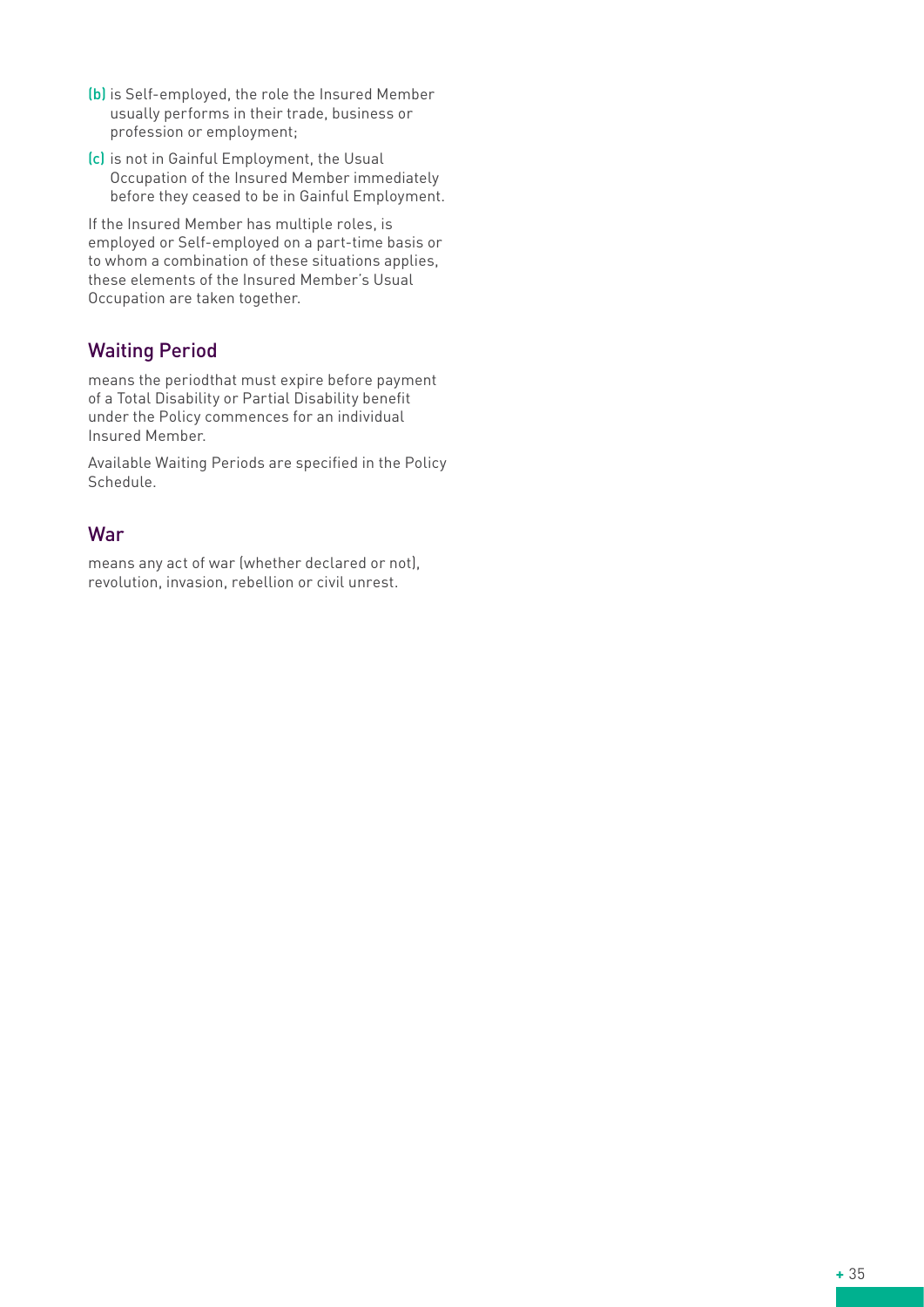- (b) is Self-employed, the role the Insured Member usually performs in their trade, business or profession or employment;
- (c) is not in Gainful Employment, the Usual Occupation of the Insured Member immediately before they ceased to be in Gainful Employment.

If the Insured Member has multiple roles, is employed or Self-employed on a part-time basis or to whom a combination of these situations applies, these elements of the Insured Member's Usual Occupation are taken together.

# Waiting Period

means the periodthat must expire before payment of a Total Disability or Partial Disability benefit under the Policy commences for an individual Insured Member.

Available Waiting Periods are specified in the Policy Schedule.

## War

means any act of war (whether declared or not), revolution, invasion, rebellion or civil unrest.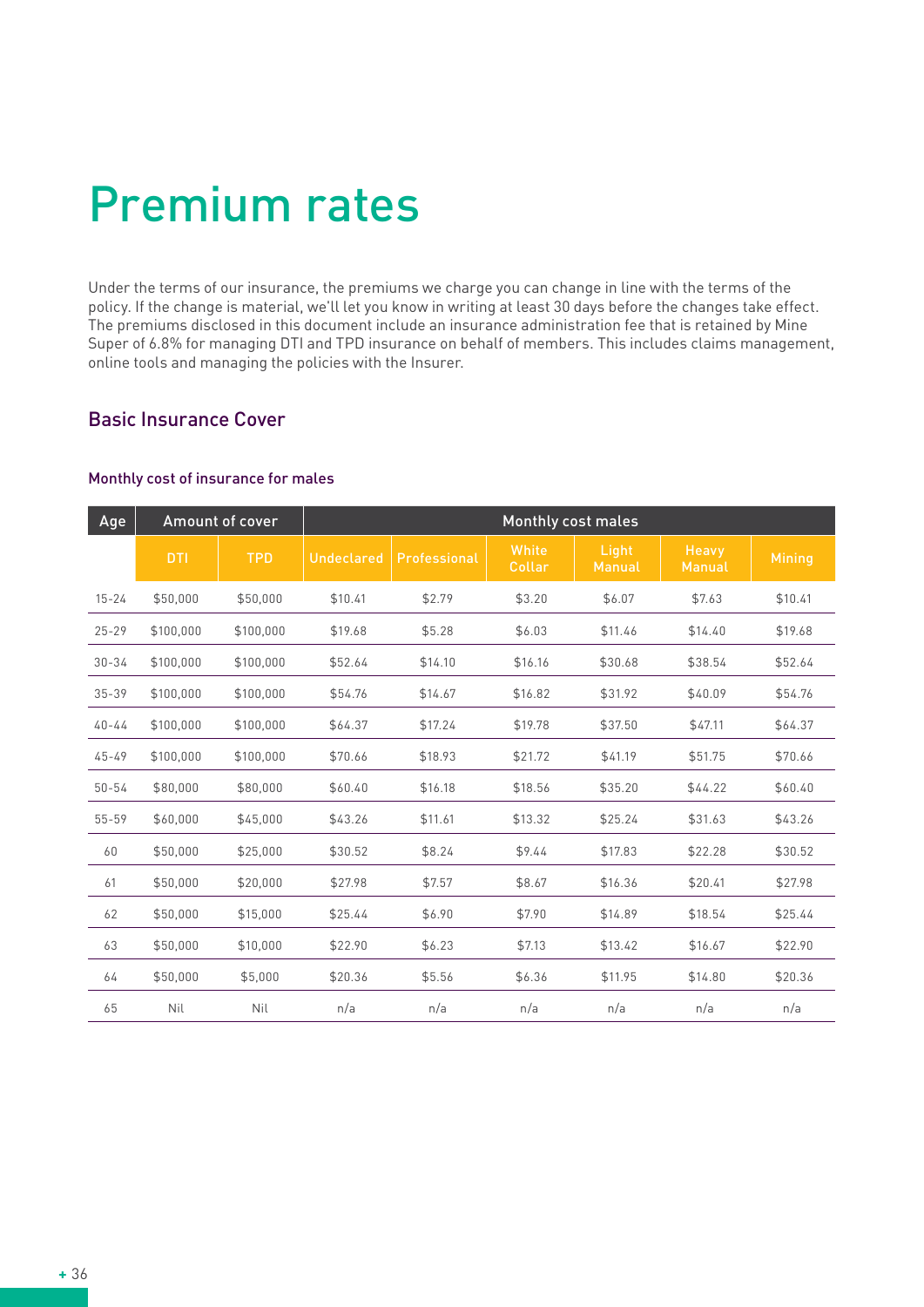# Premium rates

Under the terms of our insurance, the premiums we charge you can change in line with the terms of the policy. If the change is material, we'll let you know in writing at least 30 days before the changes take effect. The premiums disclosed in this document include an insurance administration fee that is retained by Mine Super of 6.8% for managing DTI and TPD insurance on behalf of members. This includes claims management, online tools and managing the policies with the Insurer.

#### Basic Insurance Cover

#### Monthly cost of insurance for males

| Age       |            | <b>Amount of cover</b> | <b>Monthly cost males</b> |              |                 |                 |                        |               |
|-----------|------------|------------------------|---------------------------|--------------|-----------------|-----------------|------------------------|---------------|
|           | <b>DTI</b> | <b>TPD</b>             | <b>Undeclared</b>         | Professional | White<br>Collar | Light<br>Manual | <b>Heavy</b><br>Manual | <b>Mining</b> |
| $15 - 24$ | \$50,000   | \$50,000               | \$10.41                   | \$2.79       | \$3.20          | \$6.07          | \$7.63                 | \$10.41       |
| $25 - 29$ | \$100.000  | \$100,000              | \$19.68                   | \$5.28       | \$6.03          | \$11.46         | \$14.40                | \$19.68       |
| $30 - 34$ | \$100,000  | \$100,000              | \$52.64                   | \$14.10      | \$16.16         | \$30.68         | \$38.54                | \$52.64       |
| $35 - 39$ | \$100,000  | \$100,000              | \$54.76                   | \$14.67      | \$16.82         | \$31.92         | \$40.09                | \$54.76       |
| $40 - 44$ | \$100,000  | \$100,000              | \$64.37                   | \$17.24      | \$19.78         | \$37.50         | \$47.11                | \$64.37       |
| $45 - 49$ | \$100,000  | \$100,000              | \$70.66                   | \$18.93      | \$21.72         | \$41.19         | \$51.75                | \$70.66       |
| $50 - 54$ | \$80,000   | \$80,000               | \$60.40                   | \$16.18      | \$18.56         | \$35.20         | \$44.22                | \$60.40       |
| 55-59     | \$60,000   | \$45,000               | \$43.26                   | \$11.61      | \$13.32         | \$25.24         | \$31.63                | \$43.26       |
| 60        | \$50,000   | \$25,000               | \$30.52                   | \$8.24       | \$9.44          | \$17.83         | \$22.28                | \$30.52       |
| 61        | \$50,000   | \$20,000               | \$27.98                   | \$7.57       | \$8.67          | \$16.36         | \$20.41                | \$27.98       |
| 62        | \$50,000   | \$15,000               | \$25.44                   | \$6.90       | \$7.90          | \$14.89         | \$18.54                | \$25.44       |
| 63        | \$50,000   | \$10,000               | \$22.90                   | \$6.23       | \$7.13          | \$13.42         | \$16.67                | \$22.90       |
| 64        | \$50,000   | \$5,000                | \$20.36                   | \$5.56       | \$6.36          | \$11.95         | \$14.80                | \$20.36       |
| 65        | Nil        | Nil                    | n/a                       | n/a          | n/a             | n/a             | n/a                    | n/a           |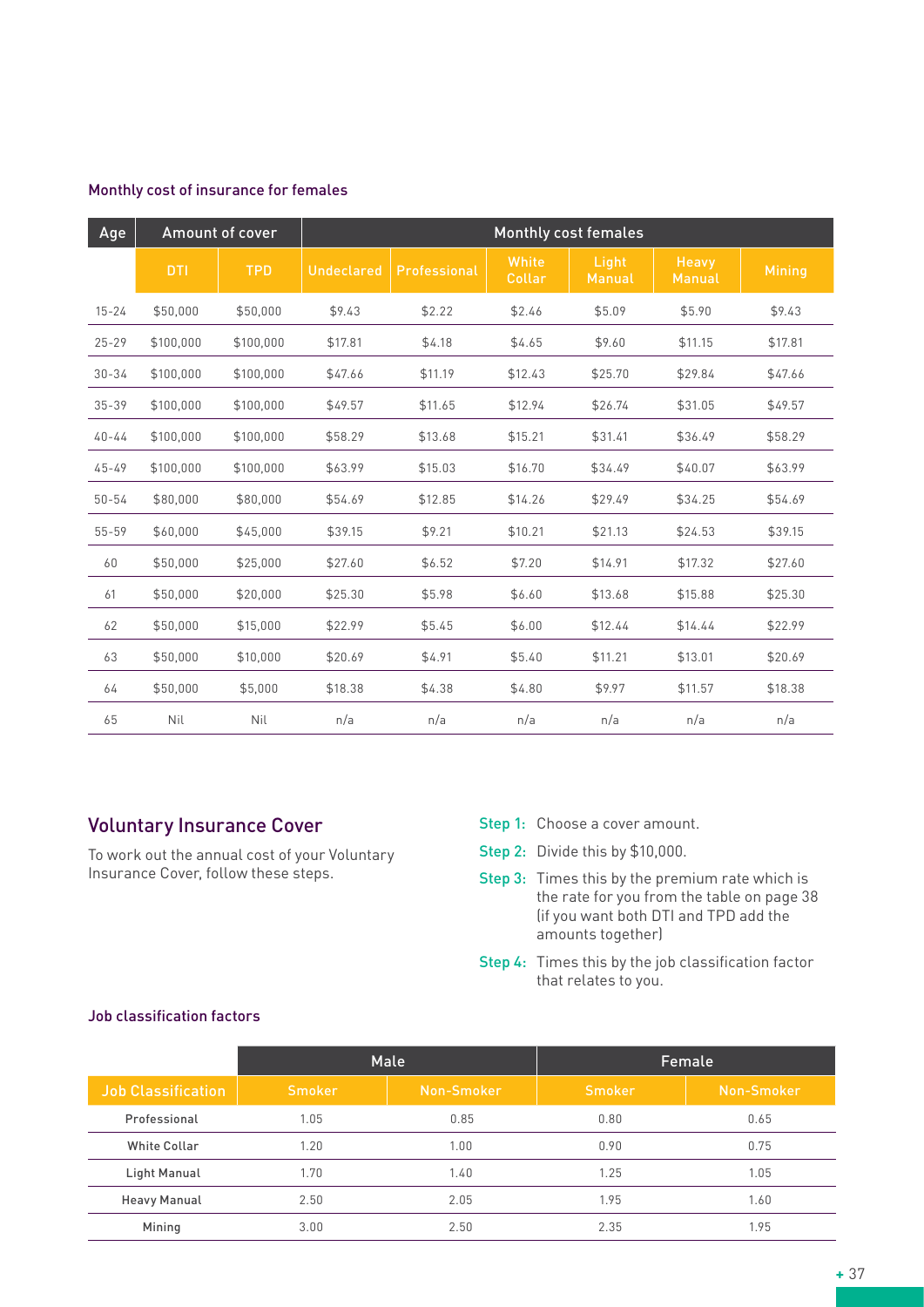| Age       |            | Amount of cover |                   |              |                 | <b>Monthly cost females</b> |                        |               |
|-----------|------------|-----------------|-------------------|--------------|-----------------|-----------------------------|------------------------|---------------|
|           | <b>DTI</b> | <b>TPD</b>      | <b>Undeclared</b> | Professional | White<br>Collar | Light<br>Manual             | Heavy<br><b>Manual</b> | <b>Mining</b> |
| $15 - 24$ | \$50,000   | \$50,000        | \$9.43            | \$2.22       | \$2.46          | \$5.09                      | \$5.90                 | \$9.43        |
| $25 - 29$ | \$100,000  | \$100,000       | \$17.81           | \$4.18       | \$4.65          | \$9.60                      | \$11.15                | \$17.81       |
| $30 - 34$ | \$100,000  | \$100,000       | \$47.66           | \$11.19      | \$12.43         | \$25.70                     | \$29.84                | \$47.66       |
| $35 - 39$ | \$100,000  | \$100,000       | \$49.57           | \$11.65      | \$12.94         | \$26.74                     | \$31.05                | \$49.57       |
| $40 - 44$ | \$100,000  | \$100,000       | \$58.29           | \$13.68      | \$15.21         | \$31.41                     | \$36.49                | \$58.29       |
| $45 - 49$ | \$100,000  | \$100,000       | \$63.99           | \$15.03      | \$16.70         | \$34.49                     | \$40.07                | \$63.99       |
| $50 - 54$ | \$80,000   | \$80,000        | \$54.69           | \$12.85      | \$14.26         | \$29.49                     | \$34.25                | \$54.69       |
| 55-59     | \$60,000   | \$45,000        | \$39.15           | \$9.21       | \$10.21         | \$21.13                     | \$24.53                | \$39.15       |
| 60        | \$50,000   | \$25,000        | \$27.60           | \$6.52       | \$7.20          | \$14.91                     | \$17.32                | \$27.60       |
| 61        | \$50,000   | \$20,000        | \$25.30           | \$5.98       | \$6.60          | \$13.68                     | \$15.88                | \$25.30       |
| 62        | \$50,000   | \$15,000        | \$22.99           | \$5.45       | \$6.00          | \$12.44                     | \$14.44                | \$22.99       |
| 63        | \$50,000   | \$10,000        | \$20.69           | \$4.91       | \$5.40          | \$11.21                     | \$13.01                | \$20.69       |
| 64        | \$50,000   | \$5,000         | \$18.38           | \$4.38       | \$4.80          | \$9.97                      | \$11.57                | \$18.38       |
| 65        | Nil        | Nil             | n/a               | n/a          | n/a             | n/a                         | n/a                    | n/a           |

#### Monthly cost of insurance for females

## Voluntary Insurance Cover

To work out the annual cost of your Voluntary Insurance Cover, follow these steps.

- Step 1: Choose a cover amount.
- Step 2: Divide this by \$10,000.
- Step 3: Times this by the premium rate which is the rate for you from the table on page 38 (if you want both DTI and TPD add the amounts together)
- Step 4: Times this by the job classification factor that relates to you.

#### Job classification factors

|                           | Male          |            | Female        |            |
|---------------------------|---------------|------------|---------------|------------|
| <b>Job Classification</b> | <b>Smoker</b> | Non-Smoker | <b>Smoker</b> | Non-Smoker |
| Professional              | 1.05          | 0.85       | 0.80          | 0.65       |
| <b>White Collar</b>       | 1.20          | 1.00       | 0.90          | 0.75       |
| Light Manual              | 1.70          | 1.40       | 1.25          | 1.05       |
| <b>Heavy Manual</b>       | 2.50          | 2.05       | 1.95          | 1.60       |
| Mining                    | 3.00          | 2.50       | 2.35          | 1.95       |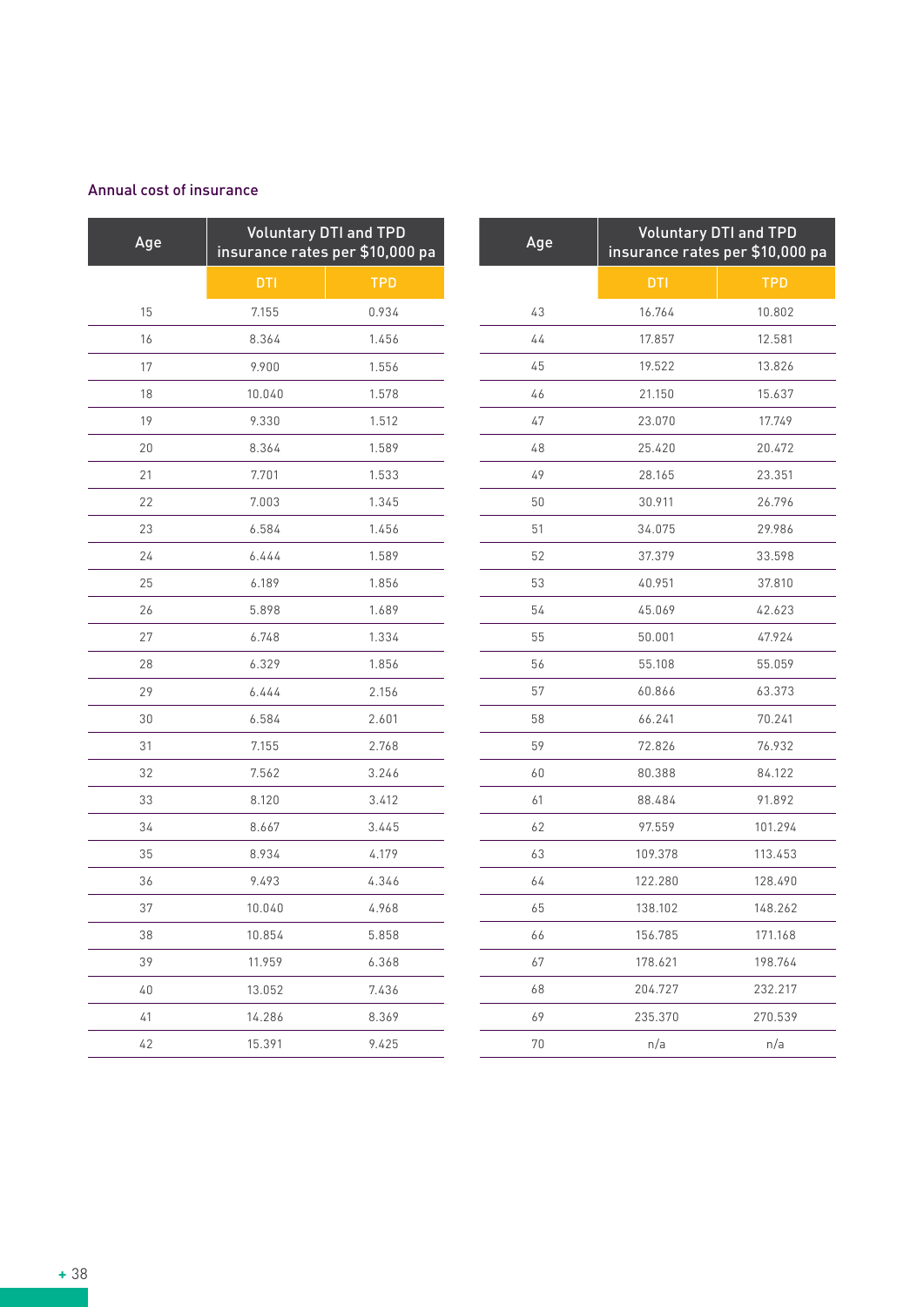#### Annual cost of insurance

| Age | <b>Voluntary DTI and TPD</b><br>insurance rates per \$10,000 pa |            |  |  |
|-----|-----------------------------------------------------------------|------------|--|--|
|     | <b>DTI</b>                                                      | <b>TPD</b> |  |  |
| 15  | 7.155                                                           | 0.934      |  |  |
| 16  | 8.364                                                           | 1.456      |  |  |
| 17  | 9.900                                                           | 1.556      |  |  |
| 18  | 10.040                                                          | 1.578      |  |  |
| 19  | 9.330                                                           | 1.512      |  |  |
| 20  | 8.364                                                           | 1.589      |  |  |
| 21  | 7.701                                                           | 1.533      |  |  |
| 22  | 7.003                                                           | 1.345      |  |  |
| 23  | 6.584                                                           | 1.456      |  |  |
| 24  | 6.444                                                           | 1.589      |  |  |
| 25  | 6.189                                                           | 1.856      |  |  |
| 26  | 5.898                                                           | 1.689      |  |  |
| 27  | 6.748                                                           | 1.334      |  |  |
| 28  | 6.329                                                           | 1.856      |  |  |
| 29  | 6.444                                                           | 2.156      |  |  |
| 30  | 6.584                                                           | 2.601      |  |  |
| 31  | 7.155                                                           | 2.768      |  |  |
| 32  | 7.562                                                           | 3.246      |  |  |
| 33  | 8.120                                                           | 3.412      |  |  |
| 34  | 8.667                                                           | 3.445      |  |  |
| 35  | 8.934                                                           | 4.179      |  |  |
| 36  | 9.493                                                           | 4.346      |  |  |
| 37  | 10.040                                                          | 4.968      |  |  |
| 38  | 10.854                                                          | 5.858      |  |  |
| 39  | 11.959                                                          | 6.368      |  |  |
| 40  | 13.052                                                          | 7.436      |  |  |
| 41  | 14.286                                                          | 8.369      |  |  |
| 42  | 15.391                                                          | 9.425      |  |  |

| Age | <b>Voluntary DTI and TPD</b><br>insurance rates per \$10,000 pa |            |  |
|-----|-----------------------------------------------------------------|------------|--|
|     | <b>DTI</b>                                                      | <b>TPD</b> |  |
| 43  | 16.764                                                          | 10.802     |  |
| 44  | 17.857                                                          | 12.581     |  |
| 45  | 19.522                                                          | 13.826     |  |
| 46  | 21.150                                                          | 15.637     |  |
| 47  | 23.070                                                          | 17.749     |  |
| 48  | 25.420                                                          | 20.472     |  |
| 49  | 28.165                                                          | 23.351     |  |
| 50  | 30.911                                                          | 26.796     |  |
| 51  | 34.075                                                          | 29.986     |  |
| 52  | 37.379                                                          | 33.598     |  |
| 53  | 40.951                                                          | 37.810     |  |
| 54  | 45.069                                                          | 42.623     |  |
| 55  | 50.001                                                          | 47.924     |  |
| 56  | 55.108                                                          | 55.059     |  |
| 57  | 60.866                                                          | 63.373     |  |
| 58  | 66.241                                                          | 70.241     |  |
| 59  | 72.826                                                          | 76.932     |  |
| 60  | 80.388                                                          | 84.122     |  |
| 61  | 88.484                                                          | 91.892     |  |
| 62  | 97.559                                                          | 101.294    |  |
| 63  | 109.378                                                         | 113.453    |  |
| 64  | 122.280                                                         | 128.490    |  |
| 65  | 138.102                                                         | 148.262    |  |
| 66  | 156.785                                                         | 171.168    |  |
| 67  | 178.621                                                         | 198.764    |  |
| 68  | 204.727                                                         | 232.217    |  |
| 69  | 235.370                                                         | 270.539    |  |
| 70  | n/a                                                             | n/a        |  |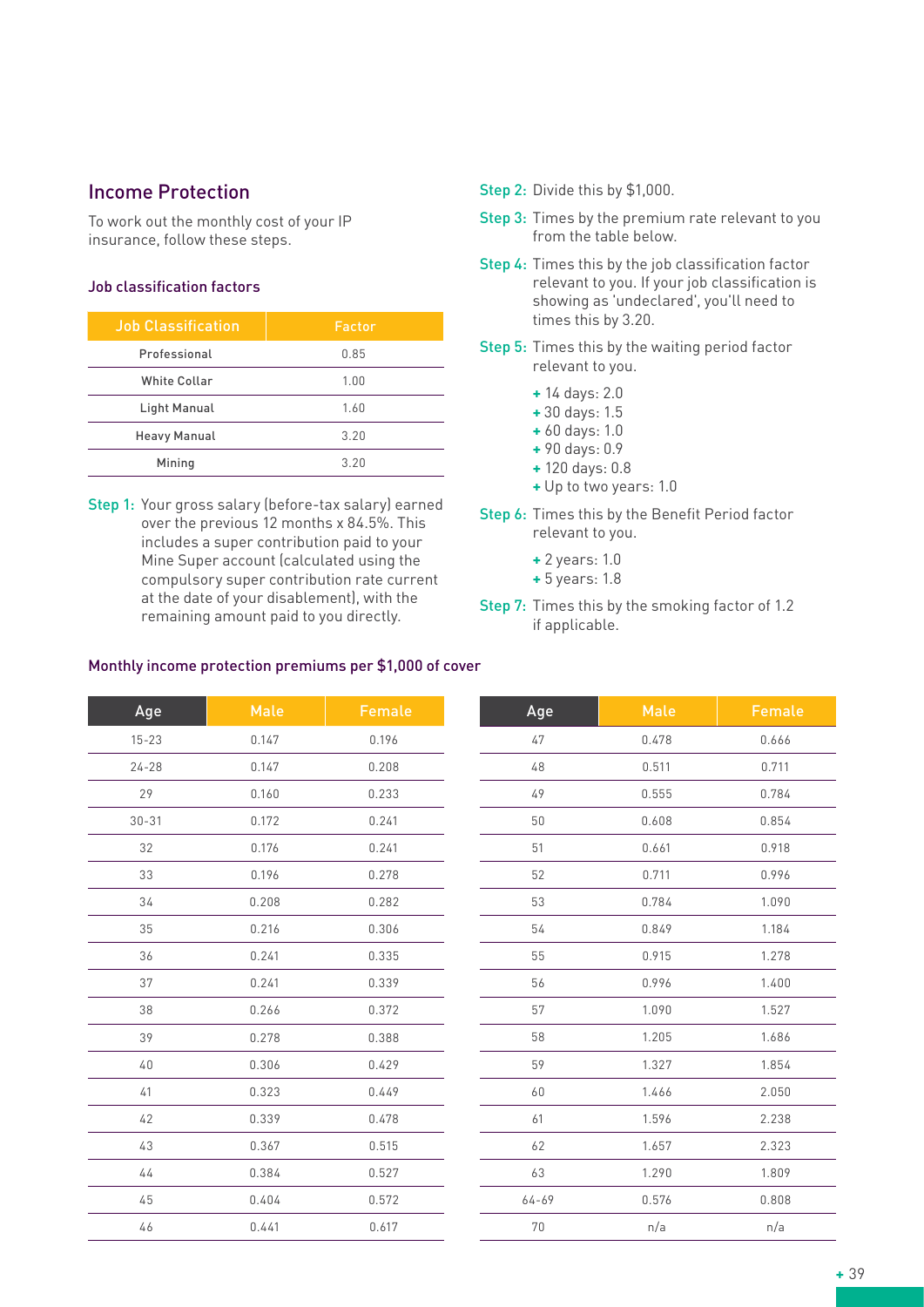#### Income Protection

To work out the monthly cost of your IP insurance, follow these steps.

#### Job classification factors

| <b>Job Classification</b> | Factor |
|---------------------------|--------|
| Professional              | 0.85   |
| <b>White Collar</b>       | 1.00   |
| Light Manual              | 1.60   |
| <b>Heavy Manual</b>       | 3.20   |
| Mining                    | 3.20   |

Step 1: Your gross salary (before-tax salary) earned over the previous 12 months x 84.5%. This includes a super contribution paid to your Mine Super account (calculated using the compulsory super contribution rate current at the date of your disablement), with the remaining amount paid to you directly.

- Step 2: Divide this by \$1,000.
- Step 3: Times by the premium rate relevant to you from the table below.
- Step 4: Times this by the job classification factor relevant to you. If your job classification is showing as 'undeclared', you'll need to times this by 3.20.
- Step 5: Times this by the waiting period factor relevant to you.
	- **+** 14 days: 2.0
	- **+** 30 days: 1.5
	- **+** 60 days: 1.0
	- **+** 90 days: 0.9
	- **+** 120 days: 0.8
	- **+** Up to two years: 1.0
- Step 6: Times this by the Benefit Period factor relevant to you.
	- **+** 2 years: 1.0
	- **+** 5 years: 1.8
- Step 7: Times this by the smoking factor of 1.2 if applicable.

# Age Male Female 15-23 0.147 0.196 24-28 0.147 0.208 29 0.160 0.233 30-31 0.172 0.241 32 0.176 0.241 33 0.196 0.278 34 0.208 0.282 35 0.216 0.306 36 0.241 0.335 37 0.241 0.339 38 0.266 0.372 39 0.278 0.388 40 0.306 0.429 41 0.323 0.449 42 0.339 0.478 43 0.367 0.515 44 0.384 0.527 45 0.404 0.572 46 0.441 0.617

| Age   | Male  | Female |
|-------|-------|--------|
| 47    | 0.478 | 0.666  |
| 48    | 0.511 | 0.711  |
| 49    | 0.555 | 0.784  |
| 50    | 0.608 | 0.854  |
| 51    | 0.661 | 0.918  |
| 52    | 0.711 | 0.996  |
| 53    | 0.784 | 1.090  |
| 54    | 0.849 | 1.184  |
| 55    | 0.915 | 1.278  |
| 56    | 0.996 | 1.400  |
| 57    | 1.090 | 1.527  |
| 58    | 1.205 | 1.686  |
| 59    | 1.327 | 1.854  |
| 60    | 1.466 | 2.050  |
| 61    | 1.596 | 2.238  |
| 62    | 1.657 | 2.323  |
| 63    | 1.290 | 1.809  |
| 64-69 | 0.576 | 0.808  |
| 70    | n/a   | n/a    |

#### Monthly income protection premiums per \$1,000 of cover